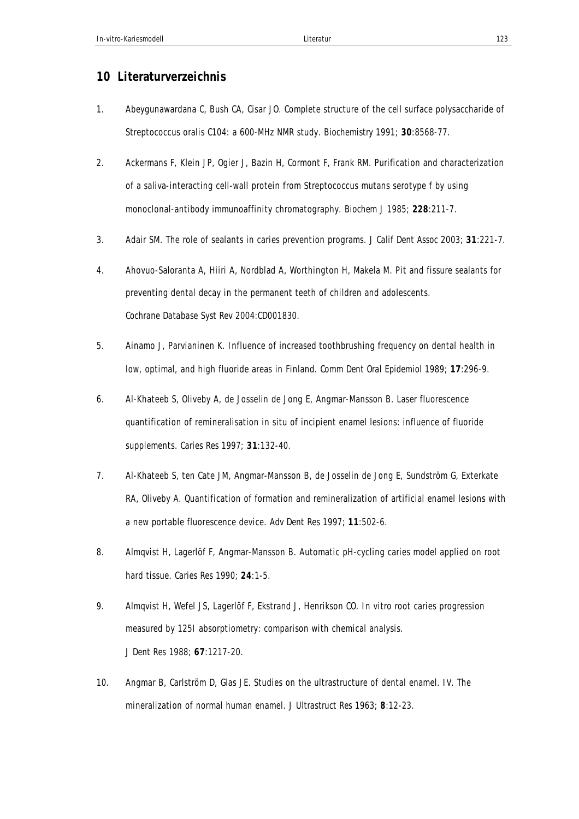## **10 Literaturverzeichnis**

- 1. Abeygunawardana C, Bush CA, Cisar JO. Complete structure of the cell surface polysaccharide of Streptococcus oralis C104: a 600-MHz NMR study. *Biochemistry* 1991; **30**:8568-77.
- 2. Ackermans F, Klein JP, Ogier J, Bazin H, Cormont F, Frank RM. Purification and characterization of a saliva-interacting cell-wall protein from Streptococcus mutans serotype f by using monoclonal-antibody immunoaffinity chromatography. *Biochem J* 1985; **228**:211-7.
- 3. Adair SM. The role of sealants in caries prevention programs. *J Calif Dent Assoc* 2003; **31**:221-7.
- 4. Ahovuo-Saloranta A, Hiiri A, Nordblad A, Worthington H, Makela M. Pit and fissure sealants for preventing dental decay in the permanent teeth of children and adolescents. *Cochrane Database Syst Rev* 2004:CD001830.
- 5. Ainamo J, Parvianinen K. Influence of increased toothbrushing frequency on dental health in low, optimal, and high fluoride areas in Finland. *Comm Dent Oral Epidemiol* 1989; **17**:296-9.
- 6. Al-Khateeb S, Oliveby A, de Josselin de Jong E, Angmar-Mansson B. Laser fluorescence quantification of remineralisation in situ of incipient enamel lesions: influence of fluoride supplements. *Caries Res* 1997; **31**:132-40.
- 7. Al-Khateeb S, ten Cate JM, Angmar-Mansson B, de Josselin de Jong E, Sundström G, Exterkate RA, Oliveby A. Quantification of formation and remineralization of artificial enamel lesions with a new portable fluorescence device. *Adv Dent Res* 1997; **11**:502-6.
- 8. Almqvist H, Lagerlöf F, Angmar-Mansson B. Automatic pH-cycling caries model applied on root hard tissue. *Caries Res* 1990; **24**:1-5.
- 9. Almqvist H, Wefel JS, Lagerlöf F, Ekstrand J, Henrikson CO. In vitro root caries progression measured by 125I absorptiometry: comparison with chemical analysis. *J Dent Res* 1988; **67**:1217-20.
- 10. Angmar B, Carlström D, Glas JE. Studies on the ultrastructure of dental enamel. IV. The mineralization of normal human enamel. *J Ultrastruct Res* 1963; **8**:12-23.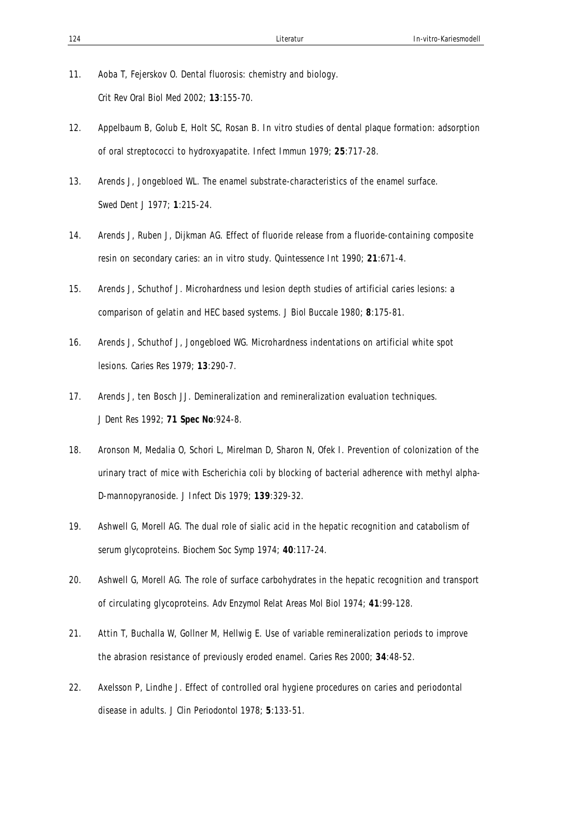- 11. Aoba T, Fejerskov O. Dental fluorosis: chemistry and biology. *Crit Rev Oral Biol Med* 2002; **13**:155-70.
- 12. Appelbaum B, Golub E, Holt SC, Rosan B. In vitro studies of dental plaque formation: adsorption of oral streptococci to hydroxyapatite. *Infect Immun* 1979; **25**:717-28.
- 13. Arends J, Jongebloed WL. The enamel substrate-characteristics of the enamel surface. *Swed Dent J* 1977; **1**:215-24.
- 14. Arends J, Ruben J, Dijkman AG. Effect of fluoride release from a fluoride-containing composite resin on secondary caries: an in vitro study. *Quintessence Int* 1990; **21**:671-4.
- 15. Arends J, Schuthof J. Microhardness und lesion depth studies of artificial caries lesions: a comparison of gelatin and HEC based systems. *J Biol Buccale* 1980; **8**:175-81.
- 16. Arends J, Schuthof J, Jongebloed WG. Microhardness indentations on artificial white spot lesions. *Caries Res* 1979; **13**:290-7.
- 17. Arends J, ten Bosch JJ. Demineralization and remineralization evaluation techniques. *J Dent Res* 1992; **71 Spec No**:924-8.
- 18. Aronson M, Medalia O, Schori L, Mirelman D, Sharon N, Ofek I. Prevention of colonization of the urinary tract of mice with Escherichia coli by blocking of bacterial adherence with methyl alpha-D-mannopyranoside. *J Infect Dis* 1979; **139**:329-32.
- 19. Ashwell G, Morell AG. The dual role of sialic acid in the hepatic recognition and catabolism of serum glycoproteins. *Biochem Soc Symp* 1974; **40**:117-24.
- 20. Ashwell G, Morell AG. The role of surface carbohydrates in the hepatic recognition and transport of circulating glycoproteins. *Adv Enzymol Relat Areas Mol Biol* 1974; **41**:99-128.
- 21. Attin T, Buchalla W, Gollner M, Hellwig E. Use of variable remineralization periods to improve the abrasion resistance of previously eroded enamel. *Caries Res* 2000; **34**:48-52.
- 22. Axelsson P, Lindhe J. Effect of controlled oral hygiene procedures on caries and periodontal disease in adults. *J Clin Periodontol* 1978; **5**:133-51.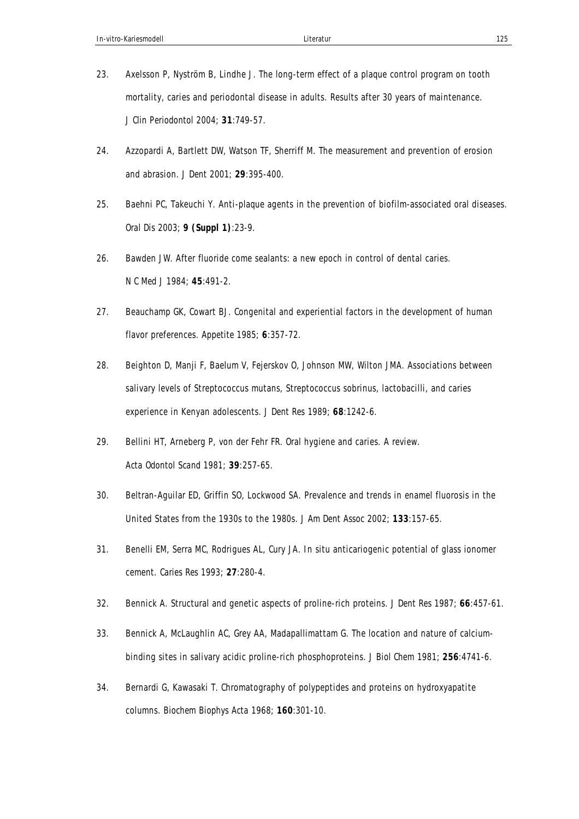- 23. Axelsson P, Nyström B, Lindhe J. The long-term effect of a plaque control program on tooth mortality, caries and periodontal disease in adults. Results after 30 years of maintenance. *J Clin Periodontol* 2004; **31**:749-57.
- 24. Azzopardi A, Bartlett DW, Watson TF, Sherriff M. The measurement and prevention of erosion and abrasion. *J Dent* 2001; **29**:395-400.
- 25. Baehni PC, Takeuchi Y. Anti-plaque agents in the prevention of biofilm-associated oral diseases. *Oral Dis* 2003; **9 (Suppl 1)**:23-9.
- 26. Bawden JW. After fluoride come sealants: a new epoch in control of dental caries. *N C Med J* 1984; **45**:491-2.
- 27. Beauchamp GK, Cowart BJ. Congenital and experiential factors in the development of human flavor preferences. *Appetite* 1985; **6**:357-72.
- 28. Beighton D, Manji F, Baelum V, Fejerskov O, Johnson MW, Wilton JMA. Associations between salivary levels of Streptococcus mutans, Streptococcus sobrinus, lactobacilli, and caries experience in Kenyan adolescents. *J Dent Res* 1989; **68**:1242-6.
- 29. Bellini HT, Arneberg P, von der Fehr FR. Oral hygiene and caries. A review. *Acta Odontol Scand* 1981; **39**:257-65.
- 30. Beltran-Aguilar ED, Griffin SO, Lockwood SA. Prevalence and trends in enamel fluorosis in the United States from the 1930s to the 1980s. *J Am Dent Assoc* 2002; **133**:157-65.
- 31. Benelli EM, Serra MC, Rodrigues AL, Cury JA. In situ anticariogenic potential of glass ionomer cement. *Caries Res* 1993; **27**:280-4.
- 32. Bennick A. Structural and genetic aspects of proline-rich proteins. *J Dent Res* 1987; **66**:457-61.
- 33. Bennick A, McLaughlin AC, Grey AA, Madapallimattam G. The location and nature of calciumbinding sites in salivary acidic proline-rich phosphoproteins. *J Biol Chem* 1981; **256**:4741-6.
- 34. Bernardi G, Kawasaki T. Chromatography of polypeptides and proteins on hydroxyapatite columns. *Biochem Biophys Acta* 1968; **160**:301-10.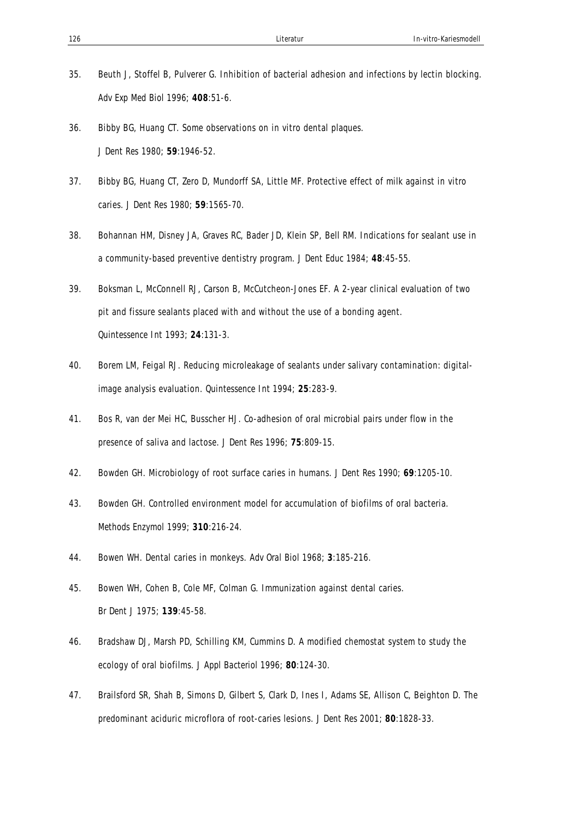- 35. Beuth J, Stoffel B, Pulverer G. Inhibition of bacterial adhesion and infections by lectin blocking. *Adv Exp Med Biol* 1996; **408**:51-6.
- 36. Bibby BG, Huang CT. Some observations on in vitro dental plaques. *J Dent Res* 1980; **59**:1946-52.
- 37. Bibby BG, Huang CT, Zero D, Mundorff SA, Little MF. Protective effect of milk against in vitro caries. *J Dent Res* 1980; **59**:1565-70.
- 38. Bohannan HM, Disney JA, Graves RC, Bader JD, Klein SP, Bell RM. Indications for sealant use in a community-based preventive dentistry program. *J Dent Educ* 1984; **48**:45-55.
- 39. Boksman L, McConnell RJ, Carson B, McCutcheon-Jones EF. A 2-year clinical evaluation of two pit and fissure sealants placed with and without the use of a bonding agent. *Quintessence Int* 1993; **24**:131-3.
- 40. Borem LM, Feigal RJ. Reducing microleakage of sealants under salivary contamination: digitalimage analysis evaluation. *Quintessence Int* 1994; **25**:283-9.
- 41. Bos R, van der Mei HC, Busscher HJ. Co-adhesion of oral microbial pairs under flow in the presence of saliva and lactose. *J Dent Res* 1996; **75**:809-15.
- 42. Bowden GH. Microbiology of root surface caries in humans. *J Dent Res* 1990; **69**:1205-10.
- 43. Bowden GH. Controlled environment model for accumulation of biofilms of oral bacteria. *Methods Enzymol* 1999; **310**:216-24.
- 44. Bowen WH. Dental caries in monkeys. *Adv Oral Biol* 1968; **3**:185-216.
- 45. Bowen WH, Cohen B, Cole MF, Colman G. Immunization against dental caries. *Br Dent J* 1975; **139**:45-58.
- 46. Bradshaw DJ, Marsh PD, Schilling KM, Cummins D. A modified chemostat system to study the ecology of oral biofilms. *J Appl Bacteriol* 1996; **80**:124-30.
- 47. Brailsford SR, Shah B, Simons D, Gilbert S, Clark D, Ines I, Adams SE, Allison C, Beighton D. The predominant aciduric microflora of root-caries lesions. *J Dent Res* 2001; **80**:1828-33.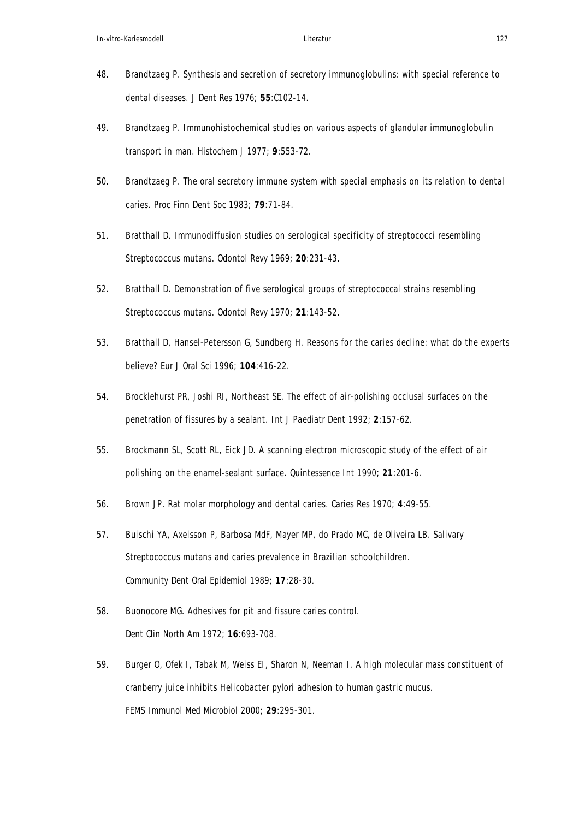- 48. Brandtzaeg P. Synthesis and secretion of secretory immunoglobulins: with special reference to dental diseases. *J Dent Res* 1976; **55**:C102-14.
- 49. Brandtzaeg P. Immunohistochemical studies on various aspects of glandular immunoglobulin transport in man. *Histochem J* 1977; **9**:553-72.
- 50. Brandtzaeg P. The oral secretory immune system with special emphasis on its relation to dental caries. *Proc Finn Dent Soc* 1983; **79**:71-84.
- 51. Bratthall D. Immunodiffusion studies on serological specificity of streptococci resembling Streptococcus mutans. *Odontol Revy* 1969; **20**:231-43.
- 52. Bratthall D. Demonstration of five serological groups of streptococcal strains resembling Streptococcus mutans. *Odontol Revy* 1970; **21**:143-52.
- 53. Bratthall D, Hansel-Petersson G, Sundberg H. Reasons for the caries decline: what do the experts believe? *Eur J Oral Sci* 1996; **104**:416-22.
- 54. Brocklehurst PR, Joshi RI, Northeast SE. The effect of air-polishing occlusal surfaces on the penetration of fissures by a sealant. *Int J Paediatr Dent* 1992; **2**:157-62.
- 55. Brockmann SL, Scott RL, Eick JD. A scanning electron microscopic study of the effect of air polishing on the enamel-sealant surface. *Quintessence Int* 1990; **21**:201-6.
- 56. Brown JP. Rat molar morphology and dental caries. *Caries Res* 1970; **4**:49-55.
- 57. Buischi YA, Axelsson P, Barbosa MdF, Mayer MP, do Prado MC, de Oliveira LB. Salivary Streptococcus mutans and caries prevalence in Brazilian schoolchildren. *Community Dent Oral Epidemiol* 1989; **17**:28-30.
- 58. Buonocore MG. Adhesives for pit and fissure caries control. *Dent Clin North Am* 1972; **16**:693-708.
- 59. Burger O, Ofek I, Tabak M, Weiss EI, Sharon N, Neeman I. A high molecular mass constituent of cranberry juice inhibits Helicobacter pylori adhesion to human gastric mucus. *FEMS Immunol Med Microbiol* 2000; **29**:295-301.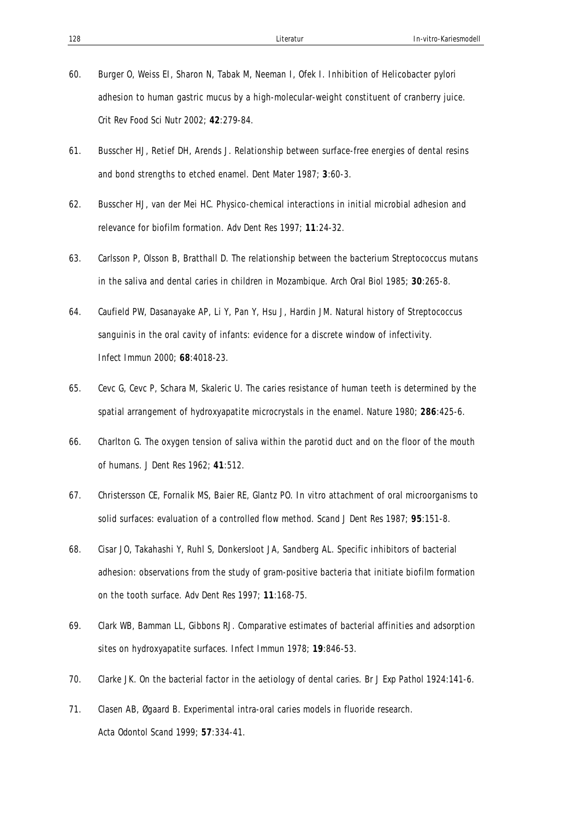- 60. Burger O, Weiss EI, Sharon N, Tabak M, Neeman I, Ofek I. Inhibition of Helicobacter pylori adhesion to human gastric mucus by a high-molecular-weight constituent of cranberry juice. *Crit Rev Food Sci Nutr* 2002; **42**:279-84.
- 61. Busscher HJ, Retief DH, Arends J. Relationship between surface-free energies of dental resins and bond strengths to etched enamel. *Dent Mater* 1987; **3**:60-3.
- 62. Busscher HJ, van der Mei HC. Physico-chemical interactions in initial microbial adhesion and relevance for biofilm formation. *Adv Dent Res* 1997; **11**:24-32.
- 63. Carlsson P, Olsson B, Bratthall D. The relationship between the bacterium Streptococcus mutans in the saliva and dental caries in children in Mozambique. *Arch Oral Biol* 1985; **30**:265-8.
- 64. Caufield PW, Dasanayake AP, Li Y, Pan Y, Hsu J, Hardin JM. Natural history of Streptococcus sanguinis in the oral cavity of infants: evidence for a discrete window of infectivity. *Infect Immun* 2000; **68**:4018-23.
- 65. Cevc G, Cevc P, Schara M, Skaleric U. The caries resistance of human teeth is determined by the spatial arrangement of hydroxyapatite microcrystals in the enamel. *Nature* 1980; **286**:425-6.
- 66. Charlton G. The oxygen tension of saliva within the parotid duct and on the floor of the mouth of humans. *J Dent Res* 1962; **41**:512.
- 67. Christersson CE, Fornalik MS, Baier RE, Glantz PO. In vitro attachment of oral microorganisms to solid surfaces: evaluation of a controlled flow method. *Scand J Dent Res* 1987; **95**:151-8.
- 68. Cisar JO, Takahashi Y, Ruhl S, Donkersloot JA, Sandberg AL. Specific inhibitors of bacterial adhesion: observations from the study of gram-positive bacteria that initiate biofilm formation on the tooth surface. *Adv Dent Res* 1997; **11**:168-75.
- 69. Clark WB, Bamman LL, Gibbons RJ. Comparative estimates of bacterial affinities and adsorption sites on hydroxyapatite surfaces. *Infect Immun* 1978; **19**:846-53.
- 70. Clarke JK. On the bacterial factor in the aetiology of dental caries. *Br J Exp Pathol* 1924:141-6.
- 71. Clasen AB, Øgaard B. Experimental intra-oral caries models in fluoride research. *Acta Odontol Scand* 1999; **57**:334-41.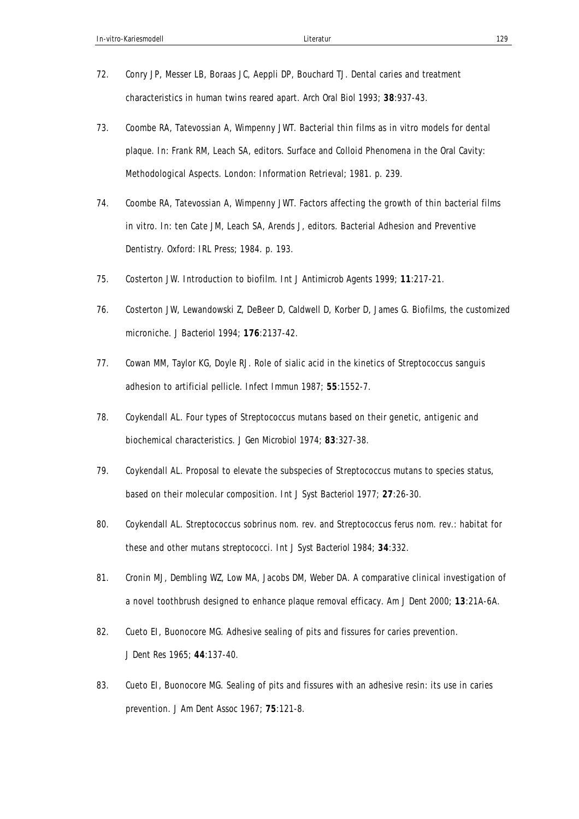- 72. Conry JP, Messer LB, Boraas JC, Aeppli DP, Bouchard TJ. Dental caries and treatment characteristics in human twins reared apart. *Arch Oral Biol* 1993; **38**:937-43.
- 73. Coombe RA, Tatevossian A, Wimpenny JWT. Bacterial thin films as in vitro models for dental plaque. In: Frank RM, Leach SA, editors. Surface and Colloid Phenomena in the Oral Cavity: Methodological Aspects. London: Information Retrieval; 1981. p. 239.
- 74. Coombe RA, Tatevossian A, Wimpenny JWT. Factors affecting the growth of thin bacterial films in vitro. In: ten Cate JM, Leach SA, Arends J, editors. Bacterial Adhesion and Preventive Dentistry. Oxford: IRL Press; 1984. p. 193.
- 75. Costerton JW. Introduction to biofilm. *Int J Antimicrob Agents* 1999; **11**:217-21.
- 76. Costerton JW, Lewandowski Z, DeBeer D, Caldwell D, Korber D, James G. Biofilms, the customized microniche. *J Bacteriol* 1994; **176**:2137-42.
- 77. Cowan MM, Taylor KG, Doyle RJ. Role of sialic acid in the kinetics of Streptococcus sanguis adhesion to artificial pellicle. *Infect Immun* 1987; **55**:1552-7.
- 78. Coykendall AL. Four types of Streptococcus mutans based on their genetic, antigenic and biochemical characteristics. *J Gen Microbiol* 1974; **83**:327-38.
- 79. Coykendall AL. Proposal to elevate the subspecies of Streptococcus mutans to species status, based on their molecular composition. *Int J Syst Bacteriol* 1977; **27**:26-30.
- 80. Coykendall AL. Streptococcus sobrinus nom. rev. and Streptococcus ferus nom. rev.: habitat for these and other mutans streptococci. *Int J Syst Bacteriol* 1984; **34**:332.
- 81. Cronin MJ, Dembling WZ, Low MA, Jacobs DM, Weber DA. A comparative clinical investigation of a novel toothbrush designed to enhance plaque removal efficacy. *Am J Dent* 2000; **13**:21A-6A.
- 82. Cueto EI, Buonocore MG. Adhesive sealing of pits and fissures for caries prevention. *J Dent Res* 1965; **44**:137-40.
- 83. Cueto EI, Buonocore MG. Sealing of pits and fissures with an adhesive resin: its use in caries prevention. *J Am Dent Assoc* 1967; **75**:121-8.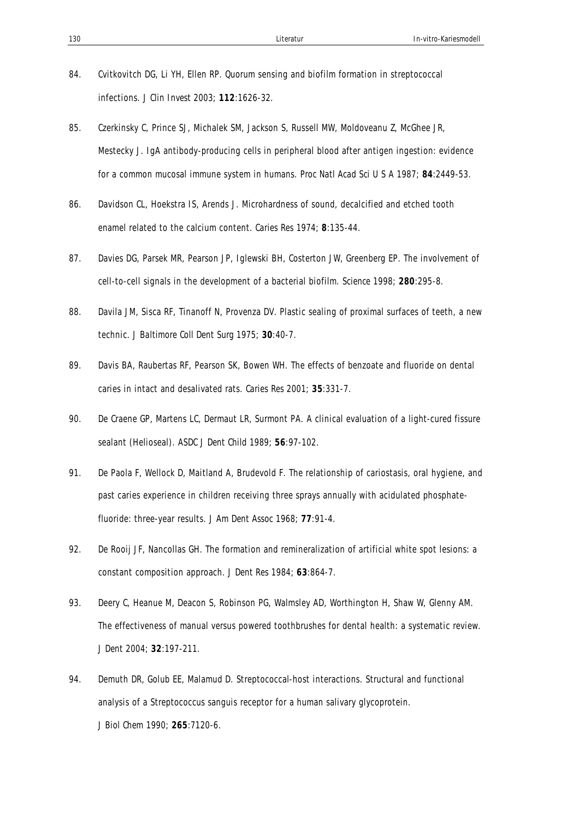- 84. Cvitkovitch DG, Li YH, Ellen RP. Quorum sensing and biofilm formation in streptococcal infections. *J Clin Invest* 2003; **112**:1626-32.
- 85. Czerkinsky C, Prince SJ, Michalek SM, Jackson S, Russell MW, Moldoveanu Z, McGhee JR, Mestecky J. IgA antibody-producing cells in peripheral blood after antigen ingestion: evidence for a common mucosal immune system in humans. *Proc Natl Acad Sci U S A* 1987; **84**:2449-53.
- 86. Davidson CL, Hoekstra IS, Arends J. Microhardness of sound, decalcified and etched tooth enamel related to the calcium content. *Caries Res* 1974; **8**:135-44.
- 87. Davies DG, Parsek MR, Pearson JP, Iglewski BH, Costerton JW, Greenberg EP. The involvement of cell-to-cell signals in the development of a bacterial biofilm. *Science* 1998; **280**:295-8.
- 88. Davila JM, Sisca RF, Tinanoff N, Provenza DV. Plastic sealing of proximal surfaces of teeth, a new technic. *J Baltimore Coll Dent Surg* 1975; **30**:40-7.
- 89. Davis BA, Raubertas RF, Pearson SK, Bowen WH. The effects of benzoate and fluoride on dental caries in intact and desalivated rats. *Caries Res* 2001; **35**:331-7.
- 90. De Craene GP, Martens LC, Dermaut LR, Surmont PA. A clinical evaluation of a light-cured fissure sealant (Helioseal). *ASDC J Dent Child* 1989; **56**:97-102.
- 91. De Paola F, Wellock D, Maitland A, Brudevold F. The relationship of cariostasis, oral hygiene, and past caries experience in children receiving three sprays annually with acidulated phosphatefluoride: three-year results. *J Am Dent Assoc* 1968; **77**:91-4.
- 92. De Rooij JF, Nancollas GH. The formation and remineralization of artificial white spot lesions: a constant composition approach. *J Dent Res* 1984; **63**:864-7.
- 93. Deery C, Heanue M, Deacon S, Robinson PG, Walmsley AD, Worthington H, Shaw W, Glenny AM. The effectiveness of manual versus powered toothbrushes for dental health: a systematic review. *J Dent* 2004; **32**:197-211.
- 94. Demuth DR, Golub EE, Malamud D. Streptococcal-host interactions. Structural and functional analysis of a Streptococcus sanguis receptor for a human salivary glycoprotein. *J Biol Chem* 1990; **265**:7120-6.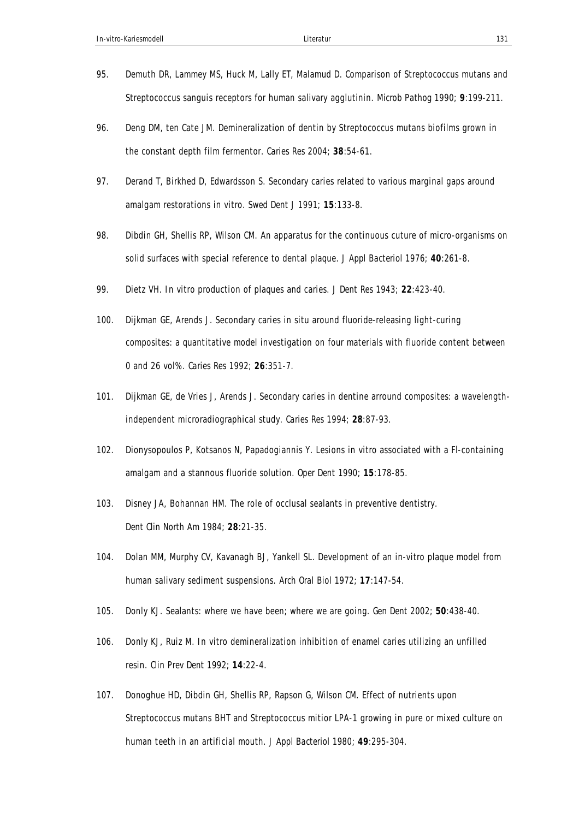- 95. Demuth DR, Lammey MS, Huck M, Lally ET, Malamud D. Comparison of Streptococcus mutans and Streptococcus sanguis receptors for human salivary agglutinin. *Microb Pathog* 1990; **9**:199-211.
- 96. Deng DM, ten Cate JM. Demineralization of dentin by Streptococcus mutans biofilms grown in the constant depth film fermentor. *Caries Res* 2004; **38**:54-61.
- 97. Derand T, Birkhed D, Edwardsson S. Secondary caries related to various marginal gaps around amalgam restorations in vitro. *Swed Dent J* 1991; **15**:133-8.
- 98. Dibdin GH, Shellis RP, Wilson CM. An apparatus for the continuous cuture of micro-organisms on solid surfaces with special reference to dental plaque. *J Appl Bacteriol* 1976; **40**:261-8.
- 99. Dietz VH. In vitro production of plaques and caries. *J Dent Res* 1943; **22**:423-40.
- 100. Dijkman GE, Arends J. Secondary caries in situ around fluoride-releasing light-curing composites: a quantitative model investigation on four materials with fluoride content between 0 and 26 vol%. *Caries Res* 1992; **26**:351-7.
- 101. Dijkman GE, de Vries J, Arends J. Secondary caries in dentine arround composites: a wavelengthindependent microradiographical study. *Caries Res* 1994; **28**:87-93.
- 102. Dionysopoulos P, Kotsanos N, Papadogiannis Y. Lesions in vitro associated with a Fl-containing amalgam and a stannous fluoride solution. *Oper Dent* 1990; **15**:178-85.
- 103. Disney JA, Bohannan HM. The role of occlusal sealants in preventive dentistry. *Dent Clin North Am* 1984; **28**:21-35.
- 104. Dolan MM, Murphy CV, Kavanagh BJ, Yankell SL. Development of an in-vitro plaque model from human salivary sediment suspensions. *Arch Oral Biol* 1972; **17**:147-54.
- 105. Donly KJ. Sealants: where we have been; where we are going. *Gen Dent* 2002; **50**:438-40.
- 106. Donly KJ, Ruiz M. In vitro demineralization inhibition of enamel caries utilizing an unfilled resin. *Clin Prev Dent* 1992; **14**:22-4.
- 107. Donoghue HD, Dibdin GH, Shellis RP, Rapson G, Wilson CM. Effect of nutrients upon Streptococcus mutans BHT and Streptococcus mitior LPA-1 growing in pure or mixed culture on human teeth in an artificial mouth. *J Appl Bacteriol* 1980; **49**:295-304.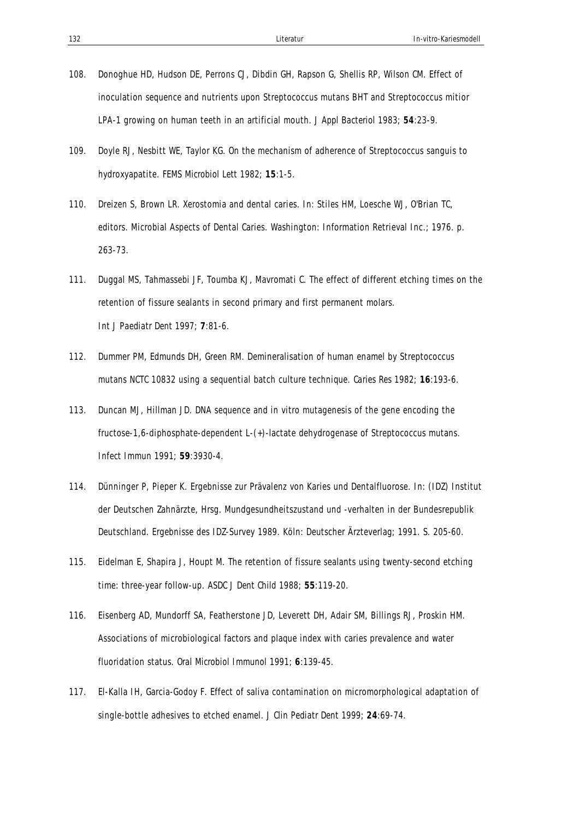- 108. Donoghue HD, Hudson DE, Perrons CJ, Dibdin GH, Rapson G, Shellis RP, Wilson CM. Effect of inoculation sequence and nutrients upon Streptococcus mutans BHT and Streptococcus mitior LPA-1 growing on human teeth in an artificial mouth. *J Appl Bacteriol* 1983; **54**:23-9.
- 109. Doyle RJ, Nesbitt WE, Taylor KG. On the mechanism of adherence of Streptococcus sanguis to hydroxyapatite. *FEMS Microbiol Lett* 1982; **15**:1-5.
- 110. Dreizen S, Brown LR. Xerostomia and dental caries. In: Stiles HM, Loesche WJ, O'Brian TC, editors. Microbial Aspects of Dental Caries. Washington: Information Retrieval Inc.; 1976. p. 263-73.
- 111. Duggal MS, Tahmassebi JF, Toumba KJ, Mavromati C. The effect of different etching times on the retention of fissure sealants in second primary and first permanent molars. *Int J Paediatr Dent* 1997; **7**:81-6.
- 112. Dummer PM, Edmunds DH, Green RM. Demineralisation of human enamel by Streptococcus mutans NCTC 10832 using a sequential batch culture technique. *Caries Res* 1982; **16**:193-6.
- 113. Duncan MJ, Hillman JD. DNA sequence and in vitro mutagenesis of the gene encoding the fructose-1,6-diphosphate-dependent L-(+)-lactate dehydrogenase of Streptococcus mutans. *Infect Immun* 1991; **59**:3930-4.
- 114. Dünninger P, Pieper K. Ergebnisse zur Prävalenz von Karies und Dentalfluorose. In: (IDZ) Institut der Deutschen Zahnärzte, Hrsg. Mundgesundheitszustand und -verhalten in der Bundesrepublik Deutschland. Ergebnisse des IDZ-Survey 1989. Köln: Deutscher Ärzteverlag; 1991. S. 205-60.
- 115. Eidelman E, Shapira J, Houpt M. The retention of fissure sealants using twenty-second etching time: three-year follow-up. *ASDC J Dent Child* 1988; **55**:119-20.
- 116. Eisenberg AD, Mundorff SA, Featherstone JD, Leverett DH, Adair SM, Billings RJ, Proskin HM. Associations of microbiological factors and plaque index with caries prevalence and water fluoridation status. *Oral Microbiol Immunol* 1991; **6**:139-45.
- 117. El-Kalla IH, Garcia-Godoy F. Effect of saliva contamination on micromorphological adaptation of single-bottle adhesives to etched enamel. *J Clin Pediatr Dent* 1999; **24**:69-74.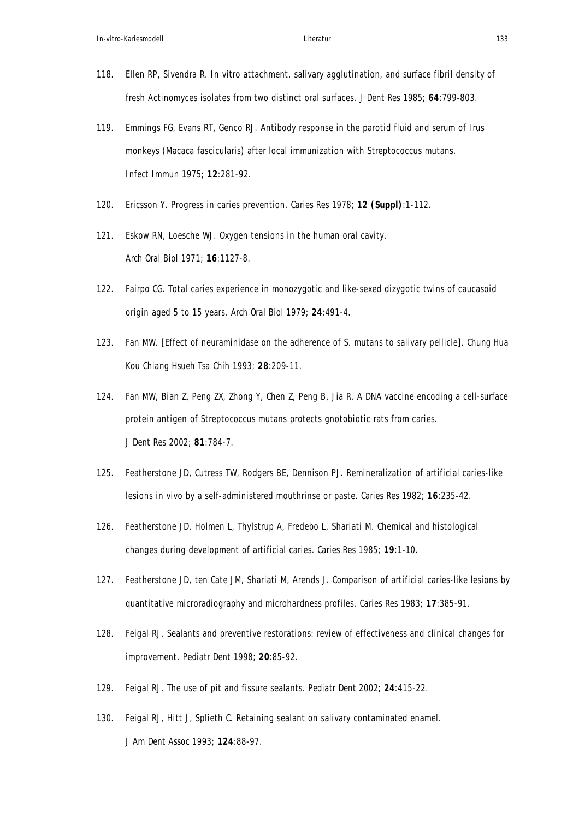- 118. Ellen RP, Sivendra R. In vitro attachment, salivary agglutination, and surface fibril density of fresh Actinomyces isolates from two distinct oral surfaces. *J Dent Res* 1985; **64**:799-803.
- 119. Emmings FG, Evans RT, Genco RJ. Antibody response in the parotid fluid and serum of Irus monkeys (Macaca fascicularis) after local immunization with Streptococcus mutans. *Infect Immun* 1975; **12**:281-92.
- 120. Ericsson Y. Progress in caries prevention. *Caries Res* 1978; **12 (Suppl)**:1-112.
- 121. Eskow RN, Loesche WJ. Oxygen tensions in the human oral cavity. *Arch Oral Biol* 1971; **16**:1127-8.
- 122. Fairpo CG. Total caries experience in monozygotic and like-sexed dizygotic twins of caucasoid origin aged 5 to 15 years. *Arch Oral Biol* 1979; **24**:491-4.
- 123. Fan MW. [Effect of neuraminidase on the adherence of S. mutans to salivary pellicle]. *Chung Hua Kou Chiang Hsueh Tsa Chih* 1993; **28**:209-11.
- 124. Fan MW, Bian Z, Peng ZX, Zhong Y, Chen Z, Peng B, Jia R. A DNA vaccine encoding a cell-surface protein antigen of Streptococcus mutans protects gnotobiotic rats from caries. *J Dent Res* 2002; **81**:784-7.
- 125. Featherstone JD, Cutress TW, Rodgers BE, Dennison PJ. Remineralization of artificial caries-like lesions in vivo by a self-administered mouthrinse or paste. *Caries Res* 1982; **16**:235-42.
- 126. Featherstone JD, Holmen L, Thylstrup A, Fredebo L, Shariati M. Chemical and histological changes during development of artificial caries. *Caries Res* 1985; **19**:1-10.
- 127. Featherstone JD, ten Cate JM, Shariati M, Arends J. Comparison of artificial caries-like lesions by quantitative microradiography and microhardness profiles. *Caries Res* 1983; **17**:385-91.
- 128. Feigal RJ. Sealants and preventive restorations: review of effectiveness and clinical changes for improvement. *Pediatr Dent* 1998; **20**:85-92.
- 129. Feigal RJ. The use of pit and fissure sealants. *Pediatr Dent* 2002; **24**:415-22.
- 130. Feigal RJ, Hitt J, Splieth C. Retaining sealant on salivary contaminated enamel. *J Am Dent Assoc* 1993; **124**:88-97.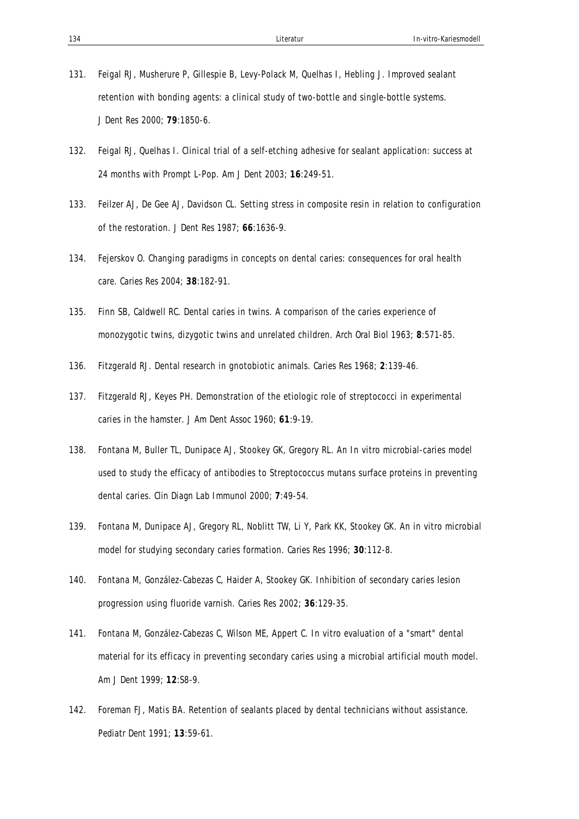- 131. Feigal RJ, Musherure P, Gillespie B, Levy-Polack M, Quelhas I, Hebling J. Improved sealant retention with bonding agents: a clinical study of two-bottle and single-bottle systems. *J Dent Res* 2000; **79**:1850-6.
- 132. Feigal RJ, Quelhas I. Clinical trial of a self-etching adhesive for sealant application: success at 24 months with Prompt L-Pop. *Am J Dent* 2003; **16**:249-51.
- 133. Feilzer AJ, De Gee AJ, Davidson CL. Setting stress in composite resin in relation to configuration of the restoration. *J Dent Res* 1987; **66**:1636-9.
- 134. Fejerskov O. Changing paradigms in concepts on dental caries: consequences for oral health care. *Caries Res* 2004; **38**:182-91.
- 135. Finn SB, Caldwell RC. Dental caries in twins. A comparison of the caries experience of monozygotic twins, dizygotic twins and unrelated children. *Arch Oral Biol* 1963; **8**:571-85.
- 136. Fitzgerald RJ. Dental research in gnotobiotic animals. *Caries Res* 1968; **2**:139-46.
- 137. Fitzgerald RJ, Keyes PH. Demonstration of the etiologic role of streptococci in experimental caries in the hamster. *J Am Dent Assoc* 1960; **61**:9-19.
- 138. Fontana M, Buller TL, Dunipace AJ, Stookey GK, Gregory RL. An In vitro microbial-caries model used to study the efficacy of antibodies to Streptococcus mutans surface proteins in preventing dental caries. *Clin Diagn Lab Immunol* 2000; **7**:49-54.
- 139. Fontana M, Dunipace AJ, Gregory RL, Noblitt TW, Li Y, Park KK, Stookey GK. An in vitro microbial model for studying secondary caries formation. *Caries Res* 1996; **30**:112-8.
- 140. Fontana M, González-Cabezas C, Haider A, Stookey GK. Inhibition of secondary caries lesion progression using fluoride varnish. *Caries Res* 2002; **36**:129-35.
- 141. Fontana M, González-Cabezas C, Wilson ME, Appert C. In vitro evaluation of a "smart" dental material for its efficacy in preventing secondary caries using a microbial artificial mouth model. *Am J Dent* 1999; **12**:S8-9.
- 142. Foreman FJ, Matis BA. Retention of sealants placed by dental technicians without assistance. *Pediatr Dent* 1991; **13**:59-61.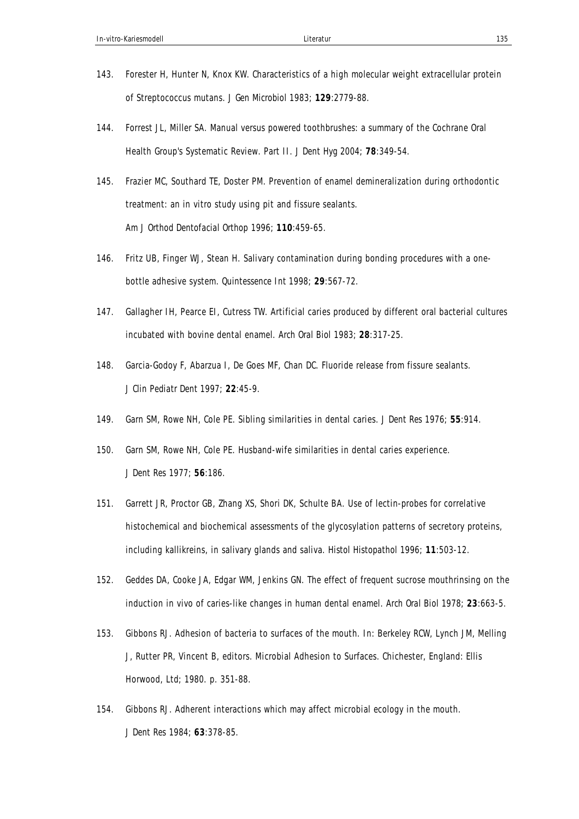- 143. Forester H, Hunter N, Knox KW. Characteristics of a high molecular weight extracellular protein of Streptococcus mutans. *J Gen Microbiol* 1983; **129**:2779-88.
- 144. Forrest JL, Miller SA. Manual versus powered toothbrushes: a summary of the Cochrane Oral Health Group's Systematic Review. Part II. *J Dent Hyg* 2004; **78**:349-54.
- 145. Frazier MC, Southard TE, Doster PM. Prevention of enamel demineralization during orthodontic treatment: an in vitro study using pit and fissure sealants. *Am J Orthod Dentofacial Orthop* 1996; **110**:459-65.
- 146. Fritz UB, Finger WJ, Stean H. Salivary contamination during bonding procedures with a onebottle adhesive system. *Quintessence Int* 1998; **29**:567-72.
- 147. Gallagher IH, Pearce EI, Cutress TW. Artificial caries produced by different oral bacterial cultures incubated with bovine dental enamel. *Arch Oral Biol* 1983; **28**:317-25.
- 148. Garcia-Godoy F, Abarzua I, De Goes MF, Chan DC. Fluoride release from fissure sealants. *J Clin Pediatr Dent* 1997; **22**:45-9.
- 149. Garn SM, Rowe NH, Cole PE. Sibling similarities in dental caries. *J Dent Res* 1976; **55**:914.
- 150. Garn SM, Rowe NH, Cole PE. Husband-wife similarities in dental caries experience. *J Dent Res* 1977; **56**:186.
- 151. Garrett JR, Proctor GB, Zhang XS, Shori DK, Schulte BA. Use of lectin-probes for correlative histochemical and biochemical assessments of the glycosylation patterns of secretory proteins, including kallikreins, in salivary glands and saliva. *Histol Histopathol* 1996; **11**:503-12.
- 152. Geddes DA, Cooke JA, Edgar WM, Jenkins GN. The effect of frequent sucrose mouthrinsing on the induction in vivo of caries-like changes in human dental enamel. *Arch Oral Biol* 1978; **23**:663-5.
- 153. Gibbons RJ. Adhesion of bacteria to surfaces of the mouth. In: Berkeley RCW, Lynch JM, Melling J, Rutter PR, Vincent B, editors. Microbial Adhesion to Surfaces. Chichester, England: Ellis Horwood, Ltd; 1980. p. 351-88.
- 154. Gibbons RJ. Adherent interactions which may affect microbial ecology in the mouth. *J Dent Res* 1984; **63**:378-85.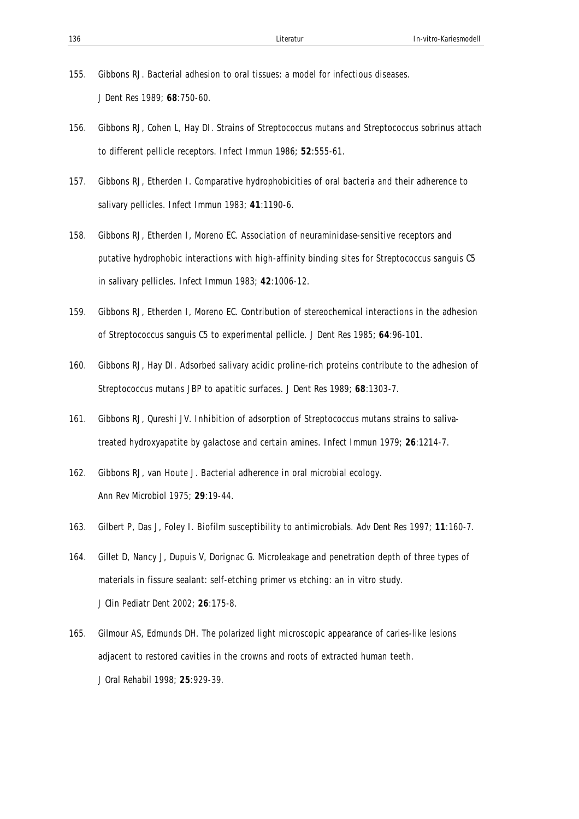- 155. Gibbons RJ. Bacterial adhesion to oral tissues: a model for infectious diseases. *J Dent Res* 1989; **68**:750-60.
- 156. Gibbons RJ, Cohen L, Hay DI. Strains of Streptococcus mutans and Streptococcus sobrinus attach to different pellicle receptors. *Infect Immun* 1986; **52**:555-61.
- 157. Gibbons RJ, Etherden I. Comparative hydrophobicities of oral bacteria and their adherence to salivary pellicles. *Infect Immun* 1983; **41**:1190-6.
- 158. Gibbons RJ, Etherden I, Moreno EC. Association of neuraminidase-sensitive receptors and putative hydrophobic interactions with high-affinity binding sites for Streptococcus sanguis C5 in salivary pellicles. *Infect Immun* 1983; **42**:1006-12.
- 159. Gibbons RJ, Etherden I, Moreno EC. Contribution of stereochemical interactions in the adhesion of Streptococcus sanguis C5 to experimental pellicle. *J Dent Res* 1985; **64**:96-101.
- 160. Gibbons RJ, Hay DI. Adsorbed salivary acidic proline-rich proteins contribute to the adhesion of Streptococcus mutans JBP to apatitic surfaces. *J Dent Res* 1989; **68**:1303-7.
- 161. Gibbons RJ, Qureshi JV. Inhibition of adsorption of Streptococcus mutans strains to salivatreated hydroxyapatite by galactose and certain amines. *Infect Immun* 1979; **26**:1214-7.
- 162. Gibbons RJ, van Houte J. Bacterial adherence in oral microbial ecology. *Ann Rev Microbiol* 1975; **29**:19-44.
- 163. Gilbert P, Das J, Foley I. Biofilm susceptibility to antimicrobials. *Adv Dent Res* 1997; **11**:160-7.
- 164. Gillet D, Nancy J, Dupuis V, Dorignac G. Microleakage and penetration depth of three types of materials in fissure sealant: self-etching primer vs etching: an in vitro study. *J Clin Pediatr Dent* 2002; **26**:175-8.
- 165. Gilmour AS, Edmunds DH. The polarized light microscopic appearance of caries-like lesions adjacent to restored cavities in the crowns and roots of extracted human teeth. *J Oral Rehabil* 1998; **25**:929-39.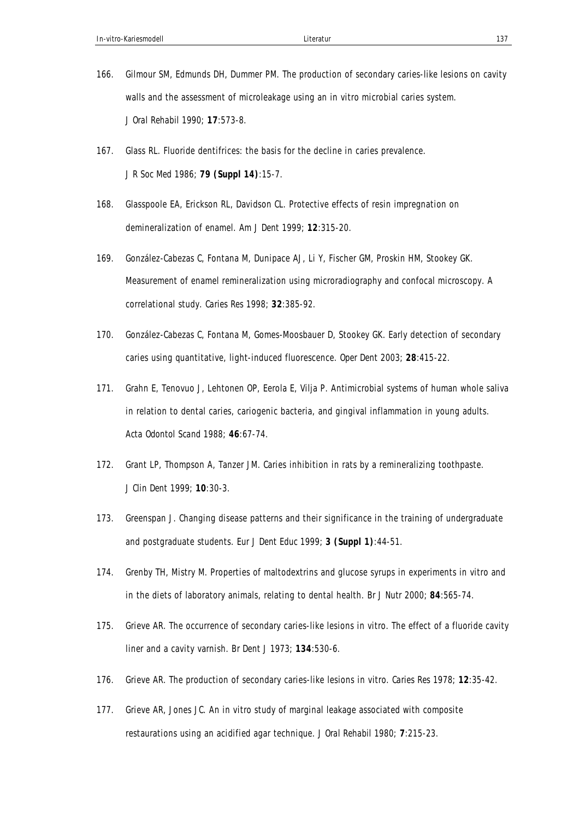- 166. Gilmour SM, Edmunds DH, Dummer PM. The production of secondary caries-like lesions on cavity walls and the assessment of microleakage using an in vitro microbial caries system. *J Oral Rehabil* 1990; **17**:573-8.
- 167. Glass RL. Fluoride dentifrices: the basis for the decline in caries prevalence. *J R Soc Med* 1986; **79 (Suppl 14)**:15-7.
- 168. Glasspoole EA, Erickson RL, Davidson CL. Protective effects of resin impregnation on demineralization of enamel. *Am J Dent* 1999; **12**:315-20.
- 169. González-Cabezas C, Fontana M, Dunipace AJ, Li Y, Fischer GM, Proskin HM, Stookey GK. Measurement of enamel remineralization using microradiography and confocal microscopy. A correlational study. *Caries Res* 1998; **32**:385-92.
- 170. González-Cabezas C, Fontana M, Gomes-Moosbauer D, Stookey GK. Early detection of secondary caries using quantitative, light-induced fluorescence. *Oper Dent* 2003; **28**:415-22.
- 171. Grahn E, Tenovuo J, Lehtonen OP, Eerola E, Vilja P. Antimicrobial systems of human whole saliva in relation to dental caries, cariogenic bacteria, and gingival inflammation in young adults. *Acta Odontol Scand* 1988; **46**:67-74.
- 172. Grant LP, Thompson A, Tanzer JM. Caries inhibition in rats by a remineralizing toothpaste. *J Clin Dent* 1999; **10**:30-3.
- 173. Greenspan J. Changing disease patterns and their significance in the training of undergraduate and postgraduate students. *Eur J Dent Educ* 1999; **3 (Suppl 1)**:44-51.
- 174. Grenby TH, Mistry M. Properties of maltodextrins and glucose syrups in experiments in vitro and in the diets of laboratory animals, relating to dental health. *Br J Nutr* 2000; **84**:565-74.
- 175. Grieve AR. The occurrence of secondary caries-like lesions in vitro. The effect of a fluoride cavity liner and a cavity varnish. *Br Dent J* 1973; **134**:530-6.
- 176. Grieve AR. The production of secondary caries-like lesions in vitro. *Caries Res* 1978; **12**:35-42.
- 177. Grieve AR, Jones JC. An in vitro study of marginal leakage associated with composite restaurations using an acidified agar technique. *J Oral Rehabil* 1980; **7**:215-23.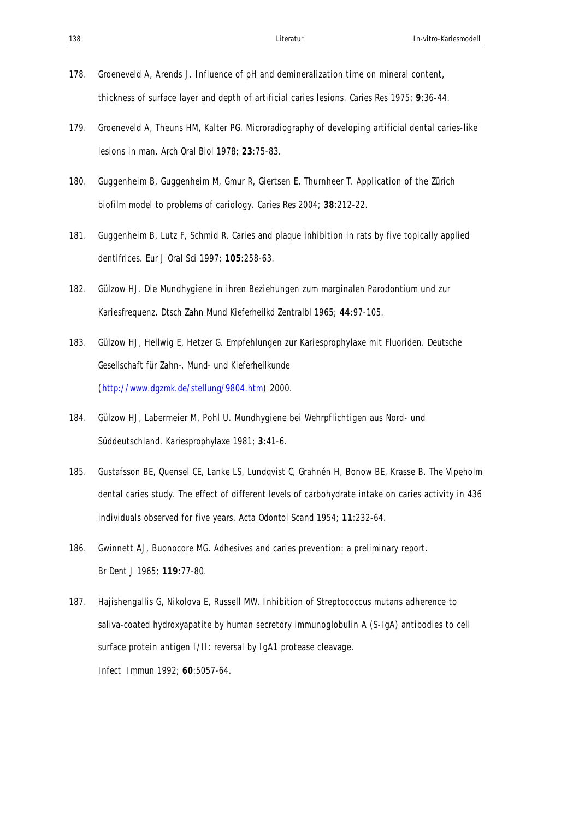- 178. Groeneveld A, Arends J. Influence of pH and demineralization time on mineral content, thickness of surface layer and depth of artificial caries lesions. *Caries Res* 1975; **9**:36-44.
- 179. Groeneveld A, Theuns HM, Kalter PG. Microradiography of developing artificial dental caries-like lesions in man. *Arch Oral Biol* 1978; **23**:75-83.
- 180. Guggenheim B, Guggenheim M, Gmur R, Giertsen E, Thurnheer T. Application of the Zürich biofilm model to problems of cariology. *Caries Res* 2004; **38**:212-22.
- 181. Guggenheim B, Lutz F, Schmid R. Caries and plaque inhibition in rats by five topically applied dentifrices. *Eur J Oral Sci* 1997; **105**:258-63.
- 182. Gülzow HJ. Die Mundhygiene in ihren Beziehungen zum marginalen Parodontium und zur Kariesfrequenz. *Dtsch Zahn Mund Kieferheilkd Zentralbl* 1965; **44**:97-105.
- 183. Gülzow HJ, Hellwig E, Hetzer G. Empfehlungen zur Kariesprophylaxe mit Fluoriden. *Deutsche Gesellschaft für Zahn-, Mund- und Kieferheilkunde (http://www.dgzmk.de/stellung/9804.htm)* 2000.
- 184. Gülzow HJ, Labermeier M, Pohl U. Mundhygiene bei Wehrpflichtigen aus Nord- und Süddeutschland. *Kariesprophylaxe* 1981; **3**:41-6.
- 185. Gustafsson BE, Quensel CE, Lanke LS, Lundqvist C, Grahnén H, Bonow BE, Krasse B. The Vipeholm dental caries study. The effect of different levels of carbohydrate intake on caries activity in 436 individuals observed for five years. *Acta Odontol Scand* 1954; **11**:232-64.
- 186. Gwinnett AJ, Buonocore MG. Adhesives and caries prevention: a preliminary report. *Br Dent J* 1965; **119**:77-80.
- 187. Hajishengallis G, Nikolova E, Russell MW. Inhibition of Streptococcus mutans adherence to saliva-coated hydroxyapatite by human secretory immunoglobulin A (S-IgA) antibodies to cell surface protein antigen I/II: reversal by IgA1 protease cleavage. *Infect Immun* 1992; **60**:5057-64.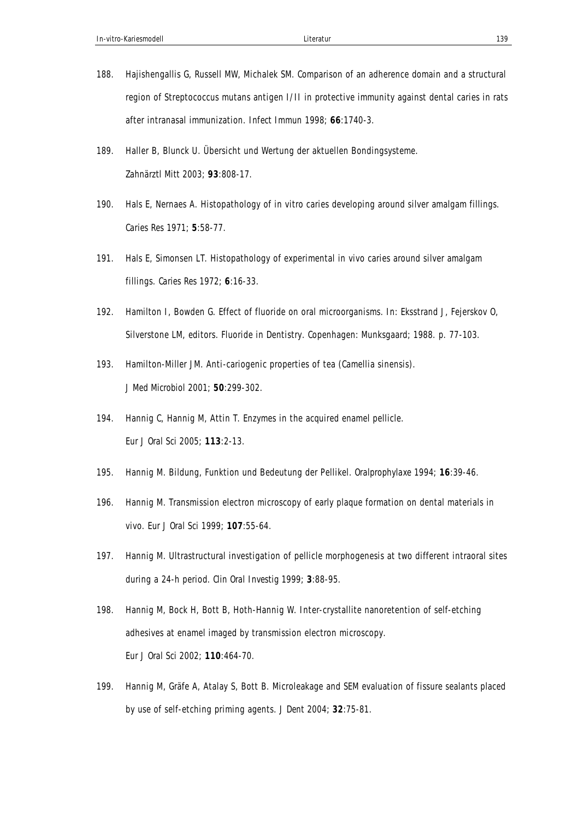- 188. Hajishengallis G, Russell MW, Michalek SM. Comparison of an adherence domain and a structural region of Streptococcus mutans antigen I/II in protective immunity against dental caries in rats after intranasal immunization. *Infect Immun* 1998; **66**:1740-3.
- 189. Haller B, Blunck U. Übersicht und Wertung der aktuellen Bondingsysteme. *Zahnärztl Mitt* 2003; **93**:808-17.
- 190. Hals E, Nernaes A. Histopathology of in vitro caries developing around silver amalgam fillings. *Caries Res* 1971; **5**:58-77.
- 191. Hals E, Simonsen LT. Histopathology of experimental in vivo caries around silver amalgam fillings. *Caries Res* 1972; **6**:16-33.
- 192. Hamilton I, Bowden G. Effect of fluoride on oral microorganisms. In: Eksstrand J, Fejerskov O, Silverstone LM, editors. Fluoride in Dentistry. Copenhagen: Munksgaard; 1988. p. 77-103.
- 193. Hamilton-Miller JM. Anti-cariogenic properties of tea (Camellia sinensis). *J Med Microbiol* 2001; **50**:299-302.
- 194. Hannig C, Hannig M, Attin T. Enzymes in the acquired enamel pellicle. *Eur J Oral Sci* 2005; **113**:2-13.
- 195. Hannig M. Bildung, Funktion und Bedeutung der Pellikel. *Oralprophylaxe* 1994; **16**:39-46.
- 196. Hannig M. Transmission electron microscopy of early plaque formation on dental materials in vivo. *Eur J Oral Sci* 1999; **107**:55-64.
- 197. Hannig M. Ultrastructural investigation of pellicle morphogenesis at two different intraoral sites during a 24-h period. *Clin Oral Investig* 1999; **3**:88-95.
- 198. Hannig M, Bock H, Bott B, Hoth-Hannig W. Inter-crystallite nanoretention of self-etching adhesives at enamel imaged by transmission electron microscopy. *Eur J Oral Sci* 2002; **110**:464-70.
- 199. Hannig M, Gräfe A, Atalay S, Bott B. Microleakage and SEM evaluation of fissure sealants placed by use of self-etching priming agents. *J Dent* 2004; **32**:75-81.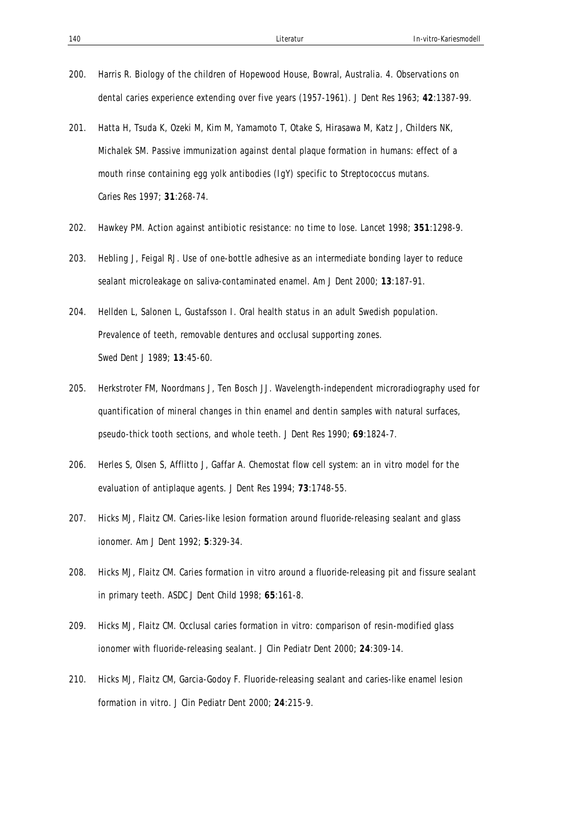- 200. Harris R. Biology of the children of Hopewood House, Bowral, Australia. 4. Observations on dental caries experience extending over five years (1957-1961). *J Dent Res* 1963; **42**:1387-99.
- 201. Hatta H, Tsuda K, Ozeki M, Kim M, Yamamoto T, Otake S, Hirasawa M, Katz J, Childers NK, Michalek SM. Passive immunization against dental plaque formation in humans: effect of a mouth rinse containing egg yolk antibodies (IgY) specific to Streptococcus mutans. *Caries Res* 1997; **31**:268-74.
- 202. Hawkey PM. Action against antibiotic resistance: no time to lose. *Lancet* 1998; **351**:1298-9.
- 203. Hebling J, Feigal RJ. Use of one-bottle adhesive as an intermediate bonding layer to reduce sealant microleakage on saliva-contaminated enamel. *Am J Dent* 2000; **13**:187-91.
- 204. Hellden L, Salonen L, Gustafsson I. Oral health status in an adult Swedish population. Prevalence of teeth, removable dentures and occlusal supporting zones. *Swed Dent J* 1989; **13**:45-60.
- 205. Herkstroter FM, Noordmans J, Ten Bosch JJ. Wavelength-independent microradiography used for quantification of mineral changes in thin enamel and dentin samples with natural surfaces, pseudo-thick tooth sections, and whole teeth. *J Dent Res* 1990; **69**:1824-7.
- 206. Herles S, Olsen S, Afflitto J, Gaffar A. Chemostat flow cell system: an in vitro model for the evaluation of antiplaque agents. *J Dent Res* 1994; **73**:1748-55.
- 207. Hicks MJ, Flaitz CM. Caries-like lesion formation around fluoride-releasing sealant and glass ionomer. *Am J Dent* 1992; **5**:329-34.
- 208. Hicks MJ, Flaitz CM. Caries formation in vitro around a fluoride-releasing pit and fissure sealant in primary teeth. *ASDC J Dent Child* 1998; **65**:161-8.
- 209. Hicks MJ, Flaitz CM. Occlusal caries formation in vitro: comparison of resin-modified glass ionomer with fluoride-releasing sealant. *J Clin Pediatr Dent* 2000; **24**:309-14.
- 210. Hicks MJ, Flaitz CM, Garcia-Godoy F. Fluoride-releasing sealant and caries-like enamel lesion formation in vitro. *J Clin Pediatr Dent* 2000; **24**:215-9.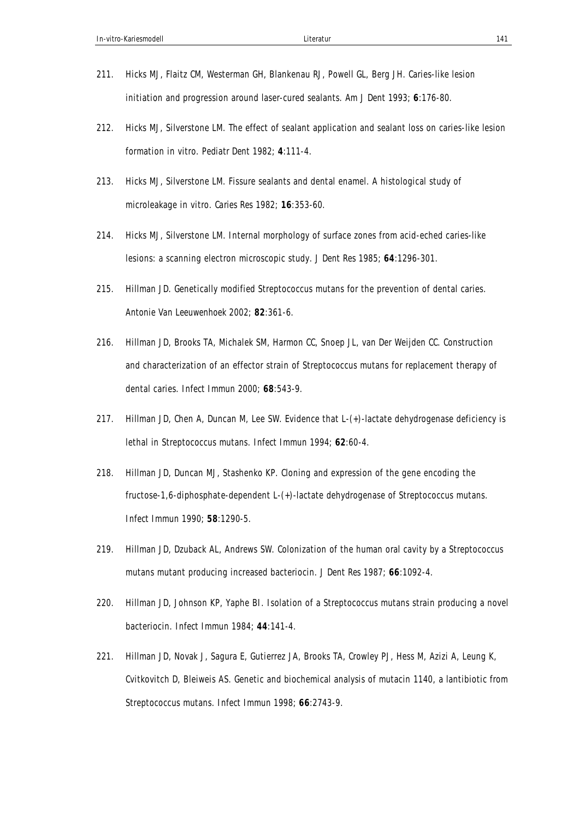- 211. Hicks MJ, Flaitz CM, Westerman GH, Blankenau RJ, Powell GL, Berg JH. Caries-like lesion initiation and progression around laser-cured sealants. *Am J Dent* 1993; **6**:176-80.
- 212. Hicks MJ, Silverstone LM. The effect of sealant application and sealant loss on caries-like lesion formation in vitro. *Pediatr Dent* 1982; **4**:111-4.
- 213. Hicks MJ, Silverstone LM. Fissure sealants and dental enamel. A histological study of microleakage in vitro. *Caries Res* 1982; **16**:353-60.
- 214. Hicks MJ, Silverstone LM. Internal morphology of surface zones from acid-eched caries-like lesions: a scanning electron microscopic study. *J Dent Res* 1985; **64**:1296-301.
- 215. Hillman JD. Genetically modified Streptococcus mutans for the prevention of dental caries. *Antonie Van Leeuwenhoek* 2002; **82**:361-6.
- 216. Hillman JD, Brooks TA, Michalek SM, Harmon CC, Snoep JL, van Der Weijden CC. Construction and characterization of an effector strain of Streptococcus mutans for replacement therapy of dental caries. *Infect Immun* 2000; **68**:543-9.
- 217. Hillman JD, Chen A, Duncan M, Lee SW. Evidence that L-(+)-lactate dehydrogenase deficiency is lethal in Streptococcus mutans. *Infect Immun* 1994; **62**:60-4.
- 218. Hillman JD, Duncan MJ, Stashenko KP. Cloning and expression of the gene encoding the fructose-1,6-diphosphate-dependent L-(+)-lactate dehydrogenase of Streptococcus mutans. *Infect Immun* 1990; **58**:1290-5.
- 219. Hillman JD, Dzuback AL, Andrews SW. Colonization of the human oral cavity by a Streptococcus mutans mutant producing increased bacteriocin. *J Dent Res* 1987; **66**:1092-4.
- 220. Hillman JD, Johnson KP, Yaphe BI. Isolation of a Streptococcus mutans strain producing a novel bacteriocin. *Infect Immun* 1984; **44**:141-4.
- 221. Hillman JD, Novak J, Sagura E, Gutierrez JA, Brooks TA, Crowley PJ, Hess M, Azizi A, Leung K, Cvitkovitch D, Bleiweis AS. Genetic and biochemical analysis of mutacin 1140, a lantibiotic from Streptococcus mutans. *Infect Immun* 1998; **66**:2743-9.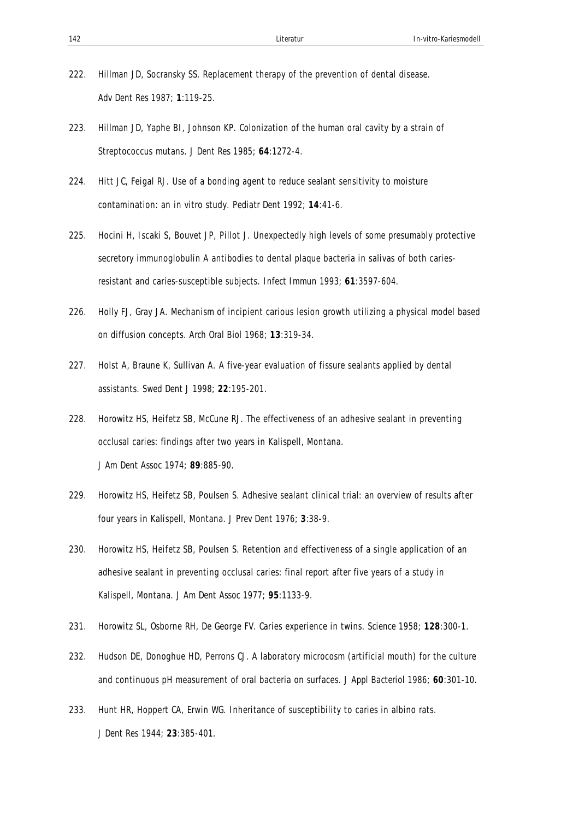- 222. Hillman JD, Socransky SS. Replacement therapy of the prevention of dental disease. *Adv Dent Res* 1987; **1**:119-25.
- 223. Hillman JD, Yaphe BI, Johnson KP. Colonization of the human oral cavity by a strain of Streptococcus mutans. *J Dent Res* 1985; **64**:1272-4.
- 224. Hitt JC, Feigal RJ. Use of a bonding agent to reduce sealant sensitivity to moisture contamination: an in vitro study. *Pediatr Dent* 1992; **14**:41-6.
- 225. Hocini H, Iscaki S, Bouvet JP, Pillot J. Unexpectedly high levels of some presumably protective secretory immunoglobulin A antibodies to dental plaque bacteria in salivas of both cariesresistant and caries-susceptible subjects. *Infect Immun* 1993; **61**:3597-604.
- 226. Holly FJ, Gray JA. Mechanism of incipient carious lesion growth utilizing a physical model based on diffusion concepts. *Arch Oral Biol* 1968; **13**:319-34.
- 227. Holst A, Braune K, Sullivan A. A five-year evaluation of fissure sealants applied by dental assistants. *Swed Dent J* 1998; **22**:195-201.
- 228. Horowitz HS, Heifetz SB, McCune RJ. The effectiveness of an adhesive sealant in preventing occlusal caries: findings after two years in Kalispell, Montana. *J Am Dent Assoc* 1974; **89**:885-90.
- 229. Horowitz HS, Heifetz SB, Poulsen S. Adhesive sealant clinical trial: an overview of results after four years in Kalispell, Montana. *J Prev Dent* 1976; **3**:38-9.
- 230. Horowitz HS, Heifetz SB, Poulsen S. Retention and effectiveness of a single application of an adhesive sealant in preventing occlusal caries: final report after five years of a study in Kalispell, Montana. *J Am Dent Assoc* 1977; **95**:1133-9.
- 231. Horowitz SL, Osborne RH, De George FV. Caries experience in twins. *Science* 1958; **128**:300-1.
- 232. Hudson DE, Donoghue HD, Perrons CJ. A laboratory microcosm (artificial mouth) for the culture and continuous pH measurement of oral bacteria on surfaces. *J Appl Bacteriol* 1986; **60**:301-10.
- 233. Hunt HR, Hoppert CA, Erwin WG. Inheritance of susceptibility to caries in albino rats. *J Dent Res* 1944; **23**:385-401.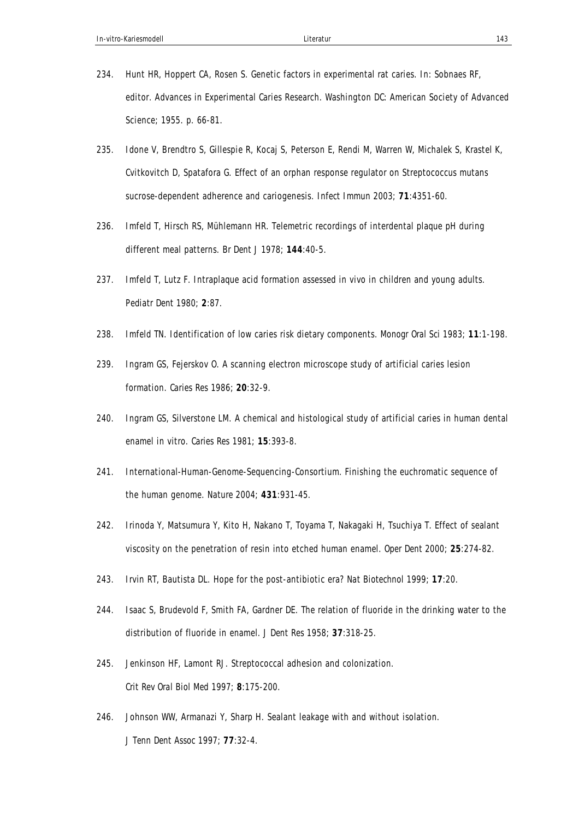- 234. Hunt HR, Hoppert CA, Rosen S. Genetic factors in experimental rat caries. In: Sobnaes RF, editor. Advances in Experimental Caries Research. Washington DC: American Society of Advanced Science; 1955. p. 66-81.
- 235. Idone V, Brendtro S, Gillespie R, Kocaj S, Peterson E, Rendi M, Warren W, Michalek S, Krastel K, Cvitkovitch D, Spatafora G. Effect of an orphan response regulator on Streptococcus mutans sucrose-dependent adherence and cariogenesis. *Infect Immun* 2003; **71**:4351-60.
- 236. Imfeld T, Hirsch RS, Mühlemann HR. Telemetric recordings of interdental plaque pH during different meal patterns. *Br Dent J* 1978; **144**:40-5.
- 237. Imfeld T, Lutz F. Intraplaque acid formation assessed in vivo in children and young adults. *Pediatr Dent* 1980; **2**:87.
- 238. Imfeld TN. Identification of low caries risk dietary components. *Monogr Oral Sci* 1983; **11**:1-198.
- 239. Ingram GS, Fejerskov O. A scanning electron microscope study of artificial caries lesion formation. *Caries Res* 1986; **20**:32-9.
- 240. Ingram GS, Silverstone LM. A chemical and histological study of artificial caries in human dental enamel in vitro. *Caries Res* 1981; **15**:393-8.
- 241. International-Human-Genome-Sequencing-Consortium. Finishing the euchromatic sequence of the human genome. *Nature* 2004; **431**:931-45.
- 242. Irinoda Y, Matsumura Y, Kito H, Nakano T, Toyama T, Nakagaki H, Tsuchiya T. Effect of sealant viscosity on the penetration of resin into etched human enamel. *Oper Dent* 2000; **25**:274-82.
- 243. Irvin RT, Bautista DL. Hope for the post-antibiotic era? *Nat Biotechnol* 1999; **17**:20.
- 244. Isaac S, Brudevold F, Smith FA, Gardner DE. The relation of fluoride in the drinking water to the distribution of fluoride in enamel. *J Dent Res* 1958; **37**:318-25.
- 245. Jenkinson HF, Lamont RJ. Streptococcal adhesion and colonization. *Crit Rev Oral Biol Med* 1997; **8**:175-200.
- 246. Johnson WW, Armanazi Y, Sharp H. Sealant leakage with and without isolation. *J Tenn Dent Assoc* 1997; **77**:32-4.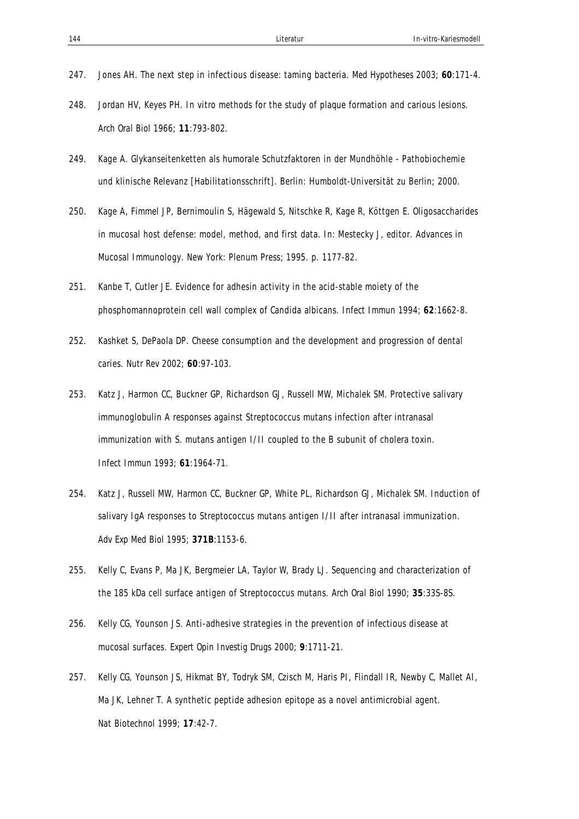- 247. Jones AH. The next step in infectious disease: taming bacteria. *Med Hypotheses* 2003; **60**:171-4.
- 248. Jordan HV, Keyes PH. In vitro methods for the study of plaque formation and carious lesions. *Arch Oral Biol* 1966; **11**:793-802.
- 249. Kage A. Glykanseitenketten als humorale Schutzfaktoren in der Mundhöhle Pathobiochemie und klinische Relevanz [Habilitationsschrift]. Berlin: Humboldt-Universität zu Berlin; 2000.
- 250. Kage A, Fimmel JP, Bernimoulin S, Hägewald S, Nitschke R, Kage R, Köttgen E. Oligosaccharides in mucosal host defense: model, method, and first data. In: Mestecky J, editor. Advances in Mucosal Immunology. New York: Plenum Press; 1995. p. 1177-82.
- 251. Kanbe T, Cutler JE. Evidence for adhesin activity in the acid-stable moiety of the phosphomannoprotein cell wall complex of Candida albicans. *Infect Immun* 1994; **62**:1662-8.
- 252. Kashket S, DePaola DP. Cheese consumption and the development and progression of dental caries. *Nutr Rev* 2002; **60**:97-103.
- 253. Katz J, Harmon CC, Buckner GP, Richardson GJ, Russell MW, Michalek SM. Protective salivary immunoglobulin A responses against Streptococcus mutans infection after intranasal immunization with S. mutans antigen I/II coupled to the B subunit of cholera toxin. *Infect Immun* 1993; **61**:1964-71.
- 254. Katz J, Russell MW, Harmon CC, Buckner GP, White PL, Richardson GJ, Michalek SM. Induction of salivary IgA responses to Streptococcus mutans antigen I/II after intranasal immunization. *Adv Exp Med Biol* 1995; **371B**:1153-6.
- 255. Kelly C, Evans P, Ma JK, Bergmeier LA, Taylor W, Brady LJ. Sequencing and characterization of the 185 kDa cell surface antigen of Streptococcus mutans. *Arch Oral Biol* 1990; **35**:33S-8S.
- 256. Kelly CG, Younson JS. Anti-adhesive strategies in the prevention of infectious disease at mucosal surfaces. *Expert Opin Investig Drugs* 2000; **9**:1711-21.
- 257. Kelly CG, Younson JS, Hikmat BY, Todryk SM, Czisch M, Haris PI, Flindall IR, Newby C, Mallet AI, Ma JK, Lehner T. A synthetic peptide adhesion epitope as a novel antimicrobial agent. *Nat Biotechnol* 1999; **17**:42-7.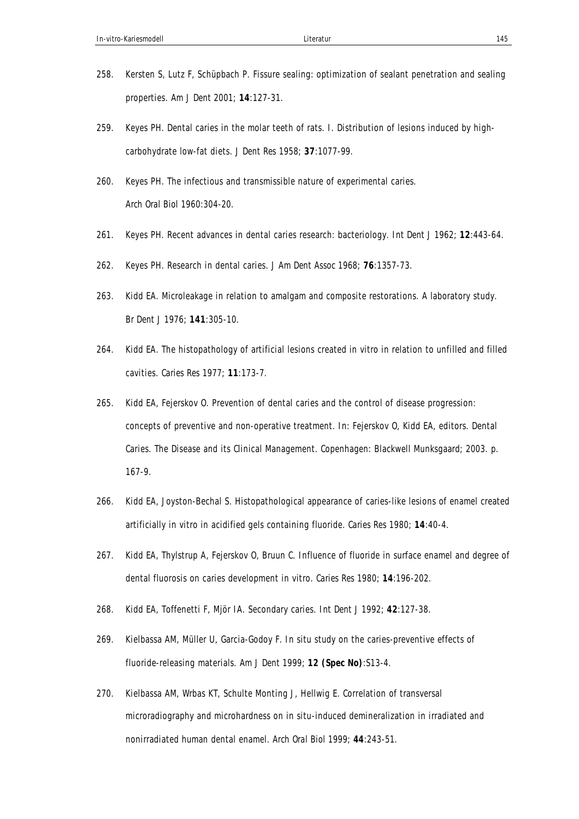- 258. Kersten S, Lutz F, Schüpbach P. Fissure sealing: optimization of sealant penetration and sealing properties. *Am J Dent* 2001; **14**:127-31.
- 259. Keyes PH. Dental caries in the molar teeth of rats. I. Distribution of lesions induced by highcarbohydrate low-fat diets. *J Dent Res* 1958; **37**:1077-99.
- 260. Keyes PH. The infectious and transmissible nature of experimental caries. *Arch Oral Biol* 1960:304-20.
- 261. Keyes PH. Recent advances in dental caries research: bacteriology. *Int Dent J* 1962; **12**:443-64.
- 262. Keyes PH. Research in dental caries. *J Am Dent Assoc* 1968; **76**:1357-73.
- 263. Kidd EA. Microleakage in relation to amalgam and composite restorations. A laboratory study. *Br Dent J* 1976; **141**:305-10.
- 264. Kidd EA. The histopathology of artificial lesions created in vitro in relation to unfilled and filled cavities. *Caries Res* 1977; **11**:173-7.
- 265. Kidd EA, Fejerskov O. Prevention of dental caries and the control of disease progression: concepts of preventive and non-operative treatment. In: Fejerskov O, Kidd EA, editors. Dental Caries. The Disease and its Clinical Management. Copenhagen: Blackwell Munksgaard; 2003. p. 167-9.
- 266. Kidd EA, Joyston-Bechal S. Histopathological appearance of caries-like lesions of enamel created artificially in vitro in acidified gels containing fluoride. *Caries Res* 1980; **14**:40-4.
- 267. Kidd EA, Thylstrup A, Fejerskov O, Bruun C. Influence of fluoride in surface enamel and degree of dental fluorosis on caries development in vitro. *Caries Res* 1980; **14**:196-202.
- 268. Kidd EA, Toffenetti F, Mjör IA. Secondary caries. *Int Dent J* 1992; **42**:127-38.
- 269. Kielbassa AM, Müller U, Garcia-Godoy F. In situ study on the caries-preventive effects of fluoride-releasing materials. *Am J Dent* 1999; **12 (Spec No)**:S13-4.
- 270. Kielbassa AM, Wrbas KT, Schulte Monting J, Hellwig E. Correlation of transversal microradiography and microhardness on in situ-induced demineralization in irradiated and nonirradiated human dental enamel. *Arch Oral Biol* 1999; **44**:243-51.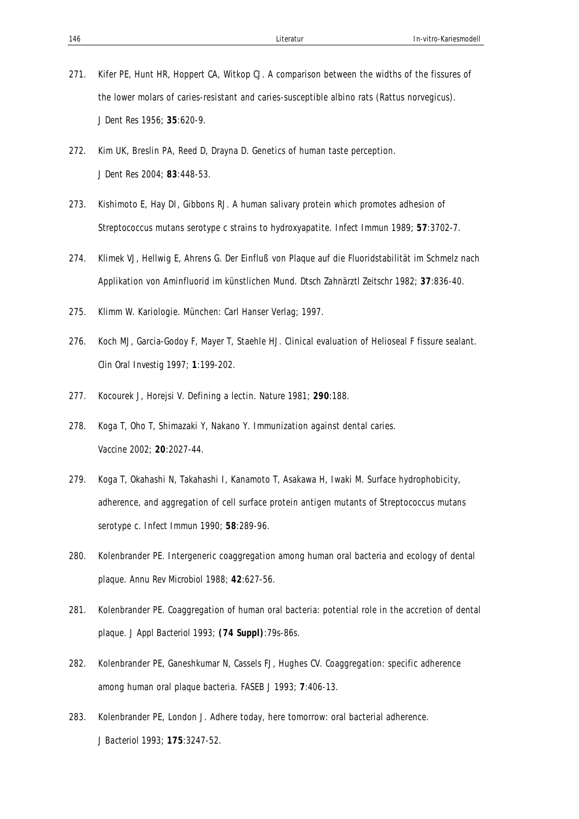- 271. Kifer PE, Hunt HR, Hoppert CA, Witkop CJ. A comparison between the widths of the fissures of the lower molars of caries-resistant and caries-susceptible albino rats (Rattus norvegicus). *J Dent Res* 1956; **35**:620-9.
- 272. Kim UK, Breslin PA, Reed D, Drayna D. Genetics of human taste perception. *J Dent Res* 2004; **83**:448-53.
- 273. Kishimoto E, Hay DI, Gibbons RJ. A human salivary protein which promotes adhesion of Streptococcus mutans serotype c strains to hydroxyapatite. *Infect Immun* 1989; **57**:3702-7.
- 274. Klimek VJ, Hellwig E, Ahrens G. Der Einfluß von Plaque auf die Fluoridstabilität im Schmelz nach Applikation von Aminfluorid im künstlichen Mund. *Dtsch Zahnärztl Zeitschr* 1982; **37**:836-40.
- 275. Klimm W. Kariologie. München: Carl Hanser Verlag; 1997.
- 276. Koch MJ, Garcia-Godoy F, Mayer T, Staehle HJ. Clinical evaluation of Helioseal F fissure sealant. *Clin Oral Investig* 1997; **1**:199-202.
- 277. Kocourek J, Horejsi V. Defining a lectin. *Nature* 1981; **290**:188.
- 278. Koga T, Oho T, Shimazaki Y, Nakano Y. Immunization against dental caries. *Vaccine* 2002; **20**:2027-44.
- 279. Koga T, Okahashi N, Takahashi I, Kanamoto T, Asakawa H, Iwaki M. Surface hydrophobicity, adherence, and aggregation of cell surface protein antigen mutants of Streptococcus mutans serotype c. *Infect Immun* 1990; **58**:289-96.
- 280. Kolenbrander PE. Intergeneric coaggregation among human oral bacteria and ecology of dental plaque. *Annu Rev Microbiol* 1988; **42**:627-56.
- 281. Kolenbrander PE. Coaggregation of human oral bacteria: potential role in the accretion of dental plaque. *J Appl Bacteriol* 1993; **(74 Suppl)**:79s-86s.
- 282. Kolenbrander PE, Ganeshkumar N, Cassels FJ, Hughes CV. Coaggregation: specific adherence among human oral plaque bacteria. *FASEB J* 1993; **7**:406-13.
- 283. Kolenbrander PE, London J. Adhere today, here tomorrow: oral bacterial adherence. *J Bacteriol* 1993; **175**:3247-52.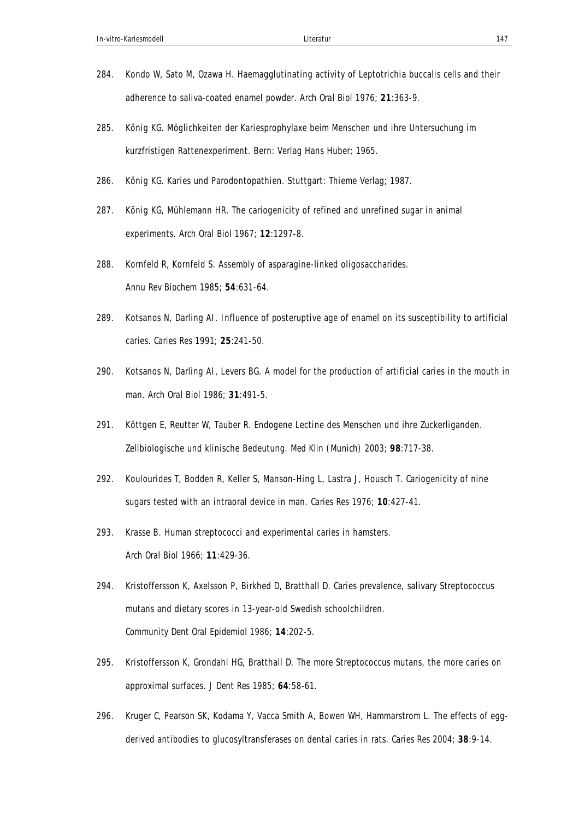- 284. Kondo W, Sato M, Ozawa H. Haemagglutinating activity of Leptotrichia buccalis cells and their adherence to saliva-coated enamel powder. *Arch Oral Biol* 1976; **21**:363-9.
- 285. König KG. Möglichkeiten der Kariesprophylaxe beim Menschen und ihre Untersuchung im kurzfristigen Rattenexperiment. Bern: Verlag Hans Huber; 1965.
- 286. König KG. Karies und Parodontopathien. Stuttgart: Thieme Verlag; 1987.
- 287. König KG, Mühlemann HR. The cariogenicity of refined and unrefined sugar in animal experiments. *Arch Oral Biol* 1967; **12**:1297-8.
- 288. Kornfeld R, Kornfeld S. Assembly of asparagine-linked oligosaccharides. *Annu Rev Biochem* 1985; **54**:631-64.
- 289. Kotsanos N, Darling AI. Influence of posteruptive age of enamel on its susceptibility to artificial caries. *Caries Res* 1991; **25**:241-50.
- 290. Kotsanos N, Darling AI, Levers BG. A model for the production of artificial caries in the mouth in man. *Arch Oral Biol* 1986; **31**:491-5.
- 291. Köttgen E, Reutter W, Tauber R. Endogene Lectine des Menschen und ihre Zuckerliganden. Zellbiologische und klinische Bedeutung. *Med Klin (Munich)* 2003; **98**:717-38.
- 292. Koulourides T, Bodden R, Keller S, Manson-Hing L, Lastra J, Housch T. Cariogenicity of nine sugars tested with an intraoral device in man. *Caries Res* 1976; **10**:427-41.
- 293. Krasse B. Human streptococci and experimental caries in hamsters. *Arch Oral Biol* 1966; **11**:429-36.
- 294. Kristoffersson K, Axelsson P, Birkhed D, Bratthall D. Caries prevalence, salivary Streptococcus mutans and dietary scores in 13-year-old Swedish schoolchildren. *Community Dent Oral Epidemiol* 1986; **14**:202-5.
- 295. Kristoffersson K, Grondahl HG, Bratthall D. The more Streptococcus mutans, the more caries on approximal surfaces. *J Dent Res* 1985; **64**:58-61.
- 296. Kruger C, Pearson SK, Kodama Y, Vacca Smith A, Bowen WH, Hammarstrom L. The effects of eggderived antibodies to glucosyltransferases on dental caries in rats. *Caries Res* 2004; **38**:9-14.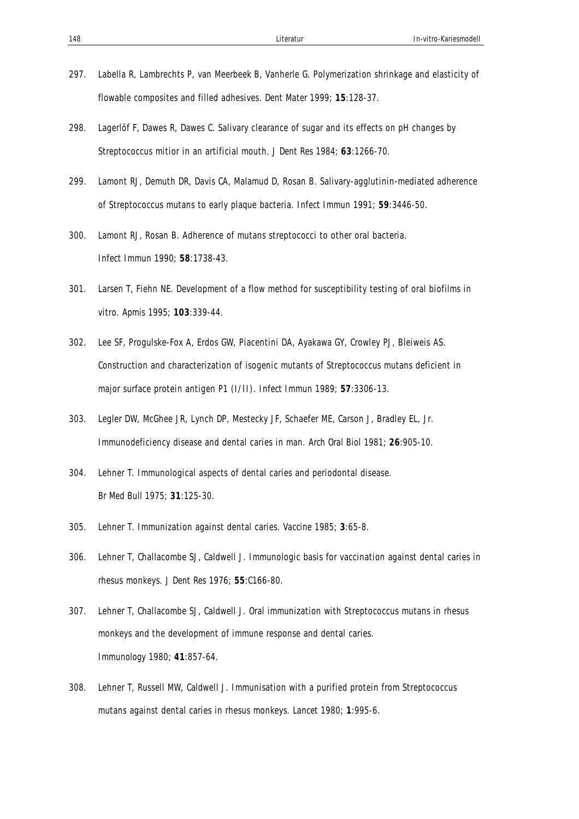- 297. Labella R, Lambrechts P, van Meerbeek B, Vanherle G. Polymerization shrinkage and elasticity of flowable composites and filled adhesives. *Dent Mater* 1999; **15**:128-37.
- 298. Lagerlöf F, Dawes R, Dawes C. Salivary clearance of sugar and its effects on pH changes by Streptococcus mitior in an artificial mouth. *J Dent Res* 1984; **63**:1266-70.
- 299. Lamont RJ, Demuth DR, Davis CA, Malamud D, Rosan B. Salivary-agglutinin-mediated adherence of Streptococcus mutans to early plaque bacteria. *Infect Immun* 1991; **59**:3446-50.
- 300. Lamont RJ, Rosan B. Adherence of mutans streptococci to other oral bacteria. *Infect Immun* 1990; **58**:1738-43.
- 301. Larsen T, Fiehn NE. Development of a flow method for susceptibility testing of oral biofilms in vitro. *Apmis* 1995; **103**:339-44.
- 302. Lee SF, Progulske-Fox A, Erdos GW, Piacentini DA, Ayakawa GY, Crowley PJ, Bleiweis AS. Construction and characterization of isogenic mutants of Streptococcus mutans deficient in major surface protein antigen P1 (I/II). *Infect Immun* 1989; **57**:3306-13.
- 303. Legler DW, McGhee JR, Lynch DP, Mestecky JF, Schaefer ME, Carson J, Bradley EL, Jr. Immunodeficiency disease and dental caries in man. *Arch Oral Biol* 1981; **26**:905-10.
- 304. Lehner T. Immunological aspects of dental caries and periodontal disease. *Br Med Bull* 1975; **31**:125-30.
- 305. Lehner T. Immunization against dental caries. *Vaccine* 1985; **3**:65-8.
- 306. Lehner T, Challacombe SJ, Caldwell J. Immunologic basis for vaccination against dental caries in rhesus monkeys. *J Dent Res* 1976; **55**:C166-80.
- 307. Lehner T, Challacombe SJ, Caldwell J. Oral immunization with Streptococcus mutans in rhesus monkeys and the development of immune response and dental caries. *Immunology* 1980; **41**:857-64.
- 308. Lehner T, Russell MW, Caldwell J. Immunisation with a purified protein from Streptococcus mutans against dental caries in rhesus monkeys. *Lancet* 1980; **1**:995-6.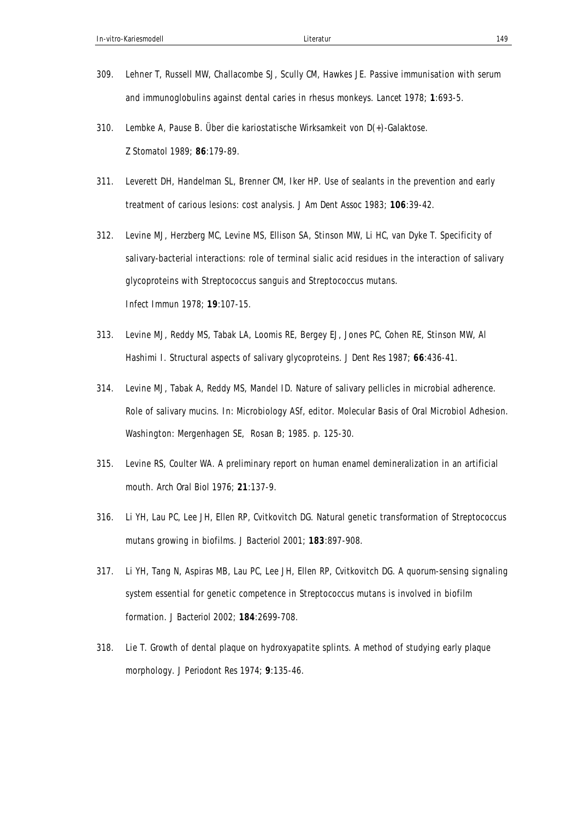- 309. Lehner T, Russell MW, Challacombe SJ, Scully CM, Hawkes JE. Passive immunisation with serum and immunoglobulins against dental caries in rhesus monkeys. *Lancet* 1978; **1**:693-5.
- 310. Lembke A, Pause B. Über die kariostatische Wirksamkeit von D(+)-Galaktose. *Z Stomatol* 1989; **86**:179-89.
- 311. Leverett DH, Handelman SL, Brenner CM, Iker HP. Use of sealants in the prevention and early treatment of carious lesions: cost analysis. *J Am Dent Assoc* 1983; **106**:39-42.
- 312. Levine MJ, Herzberg MC, Levine MS, Ellison SA, Stinson MW, Li HC, van Dyke T. Specificity of salivary-bacterial interactions: role of terminal sialic acid residues in the interaction of salivary glycoproteins with Streptococcus sanguis and Streptococcus mutans. *Infect Immun* 1978; **19**:107-15.
- 313. Levine MJ, Reddy MS, Tabak LA, Loomis RE, Bergey EJ, Jones PC, Cohen RE, Stinson MW, Al Hashimi I. Structural aspects of salivary glycoproteins. *J Dent Res* 1987; **66**:436-41.
- 314. Levine MJ, Tabak A, Reddy MS, Mandel ID. Nature of salivary pellicles in microbial adherence. Role of salivary mucins. In: Microbiology ASf, editor. Molecular Basis of Oral Microbiol Adhesion. Washington: Mergenhagen SE, Rosan B; 1985. p. 125-30.
- 315. Levine RS, Coulter WA. A preliminary report on human enamel demineralization in an artificial mouth. *Arch Oral Biol* 1976; **21**:137-9.
- 316. Li YH, Lau PC, Lee JH, Ellen RP, Cvitkovitch DG. Natural genetic transformation of Streptococcus mutans growing in biofilms. *J Bacteriol* 2001; **183**:897-908.
- 317. Li YH, Tang N, Aspiras MB, Lau PC, Lee JH, Ellen RP, Cvitkovitch DG. A quorum-sensing signaling system essential for genetic competence in Streptococcus mutans is involved in biofilm formation. *J Bacteriol* 2002; **184**:2699-708.
- 318. Lie T. Growth of dental plaque on hydroxyapatite splints. A method of studying early plaque morphology. *J Periodont Res* 1974; **9**:135-46.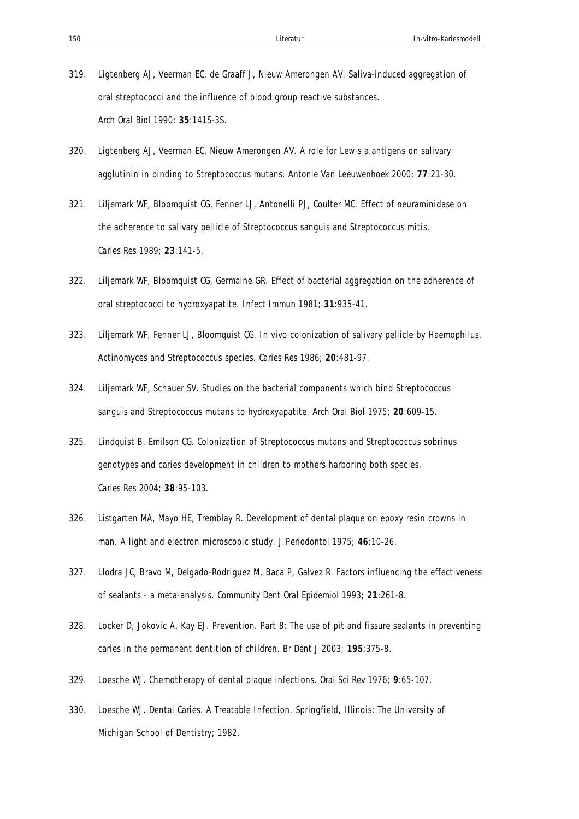- 319. Ligtenberg AJ, Veerman EC, de Graaff J, Nieuw Amerongen AV. Saliva-induced aggregation of oral streptococci and the influence of blood group reactive substances. *Arch Oral Biol* 1990; **35**:141S-3S.
- 320. Ligtenberg AJ, Veerman EC, Nieuw Amerongen AV. A role for Lewis a antigens on salivary agglutinin in binding to Streptococcus mutans. *Antonie Van Leeuwenhoek* 2000; **77**:21-30.
- 321. Liljemark WF, Bloomquist CG, Fenner LJ, Antonelli PJ, Coulter MC. Effect of neuraminidase on the adherence to salivary pellicle of Streptococcus sanguis and Streptococcus mitis. *Caries Res* 1989; **23**:141-5.
- 322. Liljemark WF, Bloomquist CG, Germaine GR. Effect of bacterial aggregation on the adherence of oral streptococci to hydroxyapatite. *Infect Immun* 1981; **31**:935-41.
- 323. Liljemark WF, Fenner LJ, Bloomquist CG. In vivo colonization of salivary pellicle by Haemophilus, Actinomyces and Streptococcus species. *Caries Res* 1986; **20**:481-97.
- 324. Liljemark WF, Schauer SV. Studies on the bacterial components which bind Streptococcus sanguis and Streptococcus mutans to hydroxyapatite. *Arch Oral Biol* 1975; **20**:609-15.
- 325. Lindquist B, Emilson CG. Colonization of Streptococcus mutans and Streptococcus sobrinus genotypes and caries development in children to mothers harboring both species. *Caries Res* 2004; **38**:95-103.
- 326. Listgarten MA, Mayo HE, Tremblay R. Development of dental plaque on epoxy resin crowns in man. A light and electron microscopic study. *J Periodontol* 1975; **46**:10-26.
- 327. Llodra JC, Bravo M, Delgado-Rodriguez M, Baca P, Galvez R. Factors influencing the effectiveness of sealants - a meta-analysis. *Community Dent Oral Epidemiol* 1993; **21**:261-8.
- 328. Locker D, Jokovic A, Kay EJ. Prevention. Part 8: The use of pit and fissure sealants in preventing caries in the permanent dentition of children. *Br Dent J* 2003; **195**:375-8.
- 329. Loesche WJ. Chemotherapy of dental plaque infections. *Oral Sci Rev* 1976; **9**:65-107.
- 330. Loesche WJ. Dental Caries. A Treatable Infection. Springfield, Illinois: The University of Michigan School of Dentistry; 1982.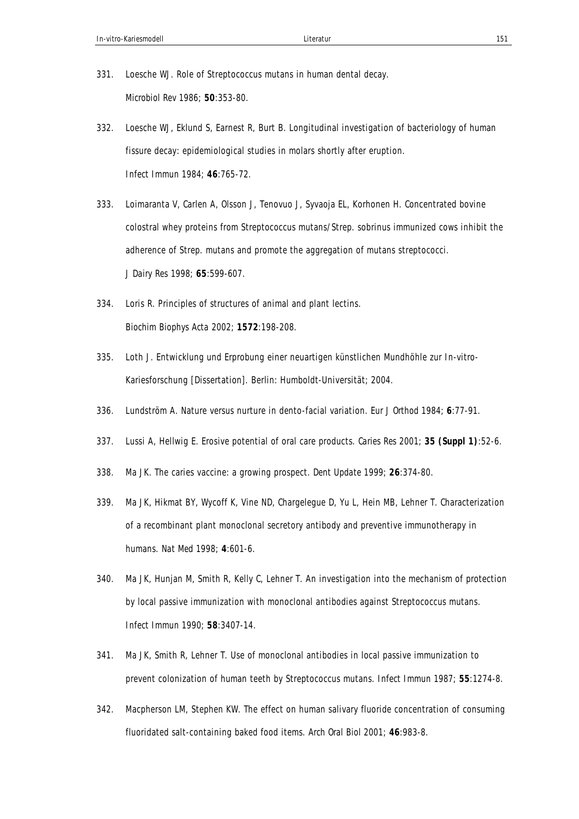- 331. Loesche WJ. Role of Streptococcus mutans in human dental decay. *Microbiol Rev* 1986; **50**:353-80.
- 332. Loesche WJ, Eklund S, Earnest R, Burt B. Longitudinal investigation of bacteriology of human fissure decay: epidemiological studies in molars shortly after eruption. *Infect Immun* 1984; **46**:765-72.
- 333. Loimaranta V, Carlen A, Olsson J, Tenovuo J, Syvaoja EL, Korhonen H. Concentrated bovine colostral whey proteins from Streptococcus mutans/Strep. sobrinus immunized cows inhibit the adherence of Strep. mutans and promote the aggregation of mutans streptococci. *J Dairy Res* 1998; **65**:599-607.
- 334. Loris R. Principles of structures of animal and plant lectins. *Biochim Biophys Acta* 2002; **1572**:198-208.
- 335. Loth J. Entwicklung und Erprobung einer neuartigen künstlichen Mundhöhle zur In-vitro-Kariesforschung [Dissertation]. Berlin: Humboldt-Universität; 2004.
- 336. Lundström A. Nature versus nurture in dento-facial variation. *Eur J Orthod* 1984; **6**:77-91.
- 337. Lussi A, Hellwig E. Erosive potential of oral care products. *Caries Res* 2001; **35 (Suppl 1)**:52-6.
- 338. Ma JK. The caries vaccine: a growing prospect. *Dent Update* 1999; **26**:374-80.
- 339. Ma JK, Hikmat BY, Wycoff K, Vine ND, Chargelegue D, Yu L, Hein MB, Lehner T. Characterization of a recombinant plant monoclonal secretory antibody and preventive immunotherapy in humans. *Nat Med* 1998; **4**:601-6.
- 340. Ma JK, Hunjan M, Smith R, Kelly C, Lehner T. An investigation into the mechanism of protection by local passive immunization with monoclonal antibodies against Streptococcus mutans. *Infect Immun* 1990; **58**:3407-14.
- 341. Ma JK, Smith R, Lehner T. Use of monoclonal antibodies in local passive immunization to prevent colonization of human teeth by Streptococcus mutans. *Infect Immun* 1987; **55**:1274-8.
- 342. Macpherson LM, Stephen KW. The effect on human salivary fluoride concentration of consuming fluoridated salt-containing baked food items. *Arch Oral Biol* 2001; **46**:983-8.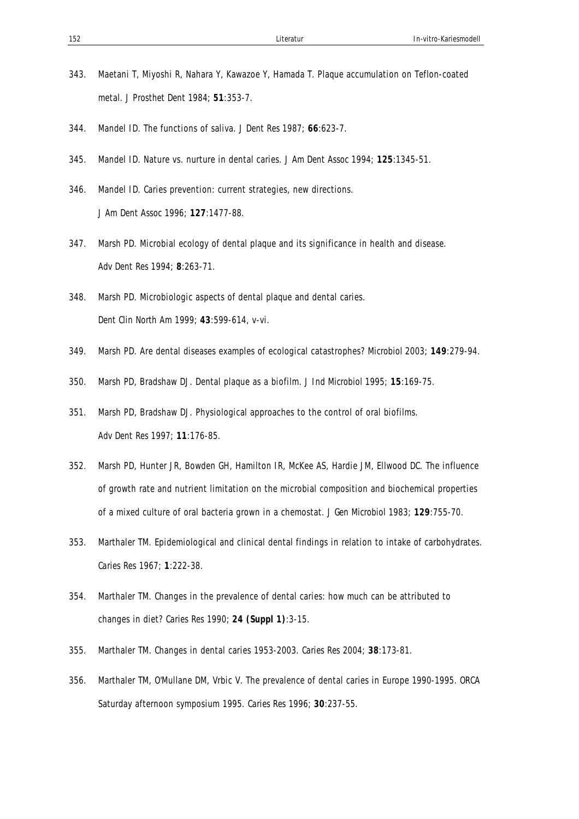- 343. Maetani T, Miyoshi R, Nahara Y, Kawazoe Y, Hamada T. Plaque accumulation on Teflon-coated metal. *J Prosthet Dent* 1984; **51**:353-7.
- 344. Mandel ID. The functions of saliva. *J Dent Res* 1987; **66**:623-7.
- 345. Mandel ID. Nature vs. nurture in dental caries. *J Am Dent Assoc* 1994; **125**:1345-51.
- 346. Mandel ID. Caries prevention: current strategies, new directions. *J Am Dent Assoc* 1996; **127**:1477-88.
- 347. Marsh PD. Microbial ecology of dental plaque and its significance in health and disease. *Adv Dent Res* 1994; **8**:263-71.
- 348. Marsh PD. Microbiologic aspects of dental plaque and dental caries. *Dent Clin North Am* 1999; **43**:599-614, v-vi.
- 349. Marsh PD. Are dental diseases examples of ecological catastrophes? *Microbiol* 2003; **149**:279-94.
- 350. Marsh PD, Bradshaw DJ. Dental plaque as a biofilm. *J Ind Microbiol* 1995; **15**:169-75.
- 351. Marsh PD, Bradshaw DJ. Physiological approaches to the control of oral biofilms. *Adv Dent Res* 1997; **11**:176-85.
- 352. Marsh PD, Hunter JR, Bowden GH, Hamilton IR, McKee AS, Hardie JM, Ellwood DC. The influence of growth rate and nutrient limitation on the microbial composition and biochemical properties of a mixed culture of oral bacteria grown in a chemostat. *J Gen Microbiol* 1983; **129**:755-70.
- 353. Marthaler TM. Epidemiological and clinical dental findings in relation to intake of carbohydrates. *Caries Res* 1967; **1**:222-38.
- 354. Marthaler TM. Changes in the prevalence of dental caries: how much can be attributed to changes in diet? *Caries Res* 1990; **24 (Suppl 1)**:3-15.
- 355. Marthaler TM. Changes in dental caries 1953-2003. *Caries Res* 2004; **38**:173-81.
- 356. Marthaler TM, O'Mullane DM, Vrbic V. The prevalence of dental caries in Europe 1990-1995. ORCA Saturday afternoon symposium 1995. *Caries Res* 1996; **30**:237-55.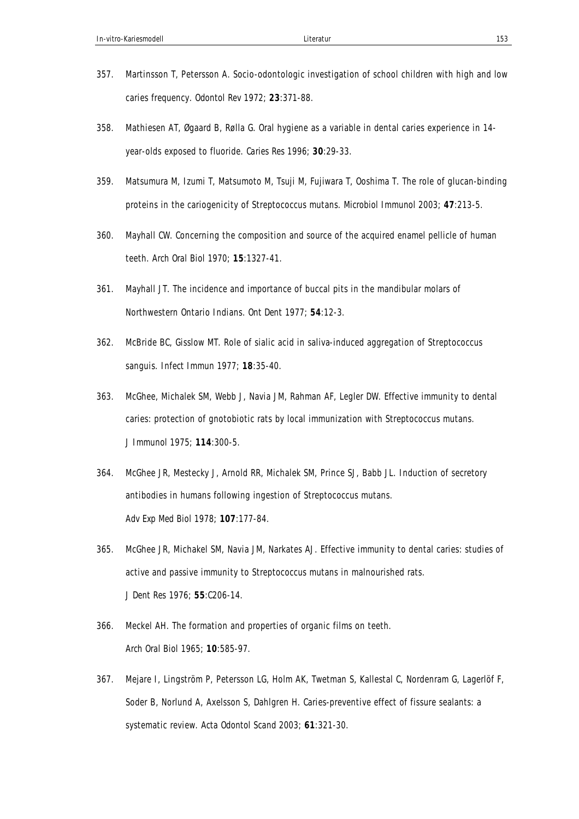- 357. Martinsson T, Petersson A. Socio-odontologic investigation of school children with high and low caries frequency. *Odontol Rev* 1972; **23**:371-88.
- 358. Mathiesen AT, Øgaard B, Rølla G. Oral hygiene as a variable in dental caries experience in 14 year-olds exposed to fluoride. *Caries Res* 1996; **30**:29-33.
- 359. Matsumura M, Izumi T, Matsumoto M, Tsuji M, Fujiwara T, Ooshima T. The role of glucan-binding proteins in the cariogenicity of Streptococcus mutans. *Microbiol Immunol* 2003; **47**:213-5.
- 360. Mayhall CW. Concerning the composition and source of the acquired enamel pellicle of human teeth. *Arch Oral Biol* 1970; **15**:1327-41.
- 361. Mayhall JT. The incidence and importance of buccal pits in the mandibular molars of Northwestern Ontario Indians. *Ont Dent* 1977; **54**:12-3.
- 362. McBride BC, Gisslow MT. Role of sialic acid in saliva-induced aggregation of Streptococcus sanguis. *Infect Immun* 1977; **18**:35-40.
- 363. McGhee, Michalek SM, Webb J, Navia JM, Rahman AF, Legler DW. Effective immunity to dental caries: protection of gnotobiotic rats by local immunization with Streptococcus mutans. *J Immunol* 1975; **114**:300-5.
- 364. McGhee JR, Mestecky J, Arnold RR, Michalek SM, Prince SJ, Babb JL. Induction of secretory antibodies in humans following ingestion of Streptococcus mutans. *Adv Exp Med Biol* 1978; **107**:177-84.
- 365. McGhee JR, Michakel SM, Navia JM, Narkates AJ. Effective immunity to dental caries: studies of active and passive immunity to Streptococcus mutans in malnourished rats. *J Dent Res* 1976; **55**:C206-14.
- 366. Meckel AH. The formation and properties of organic films on teeth. *Arch Oral Biol* 1965; **10**:585-97.
- 367. Mejare I, Lingström P, Petersson LG, Holm AK, Twetman S, Kallestal C, Nordenram G, Lagerlöf F, Soder B, Norlund A, Axelsson S, Dahlgren H. Caries-preventive effect of fissure sealants: a systematic review. *Acta Odontol Scand* 2003; **61**:321-30.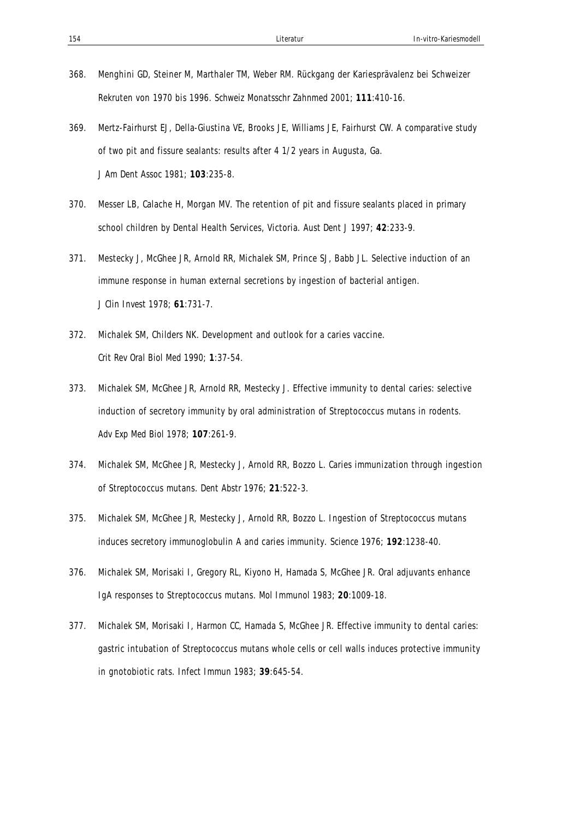- 368. Menghini GD, Steiner M, Marthaler TM, Weber RM. Rückgang der Kariesprävalenz bei Schweizer Rekruten von 1970 bis 1996. *Schweiz Monatsschr Zahnmed* 2001; **111**:410-16.
- 369. Mertz-Fairhurst EJ, Della-Giustina VE, Brooks JE, Williams JE, Fairhurst CW. A comparative study of two pit and fissure sealants: results after 4 1/2 years in Augusta, Ga. *J Am Dent Assoc* 1981; **103**:235-8.
- 370. Messer LB, Calache H, Morgan MV. The retention of pit and fissure sealants placed in primary school children by Dental Health Services, Victoria. *Aust Dent J* 1997; **42**:233-9.
- 371. Mestecky J, McGhee JR, Arnold RR, Michalek SM, Prince SJ, Babb JL. Selective induction of an immune response in human external secretions by ingestion of bacterial antigen. *J Clin Invest* 1978; **61**:731-7.
- 372. Michalek SM, Childers NK. Development and outlook for a caries vaccine. *Crit Rev Oral Biol Med* 1990; **1**:37-54.
- 373. Michalek SM, McGhee JR, Arnold RR, Mestecky J. Effective immunity to dental caries: selective induction of secretory immunity by oral administration of Streptococcus mutans in rodents. *Adv Exp Med Biol* 1978; **107**:261-9.
- 374. Michalek SM, McGhee JR, Mestecky J, Arnold RR, Bozzo L. Caries immunization through ingestion of Streptococcus mutans. *Dent Abstr* 1976; **21**:522-3.
- 375. Michalek SM, McGhee JR, Mestecky J, Arnold RR, Bozzo L. Ingestion of Streptococcus mutans induces secretory immunoglobulin A and caries immunity. *Science* 1976; **192**:1238-40.
- 376. Michalek SM, Morisaki I, Gregory RL, Kiyono H, Hamada S, McGhee JR. Oral adjuvants enhance IgA responses to Streptococcus mutans. *Mol Immunol* 1983; **20**:1009-18.
- 377. Michalek SM, Morisaki I, Harmon CC, Hamada S, McGhee JR. Effective immunity to dental caries: gastric intubation of Streptococcus mutans whole cells or cell walls induces protective immunity in gnotobiotic rats. *Infect Immun* 1983; **39**:645-54.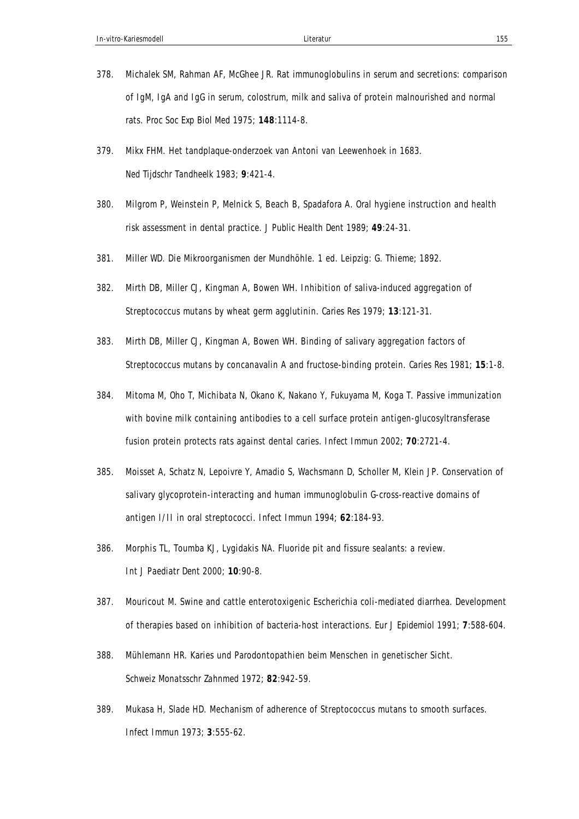- 378. Michalek SM, Rahman AF, McGhee JR. Rat immunoglobulins in serum and secretions: comparison of IgM, IgA and IgG in serum, colostrum, milk and saliva of protein malnourished and normal rats. *Proc Soc Exp Biol Med* 1975; **148**:1114-8.
- 379. Mikx FHM. Het tandplaque-onderzoek van Antoni van Leewenhoek in 1683. *Ned Tijdschr Tandheelk* 1983; **9**:421-4.
- 380. Milgrom P, Weinstein P, Melnick S, Beach B, Spadafora A. Oral hygiene instruction and health risk assessment in dental practice. *J Public Health Dent* 1989; **49**:24-31.
- 381. Miller WD. Die Mikroorganismen der Mundhöhle. 1 ed. Leipzig: G. Thieme; 1892.
- 382. Mirth DB, Miller CJ, Kingman A, Bowen WH. Inhibition of saliva-induced aggregation of Streptococcus mutans by wheat germ agglutinin. *Caries Res* 1979; **13**:121-31.
- 383. Mirth DB, Miller CJ, Kingman A, Bowen WH. Binding of salivary aggregation factors of Streptococcus mutans by concanavalin A and fructose-binding protein. *Caries Res* 1981; **15**:1-8.
- 384. Mitoma M, Oho T, Michibata N, Okano K, Nakano Y, Fukuyama M, Koga T. Passive immunization with bovine milk containing antibodies to a cell surface protein antigen-glucosyltransferase fusion protein protects rats against dental caries. *Infect Immun* 2002; **70**:2721-4.
- 385. Moisset A, Schatz N, Lepoivre Y, Amadio S, Wachsmann D, Scholler M, Klein JP. Conservation of salivary glycoprotein-interacting and human immunoglobulin G-cross-reactive domains of antigen I/II in oral streptococci. *Infect Immun* 1994; **62**:184-93.
- 386. Morphis TL, Toumba KJ, Lygidakis NA. Fluoride pit and fissure sealants: a review. *Int J Paediatr Dent* 2000; **10**:90-8.
- 387. Mouricout M. Swine and cattle enterotoxigenic Escherichia coli-mediated diarrhea. Development of therapies based on inhibition of bacteria-host interactions. *Eur J Epidemiol* 1991; **7**:588-604.
- 388. Mühlemann HR. Karies und Parodontopathien beim Menschen in genetischer Sicht. *Schweiz Monatsschr Zahnmed* 1972; **82**:942-59.
- 389. Mukasa H, Slade HD. Mechanism of adherence of Streptococcus mutans to smooth surfaces. *Infect Immun* 1973; **3**:555-62.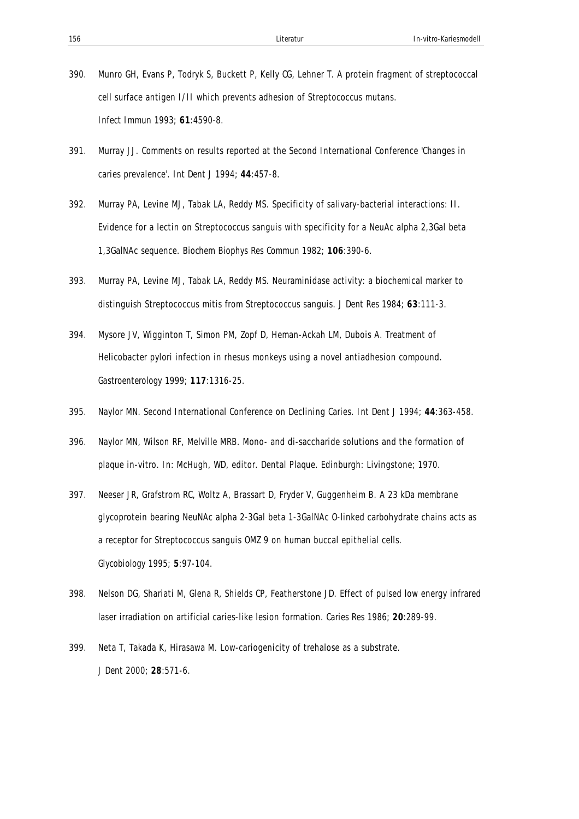- 390. Munro GH, Evans P, Todryk S, Buckett P, Kelly CG, Lehner T. A protein fragment of streptococcal cell surface antigen I/II which prevents adhesion of Streptococcus mutans. *Infect Immun* 1993; **61**:4590-8.
- 391. Murray JJ. Comments on results reported at the Second International Conference 'Changes in caries prevalence'. *Int Dent J* 1994; **44**:457-8.
- 392. Murray PA, Levine MJ, Tabak LA, Reddy MS. Specificity of salivary-bacterial interactions: II. Evidence for a lectin on Streptococcus sanguis with specificity for a NeuAc alpha 2,3Gal beta 1,3GalNAc sequence. *Biochem Biophys Res Commun* 1982; **106**:390-6.
- 393. Murray PA, Levine MJ, Tabak LA, Reddy MS. Neuraminidase activity: a biochemical marker to distinguish Streptococcus mitis from Streptococcus sanguis. *J Dent Res* 1984; **63**:111-3.
- 394. Mysore JV, Wigginton T, Simon PM, Zopf D, Heman-Ackah LM, Dubois A. Treatment of Helicobacter pylori infection in rhesus monkeys using a novel antiadhesion compound. *Gastroenterology* 1999; **117**:1316-25.
- 395. Naylor MN. Second International Conference on Declining Caries. *Int Dent J* 1994; **44**:363-458.
- 396. Naylor MN, Wilson RF, Melville MRB. Mono- and di-saccharide solutions and the formation of plaque in-vitro. In: McHugh, WD, editor. Dental Plaque. Edinburgh: Livingstone; 1970.
- 397. Neeser JR, Grafstrom RC, Woltz A, Brassart D, Fryder V, Guggenheim B. A 23 kDa membrane glycoprotein bearing NeuNAc alpha 2-3Gal beta 1-3GalNAc O-linked carbohydrate chains acts as a receptor for Streptococcus sanguis OMZ 9 on human buccal epithelial cells. *Glycobiology* 1995; **5**:97-104.
- 398. Nelson DG, Shariati M, Glena R, Shields CP, Featherstone JD. Effect of pulsed low energy infrared laser irradiation on artificial caries-like lesion formation. *Caries Res* 1986; **20**:289-99.
- 399. Neta T, Takada K, Hirasawa M. Low-cariogenicity of trehalose as a substrate. *J Dent* 2000; **28**:571-6.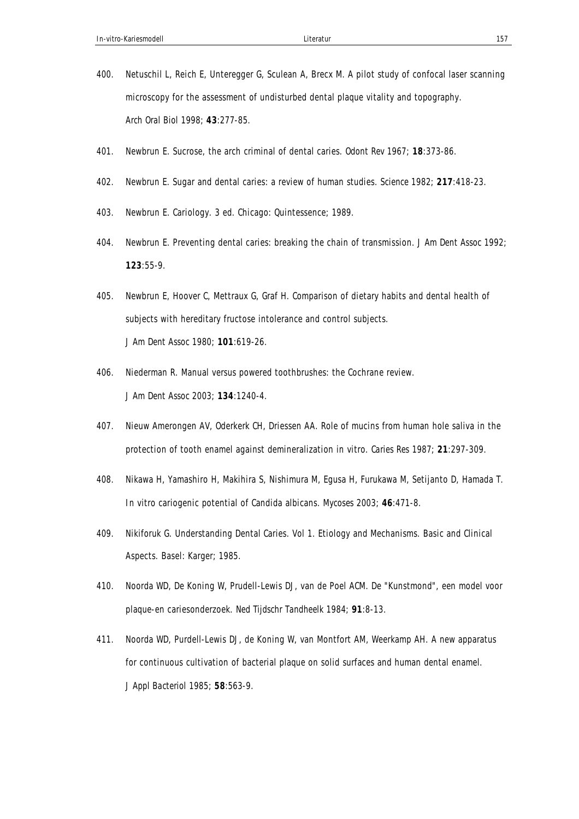- 400. Netuschil L, Reich E, Unteregger G, Sculean A, Brecx M. A pilot study of confocal laser scanning microscopy for the assessment of undisturbed dental plaque vitality and topography. *Arch Oral Biol* 1998; **43**:277-85.
- 401. Newbrun E. Sucrose, the arch criminal of dental caries. *Odont Rev* 1967; **18**:373-86.
- 402. Newbrun E. Sugar and dental caries: a review of human studies. *Science* 1982; **217**:418-23.
- 403. Newbrun E. Cariology. 3 ed. Chicago: Quintessence; 1989.
- 404. Newbrun E. Preventing dental caries: breaking the chain of transmission. *J Am Dent Assoc* 1992; **123**:55-9.
- 405. Newbrun E, Hoover C, Mettraux G, Graf H. Comparison of dietary habits and dental health of subjects with hereditary fructose intolerance and control subjects. *J Am Dent Assoc* 1980; **101**:619-26.
- 406. Niederman R. Manual versus powered toothbrushes: the Cochrane review. *J Am Dent Assoc* 2003; **134**:1240-4.
- 407. Nieuw Amerongen AV, Oderkerk CH, Driessen AA. Role of mucins from human hole saliva in the protection of tooth enamel against demineralization in vitro. *Caries Res* 1987; **21**:297-309.
- 408. Nikawa H, Yamashiro H, Makihira S, Nishimura M, Egusa H, Furukawa M, Setijanto D, Hamada T. In vitro cariogenic potential of Candida albicans. *Mycoses* 2003; **46**:471-8.
- 409. Nikiforuk G. Understanding Dental Caries. Vol 1. Etiology and Mechanisms. Basic and Clinical Aspects. Basel: Karger; 1985.
- 410. Noorda WD, De Koning W, Prudell-Lewis DJ, van de Poel ACM. De "Kunstmond", een model voor plaque-en cariesonderzoek. *Ned Tijdschr Tandheelk* 1984; **91**:8-13.
- 411. Noorda WD, Purdell-Lewis DJ, de Koning W, van Montfort AM, Weerkamp AH. A new apparatus for continuous cultivation of bacterial plaque on solid surfaces and human dental enamel. *J Appl Bacteriol* 1985; **58**:563-9.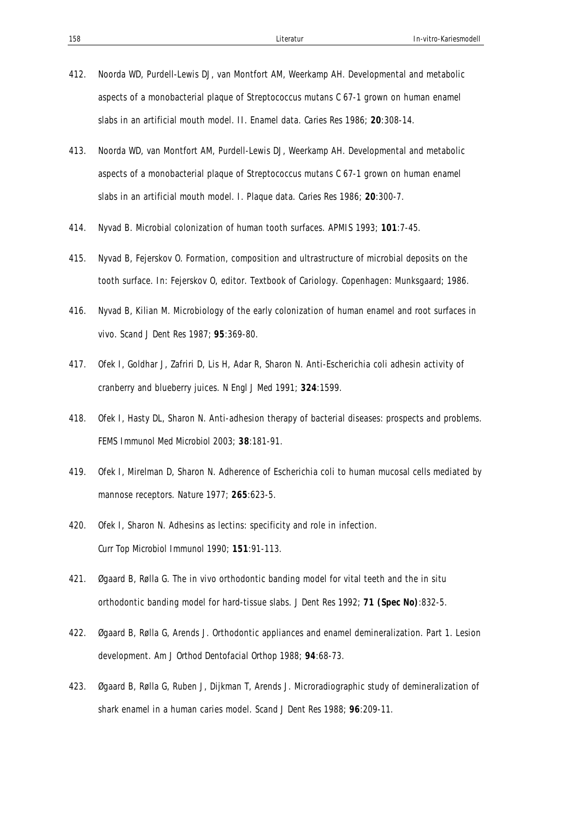- 412. Noorda WD, Purdell-Lewis DJ, van Montfort AM, Weerkamp AH. Developmental and metabolic aspects of a monobacterial plaque of Streptococcus mutans C 67-1 grown on human enamel slabs in an artificial mouth model. II. Enamel data. *Caries Res* 1986; **20**:308-14.
- 413. Noorda WD, van Montfort AM, Purdell-Lewis DJ, Weerkamp AH. Developmental and metabolic aspects of a monobacterial plaque of Streptococcus mutans C 67-1 grown on human enamel slabs in an artificial mouth model. I. Plaque data. *Caries Res* 1986; **20**:300-7.
- 414. Nyvad B. Microbial colonization of human tooth surfaces. *APMIS* 1993; **101**:7-45.
- 415. Nyvad B, Fejerskov O. Formation, composition and ultrastructure of microbial deposits on the tooth surface. In: Fejerskov O, editor. Textbook of Cariology. Copenhagen: Munksgaard; 1986.
- 416. Nyvad B, Kilian M. Microbiology of the early colonization of human enamel and root surfaces in vivo. *Scand J Dent Res* 1987; **95**:369-80.
- 417. Ofek I, Goldhar J, Zafriri D, Lis H, Adar R, Sharon N. Anti-Escherichia coli adhesin activity of cranberry and blueberry juices. *N Engl J Med* 1991; **324**:1599.
- 418. Ofek I, Hasty DL, Sharon N. Anti-adhesion therapy of bacterial diseases: prospects and problems. *FEMS Immunol Med Microbiol* 2003; **38**:181-91.
- 419. Ofek I, Mirelman D, Sharon N. Adherence of Escherichia coli to human mucosal cells mediated by mannose receptors. *Nature* 1977; **265**:623-5.
- 420. Ofek I, Sharon N. Adhesins as lectins: specificity and role in infection. *Curr Top Microbiol Immunol* 1990; **151**:91-113.
- 421. Øgaard B, Rølla G. The in vivo orthodontic banding model for vital teeth and the in situ orthodontic banding model for hard-tissue slabs. *J Dent Res* 1992; **71 (Spec No)**:832-5.
- 422. Øgaard B, Rølla G, Arends J. Orthodontic appliances and enamel demineralization. Part 1. Lesion development. *Am J Orthod Dentofacial Orthop* 1988; **94**:68-73.
- 423. Øgaard B, Rølla G, Ruben J, Dijkman T, Arends J. Microradiographic study of demineralization of shark enamel in a human caries model. *Scand J Dent Res* 1988; **96**:209-11.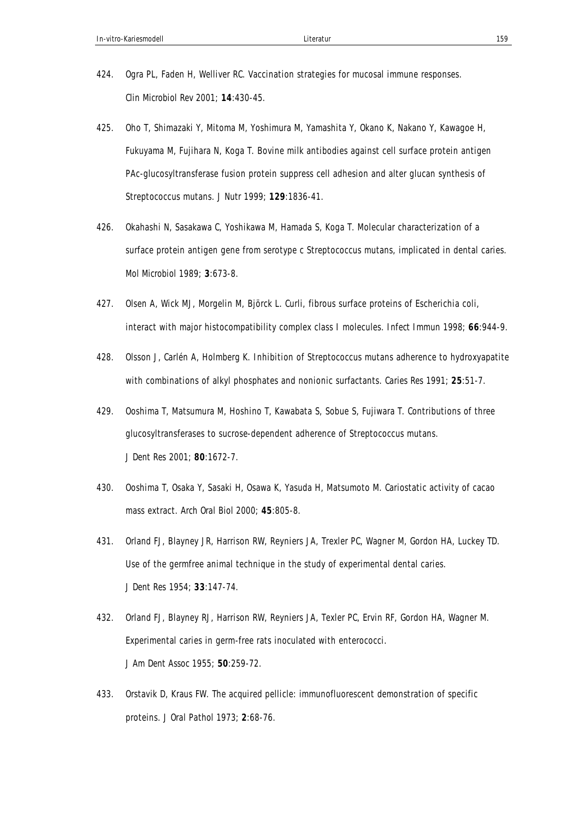- 424. Ogra PL, Faden H, Welliver RC. Vaccination strategies for mucosal immune responses. *Clin Microbiol Rev* 2001; **14**:430-45.
- 425. Oho T, Shimazaki Y, Mitoma M, Yoshimura M, Yamashita Y, Okano K, Nakano Y, Kawagoe H, Fukuyama M, Fujihara N, Koga T. Bovine milk antibodies against cell surface protein antigen PAc-glucosyltransferase fusion protein suppress cell adhesion and alter glucan synthesis of Streptococcus mutans. *J Nutr* 1999; **129**:1836-41.
- 426. Okahashi N, Sasakawa C, Yoshikawa M, Hamada S, Koga T. Molecular characterization of a surface protein antigen gene from serotype c Streptococcus mutans, implicated in dental caries. *Mol Microbiol* 1989; **3**:673-8.
- 427. Olsen A, Wick MJ, Morgelin M, Björck L. Curli, fibrous surface proteins of Escherichia coli, interact with major histocompatibility complex class I molecules. *Infect Immun* 1998; **66**:944-9.
- 428. Olsson J, Carlén A, Holmberg K. Inhibition of Streptococcus mutans adherence to hydroxyapatite with combinations of alkyl phosphates and nonionic surfactants. *Caries Res* 1991; **25**:51-7.
- 429. Ooshima T, Matsumura M, Hoshino T, Kawabata S, Sobue S, Fujiwara T. Contributions of three glucosyltransferases to sucrose-dependent adherence of Streptococcus mutans. *J Dent Res* 2001; **80**:1672-7.
- 430. Ooshima T, Osaka Y, Sasaki H, Osawa K, Yasuda H, Matsumoto M. Cariostatic activity of cacao mass extract. *Arch Oral Biol* 2000; **45**:805-8.
- 431. Orland FJ, Blayney JR, Harrison RW, Reyniers JA, Trexler PC, Wagner M, Gordon HA, Luckey TD. Use of the germfree animal technique in the study of experimental dental caries. *J Dent Res* 1954; **33**:147-74.
- 432. Orland FJ, Blayney RJ, Harrison RW, Reyniers JA, Texler PC, Ervin RF, Gordon HA, Wagner M. Experimental caries in germ-free rats inoculated with enterococci. *J Am Dent Assoc* 1955; **50**:259-72.
- 433. Orstavik D, Kraus FW. The acquired pellicle: immunofluorescent demonstration of specific proteins. *J Oral Pathol* 1973; **2**:68-76.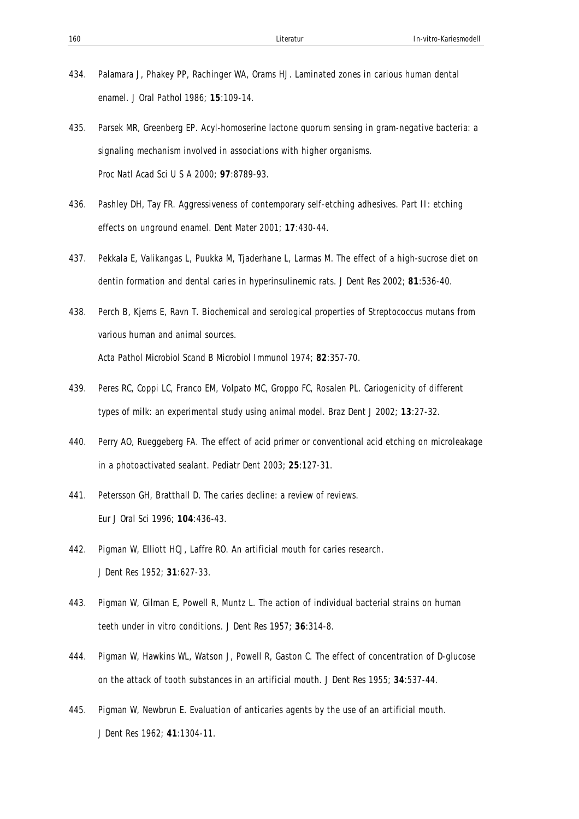- 434. Palamara J, Phakey PP, Rachinger WA, Orams HJ. Laminated zones in carious human dental enamel. *J Oral Pathol* 1986; **15**:109-14.
- 435. Parsek MR, Greenberg EP. Acyl-homoserine lactone quorum sensing in gram-negative bacteria: a signaling mechanism involved in associations with higher organisms. *Proc Natl Acad Sci U S A* 2000; **97**:8789-93.
- 436. Pashley DH, Tay FR. Aggressiveness of contemporary self-etching adhesives. Part II: etching effects on unground enamel. *Dent Mater* 2001; **17**:430-44.
- 437. Pekkala E, Valikangas L, Puukka M, Tjaderhane L, Larmas M. The effect of a high-sucrose diet on dentin formation and dental caries in hyperinsulinemic rats. *J Dent Res* 2002; **81**:536-40.
- 438. Perch B, Kjems E, Ravn T. Biochemical and serological properties of Streptococcus mutans from various human and animal sources. *Acta Pathol Microbiol Scand B Microbiol Immunol* 1974; **82**:357-70.
- 439. Peres RC, Coppi LC, Franco EM, Volpato MC, Groppo FC, Rosalen PL. Cariogenicity of different types of milk: an experimental study using animal model. *Braz Dent J* 2002; **13**:27-32.
- 440. Perry AO, Rueggeberg FA. The effect of acid primer or conventional acid etching on microleakage in a photoactivated sealant. *Pediatr Dent* 2003; **25**:127-31.
- 441. Petersson GH, Bratthall D. The caries decline: a review of reviews. *Eur J Oral Sci* 1996; **104**:436-43.
- 442. Pigman W, Elliott HCJ, Laffre RO. An artificial mouth for caries research. *J Dent Res* 1952; **31**:627-33.
- 443. Pigman W, Gilman E, Powell R, Muntz L. The action of individual bacterial strains on human teeth under in vitro conditions. *J Dent Res* 1957; **36**:314-8.
- 444. Pigman W, Hawkins WL, Watson J, Powell R, Gaston C. The effect of concentration of D-glucose on the attack of tooth substances in an artificial mouth. *J Dent Res* 1955; **34**:537-44.
- 445. Pigman W, Newbrun E. Evaluation of anticaries agents by the use of an artificial mouth. *J Dent Res* 1962; **41**:1304-11.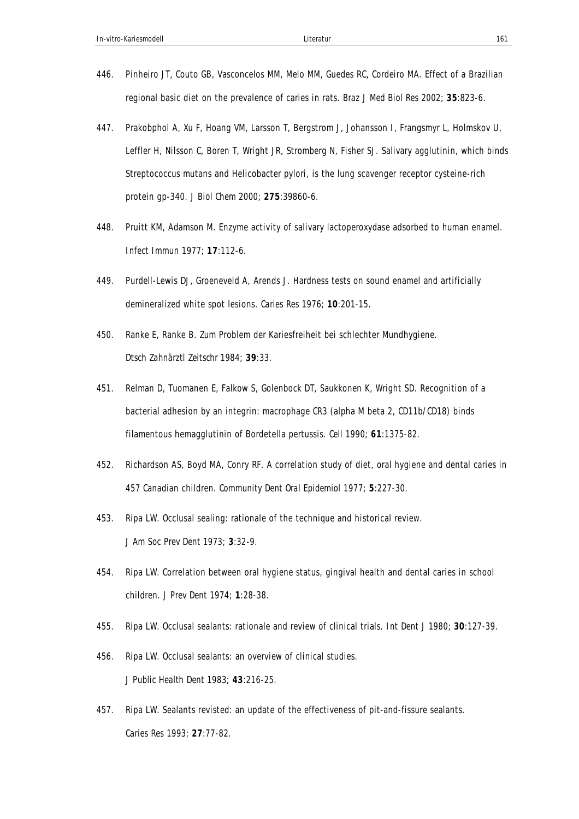- 446. Pinheiro JT, Couto GB, Vasconcelos MM, Melo MM, Guedes RC, Cordeiro MA. Effect of a Brazilian regional basic diet on the prevalence of caries in rats. *Braz J Med Biol Res* 2002; **35**:823-6.
- 447. Prakobphol A, Xu F, Hoang VM, Larsson T, Bergstrom J, Johansson I, Frangsmyr L, Holmskov U, Leffler H, Nilsson C, Boren T, Wright JR, Stromberg N, Fisher SJ. Salivary agglutinin, which binds Streptococcus mutans and Helicobacter pylori, is the lung scavenger receptor cysteine-rich protein gp-340. *J Biol Chem* 2000; **275**:39860-6.
- 448. Pruitt KM, Adamson M. Enzyme activity of salivary lactoperoxydase adsorbed to human enamel. *Infect Immun* 1977; **17**:112-6.
- 449. Purdell-Lewis DJ, Groeneveld A, Arends J. Hardness tests on sound enamel and artificially demineralized white spot lesions. *Caries Res* 1976; **10**:201-15.
- 450. Ranke E, Ranke B. Zum Problem der Kariesfreiheit bei schlechter Mundhygiene. *Dtsch Zahnärztl Zeitschr* 1984; **39**:33.
- 451. Relman D, Tuomanen E, Falkow S, Golenbock DT, Saukkonen K, Wright SD. Recognition of a bacterial adhesion by an integrin: macrophage CR3 (alpha M beta 2, CD11b/CD18) binds filamentous hemagglutinin of Bordetella pertussis. *Cell* 1990; **61**:1375-82.
- 452. Richardson AS, Boyd MA, Conry RF. A correlation study of diet, oral hygiene and dental caries in 457 Canadian children. *Community Dent Oral Epidemiol* 1977; **5**:227-30.
- 453. Ripa LW. Occlusal sealing: rationale of the technique and historical review. *J Am Soc Prev Dent* 1973; **3**:32-9.
- 454. Ripa LW. Correlation between oral hygiene status, gingival health and dental caries in school children. *J Prev Dent* 1974; **1**:28-38.
- 455. Ripa LW. Occlusal sealants: rationale and review of clinical trials. *Int Dent J* 1980; **30**:127-39.
- 456. Ripa LW. Occlusal sealants: an overview of clinical studies. *J Public Health Dent* 1983; **43**:216-25.
- 457. Ripa LW. Sealants revisted: an update of the effectiveness of pit-and-fissure sealants. *Caries Res* 1993; **27**:77-82.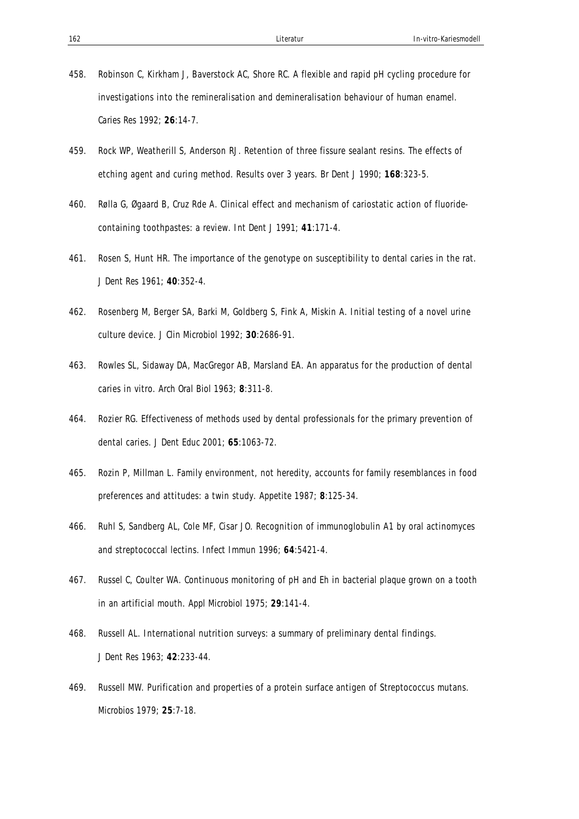- 458. Robinson C, Kirkham J, Baverstock AC, Shore RC. A flexible and rapid pH cycling procedure for investigations into the remineralisation and demineralisation behaviour of human enamel. *Caries Res* 1992; **26**:14-7.
- 459. Rock WP, Weatherill S, Anderson RJ. Retention of three fissure sealant resins. The effects of etching agent and curing method. Results over 3 years. *Br Dent J* 1990; **168**:323-5.
- 460. Rølla G, Øgaard B, Cruz Rde A. Clinical effect and mechanism of cariostatic action of fluoridecontaining toothpastes: a review. *Int Dent J* 1991; **41**:171-4.
- 461. Rosen S, Hunt HR. The importance of the genotype on susceptibility to dental caries in the rat. *J Dent Res* 1961; **40**:352-4.
- 462. Rosenberg M, Berger SA, Barki M, Goldberg S, Fink A, Miskin A. Initial testing of a novel urine culture device. *J Clin Microbiol* 1992; **30**:2686-91.
- 463. Rowles SL, Sidaway DA, MacGregor AB, Marsland EA. An apparatus for the production of dental caries in vitro. *Arch Oral Biol* 1963; **8**:311-8.
- 464. Rozier RG. Effectiveness of methods used by dental professionals for the primary prevention of dental caries. *J Dent Educ* 2001; **65**:1063-72.
- 465. Rozin P, Millman L. Family environment, not heredity, accounts for family resemblances in food preferences and attitudes: a twin study. *Appetite* 1987; **8**:125-34.
- 466. Ruhl S, Sandberg AL, Cole MF, Cisar JO. Recognition of immunoglobulin A1 by oral actinomyces and streptococcal lectins. *Infect Immun* 1996; **64**:5421-4.
- 467. Russel C, Coulter WA. Continuous monitoring of pH and Eh in bacterial plaque grown on a tooth in an artificial mouth. *Appl Microbiol* 1975; **29**:141-4.
- 468. Russell AL. International nutrition surveys: a summary of preliminary dental findings. *J Dent Res* 1963; **42**:233-44.
- 469. Russell MW. Purification and properties of a protein surface antigen of Streptococcus mutans. *Microbios* 1979; **25**:7-18.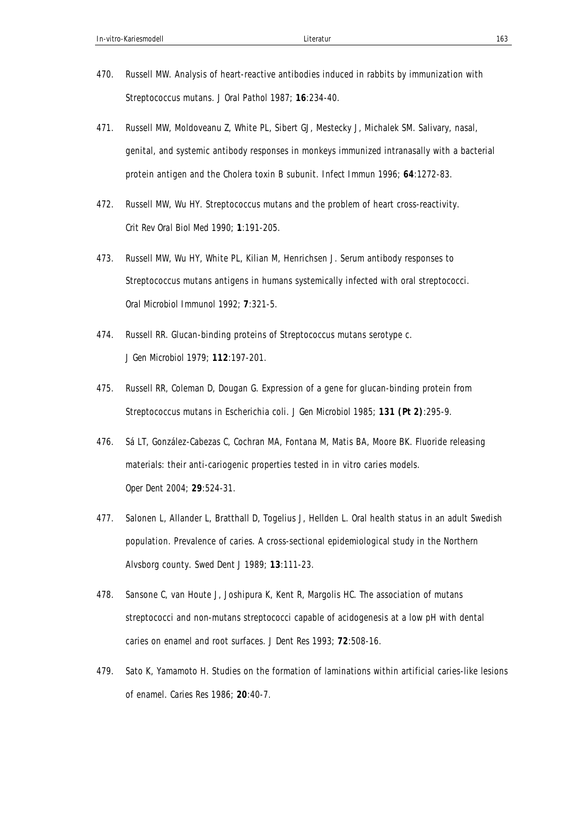- 470. Russell MW. Analysis of heart-reactive antibodies induced in rabbits by immunization with Streptococcus mutans. *J Oral Pathol* 1987; **16**:234-40.
- 471. Russell MW, Moldoveanu Z, White PL, Sibert GJ, Mestecky J, Michalek SM. Salivary, nasal, genital, and systemic antibody responses in monkeys immunized intranasally with a bacterial protein antigen and the Cholera toxin B subunit. *Infect Immun* 1996; **64**:1272-83.
- 472. Russell MW, Wu HY. Streptococcus mutans and the problem of heart cross-reactivity. *Crit Rev Oral Biol Med* 1990; **1**:191-205.
- 473. Russell MW, Wu HY, White PL, Kilian M, Henrichsen J. Serum antibody responses to Streptococcus mutans antigens in humans systemically infected with oral streptococci. *Oral Microbiol Immunol* 1992; **7**:321-5.
- 474. Russell RR. Glucan-binding proteins of Streptococcus mutans serotype c. *J Gen Microbiol* 1979; **112**:197-201.
- 475. Russell RR, Coleman D, Dougan G. Expression of a gene for glucan-binding protein from Streptococcus mutans in Escherichia coli. *J Gen Microbiol* 1985; **131 (Pt 2)**:295-9.
- 476. Sá LT, González-Cabezas C, Cochran MA, Fontana M, Matis BA, Moore BK. Fluoride releasing materials: their anti-cariogenic properties tested in in vitro caries models. *Oper Dent* 2004; **29**:524-31.
- 477. Salonen L, Allander L, Bratthall D, Togelius J, Hellden L. Oral health status in an adult Swedish population. Prevalence of caries. A cross-sectional epidemiological study in the Northern Alvsborg county. *Swed Dent J* 1989; **13**:111-23.
- 478. Sansone C, van Houte J, Joshipura K, Kent R, Margolis HC. The association of mutans streptococci and non-mutans streptococci capable of acidogenesis at a low pH with dental caries on enamel and root surfaces. *J Dent Res* 1993; **72**:508-16.
- 479. Sato K, Yamamoto H. Studies on the formation of laminations within artificial caries-like lesions of enamel. *Caries Res* 1986; **20**:40-7.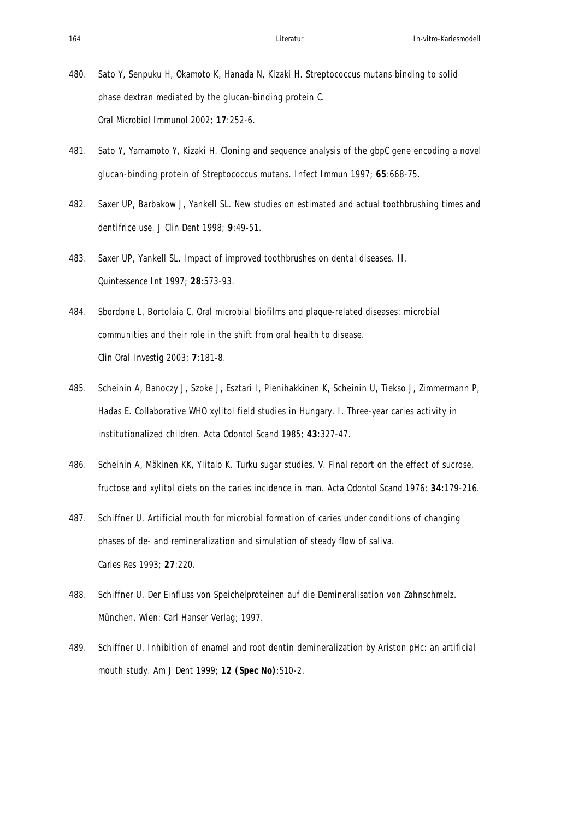- 480. Sato Y, Senpuku H, Okamoto K, Hanada N, Kizaki H. Streptococcus mutans binding to solid phase dextran mediated by the glucan-binding protein C. *Oral Microbiol Immunol* 2002; **17**:252-6.
- 481. Sato Y, Yamamoto Y, Kizaki H. Cloning and sequence analysis of the gbpC gene encoding a novel glucan-binding protein of Streptococcus mutans. *Infect Immun* 1997; **65**:668-75.
- 482. Saxer UP, Barbakow J, Yankell SL. New studies on estimated and actual toothbrushing times and dentifrice use. *J Clin Dent* 1998; **9**:49-51.
- 483. Saxer UP, Yankell SL. Impact of improved toothbrushes on dental diseases. II. *Quintessence Int* 1997; **28**:573-93.
- 484. Sbordone L, Bortolaia C. Oral microbial biofilms and plaque-related diseases: microbial communities and their role in the shift from oral health to disease. *Clin Oral Investig* 2003; **7**:181-8.
- 485. Scheinin A, Banoczy J, Szoke J, Esztari I, Pienihakkinen K, Scheinin U, Tiekso J, Zimmermann P, Hadas E. Collaborative WHO xylitol field studies in Hungary. I. Three-year caries activity in institutionalized children. *Acta Odontol Scand* 1985; **43**:327-47.
- 486. Scheinin A, Mäkinen KK, Ylitalo K. Turku sugar studies. V. Final report on the effect of sucrose, fructose and xylitol diets on the caries incidence in man. *Acta Odontol Scand* 1976; **34**:179-216.
- 487. Schiffner U. Artificial mouth for microbial formation of caries under conditions of changing phases of de- and remineralization and simulation of steady flow of saliva. *Caries Res* 1993; **27**:220.
- 488. Schiffner U. Der Einfluss von Speichelproteinen auf die Demineralisation von Zahnschmelz. München, Wien: Carl Hanser Verlag; 1997.
- 489. Schiffner U. Inhibition of enamel and root dentin demineralization by Ariston pHc: an artificial mouth study. *Am J Dent* 1999; **12 (Spec No)**:S10-2.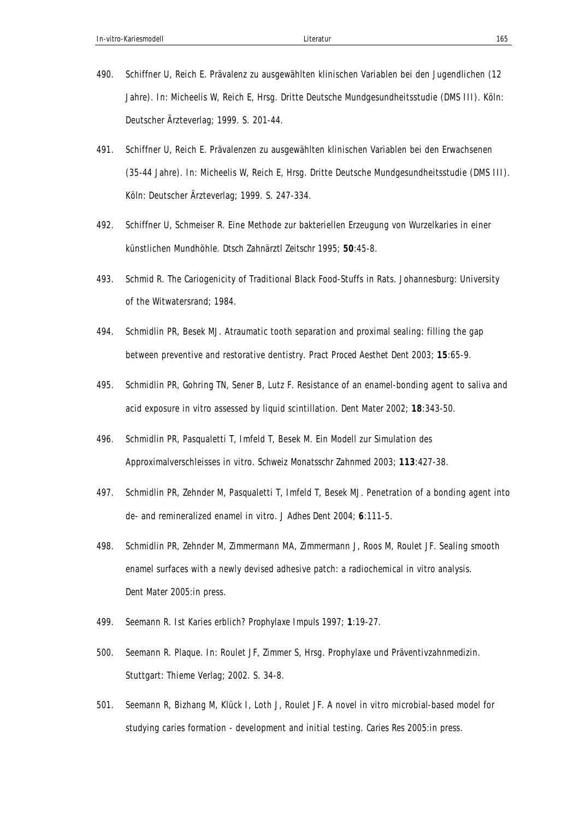- 490. Schiffner U, Reich E. Prävalenz zu ausgewählten klinischen Variablen bei den Jugendlichen (12 Jahre). In: Micheelis W, Reich E, Hrsg. Dritte Deutsche Mundgesundheitsstudie (DMS III). Köln: Deutscher Ärzteverlag; 1999. S. 201-44.
- 491. Schiffner U, Reich E. Prävalenzen zu ausgewählten klinischen Variablen bei den Erwachsenen (35-44 Jahre). In: Micheelis W, Reich E, Hrsg. Dritte Deutsche Mundgesundheitsstudie (DMS III). Köln: Deutscher Ärzteverlag; 1999. S. 247-334.
- 492. Schiffner U, Schmeiser R. Eine Methode zur bakteriellen Erzeugung von Wurzelkaries in einer künstlichen Mundhöhle. *Dtsch Zahnärztl Zeitschr* 1995; **50**:45-8.
- 493. Schmid R. The Cariogenicity of Traditional Black Food-Stuffs in Rats. Johannesburg: University of the Witwatersrand; 1984.
- 494. Schmidlin PR, Besek MJ. Atraumatic tooth separation and proximal sealing: filling the gap between preventive and restorative dentistry. *Pract Proced Aesthet Dent* 2003; **15**:65-9.
- 495. Schmidlin PR, Gohring TN, Sener B, Lutz F. Resistance of an enamel-bonding agent to saliva and acid exposure in vitro assessed by liquid scintillation. *Dent Mater* 2002; **18**:343-50.
- 496. Schmidlin PR, Pasqualetti T, Imfeld T, Besek M. Ein Modell zur Simulation des Approximalverschleisses in vitro. *Schweiz Monatsschr Zahnmed* 2003; **113**:427-38.
- 497. Schmidlin PR, Zehnder M, Pasqualetti T, Imfeld T, Besek MJ. Penetration of a bonding agent into de- and remineralized enamel in vitro. *J Adhes Dent* 2004; **6**:111-5.
- 498. Schmidlin PR, Zehnder M, Zimmermann MA, Zimmermann J, Roos M, Roulet JF. Sealing smooth enamel surfaces with a newly devised adhesive patch: a radiochemical in vitro analysis. *Dent Mater* 2005:in press.
- 499. Seemann R. Ist Karies erblich? *Prophylaxe Impuls* 1997; **1**:19-27.
- 500. Seemann R. Plaque. In: Roulet JF, Zimmer S, Hrsg. Prophylaxe und Präventivzahnmedizin. Stuttgart: Thieme Verlag; 2002. S. 34-8.
- 501. Seemann R, Bizhang M, Klück I, Loth J, Roulet JF. A novel in vitro microbial-based model for studying caries formation - development and initial testing. *Caries Res* 2005:in press.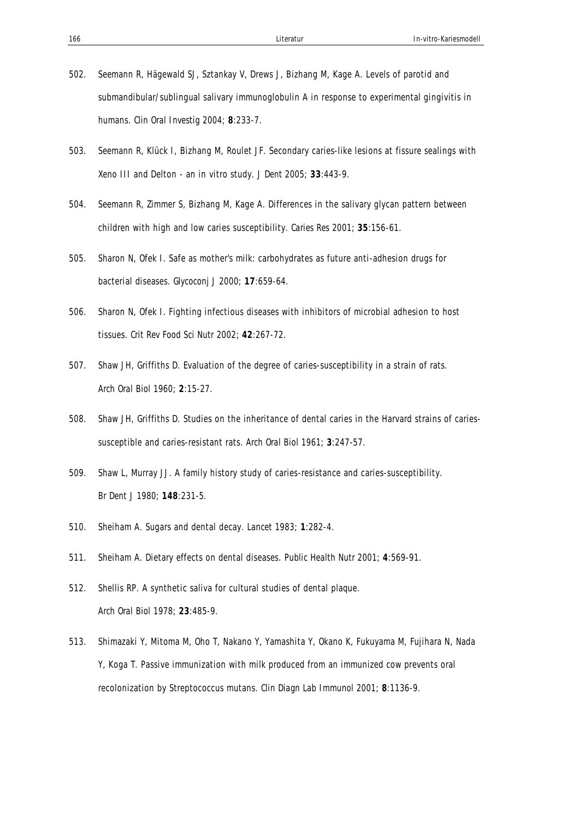- 502. Seemann R, Hägewald SJ, Sztankay V, Drews J, Bizhang M, Kage A. Levels of parotid and submandibular/sublingual salivary immunoglobulin A in response to experimental gingivitis in humans. *Clin Oral Investig* 2004; **8**:233-7.
- 503. Seemann R, Klück I, Bizhang M, Roulet JF. Secondary caries-like lesions at fissure sealings with Xeno III and Delton - an in vitro study. *J Dent* 2005; **33**:443-9.
- 504. Seemann R, Zimmer S, Bizhang M, Kage A. Differences in the salivary glycan pattern between children with high and low caries susceptibility. *Caries Res* 2001; **35**:156-61.
- 505. Sharon N, Ofek I. Safe as mother's milk: carbohydrates as future anti-adhesion drugs for bacterial diseases. *Glycoconj J* 2000; **17**:659-64.
- 506. Sharon N, Ofek I. Fighting infectious diseases with inhibitors of microbial adhesion to host tissues. *Crit Rev Food Sci Nutr* 2002; **42**:267-72.
- 507. Shaw JH, Griffiths D. Evaluation of the degree of caries-susceptibility in a strain of rats. *Arch Oral Biol* 1960; **2**:15-27.
- 508. Shaw JH, Griffiths D. Studies on the inheritance of dental caries in the Harvard strains of cariessusceptible and caries-resistant rats. *Arch Oral Biol* 1961; **3**:247-57.
- 509. Shaw L, Murray JJ. A family history study of caries-resistance and caries-susceptibility. *Br Dent J* 1980; **148**:231-5.
- 510. Sheiham A. Sugars and dental decay. *Lancet* 1983; **1**:282-4.
- 511. Sheiham A. Dietary effects on dental diseases. *Public Health Nutr* 2001; **4**:569-91.
- 512. Shellis RP. A synthetic saliva for cultural studies of dental plaque. *Arch Oral Biol* 1978; **23**:485-9.
- 513. Shimazaki Y, Mitoma M, Oho T, Nakano Y, Yamashita Y, Okano K, Fukuyama M, Fujihara N, Nada Y, Koga T. Passive immunization with milk produced from an immunized cow prevents oral recolonization by Streptococcus mutans. *Clin Diagn Lab Immunol* 2001; **8**:1136-9.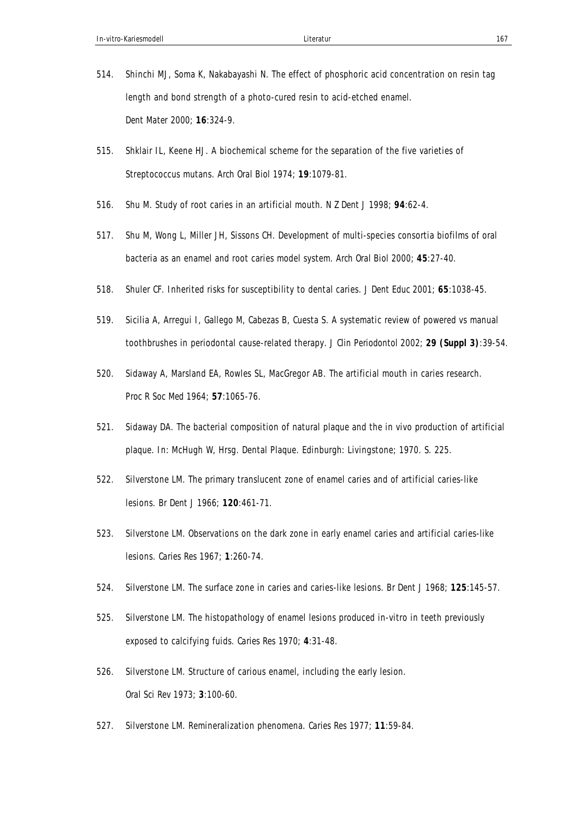- 514. Shinchi MJ, Soma K, Nakabayashi N. The effect of phosphoric acid concentration on resin tag length and bond strength of a photo-cured resin to acid-etched enamel. *Dent Mater* 2000; **16**:324-9.
- 515. Shklair IL, Keene HJ. A biochemical scheme for the separation of the five varieties of Streptococcus mutans. *Arch Oral Biol* 1974; **19**:1079-81.
- 516. Shu M. Study of root caries in an artificial mouth. *N Z Dent J* 1998; **94**:62-4.
- 517. Shu M, Wong L, Miller JH, Sissons CH. Development of multi-species consortia biofilms of oral bacteria as an enamel and root caries model system. *Arch Oral Biol* 2000; **45**:27-40.
- 518. Shuler CF. Inherited risks for susceptibility to dental caries. *J Dent Educ* 2001; **65**:1038-45.
- 519. Sicilia A, Arregui I, Gallego M, Cabezas B, Cuesta S. A systematic review of powered vs manual toothbrushes in periodontal cause-related therapy. *J Clin Periodontol* 2002; **29 (Suppl 3)**:39-54.
- 520. Sidaway A, Marsland EA, Rowles SL, MacGregor AB. The artificial mouth in caries research. *Proc R Soc Med* 1964; **57**:1065-76.
- 521. Sidaway DA. The bacterial composition of natural plaque and the in vivo production of artificial plaque. In: McHugh W, Hrsg. Dental Plaque. Edinburgh: Livingstone; 1970. S. 225.
- 522. Silverstone LM. The primary translucent zone of enamel caries and of artificial caries-like lesions. *Br Dent J* 1966; **120**:461-71.
- 523. Silverstone LM. Observations on the dark zone in early enamel caries and artificial caries-like lesions. *Caries Res* 1967; **1**:260-74.
- 524. Silverstone LM. The surface zone in caries and caries-like lesions. *Br Dent J* 1968; **125**:145-57.
- 525. Silverstone LM. The histopathology of enamel lesions produced in-vitro in teeth previously exposed to calcifying fuids. *Caries Res* 1970; **4**:31-48.
- 526. Silverstone LM. Structure of carious enamel, including the early lesion. *Oral Sci Rev* 1973; **3**:100-60.
- 527. Silverstone LM. Remineralization phenomena. *Caries Res* 1977; **11**:59-84.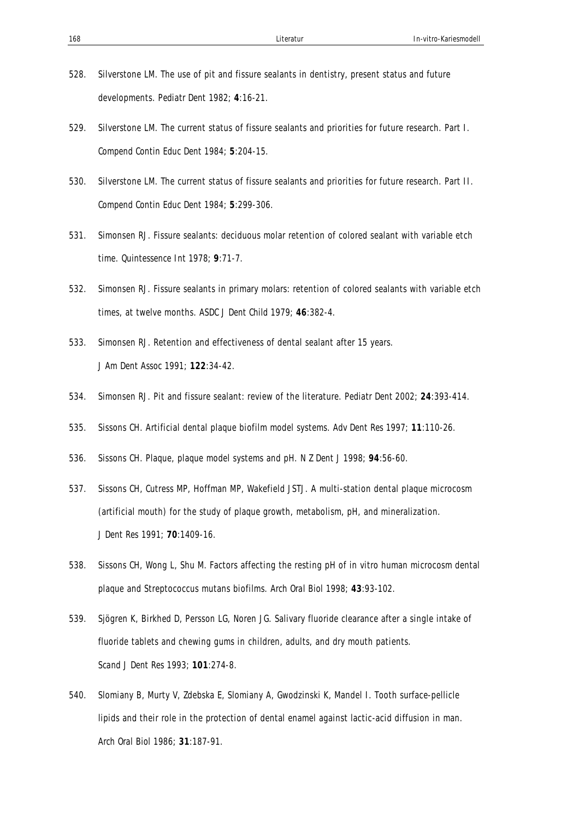- 528. Silverstone LM. The use of pit and fissure sealants in dentistry, present status and future developments. *Pediatr Dent* 1982; **4**:16-21.
- 529. Silverstone LM. The current status of fissure sealants and priorities for future research. Part I. *Compend Contin Educ Dent* 1984; **5**:204-15.
- 530. Silverstone LM. The current status of fissure sealants and priorities for future research. Part II. *Compend Contin Educ Dent* 1984; **5**:299-306.
- 531. Simonsen RJ. Fissure sealants: deciduous molar retention of colored sealant with variable etch time. *Quintessence Int* 1978; **9**:71-7.
- 532. Simonsen RJ. Fissure sealants in primary molars: retention of colored sealants with variable etch times, at twelve months. *ASDC J Dent Child* 1979; **46**:382-4.
- 533. Simonsen RJ. Retention and effectiveness of dental sealant after 15 years. *J Am Dent Assoc* 1991; **122**:34-42.
- 534. Simonsen RJ. Pit and fissure sealant: review of the literature. *Pediatr Dent* 2002; **24**:393-414.
- 535. Sissons CH. Artificial dental plaque biofilm model systems. *Adv Dent Res* 1997; **11**:110-26.
- 536. Sissons CH. Plaque, plaque model systems and pH. *N Z Dent J* 1998; **94**:56-60.
- 537. Sissons CH, Cutress MP, Hoffman MP, Wakefield JSTJ. A multi-station dental plaque microcosm (artificial mouth) for the study of plaque growth, metabolism, pH, and mineralization. *J Dent Res* 1991; **70**:1409-16.
- 538. Sissons CH, Wong L, Shu M. Factors affecting the resting pH of in vitro human microcosm dental plaque and Streptococcus mutans biofilms. *Arch Oral Biol* 1998; **43**:93-102.
- 539. Sjögren K, Birkhed D, Persson LG, Noren JG. Salivary fluoride clearance after a single intake of fluoride tablets and chewing gums in children, adults, and dry mouth patients. *Scand J Dent Res* 1993; **101**:274-8.
- 540. Slomiany B, Murty V, Zdebska E, Slomiany A, Gwodzinski K, Mandel I. Tooth surface-pellicle lipids and their role in the protection of dental enamel against lactic-acid diffusion in man. *Arch Oral Biol* 1986; **31**:187-91.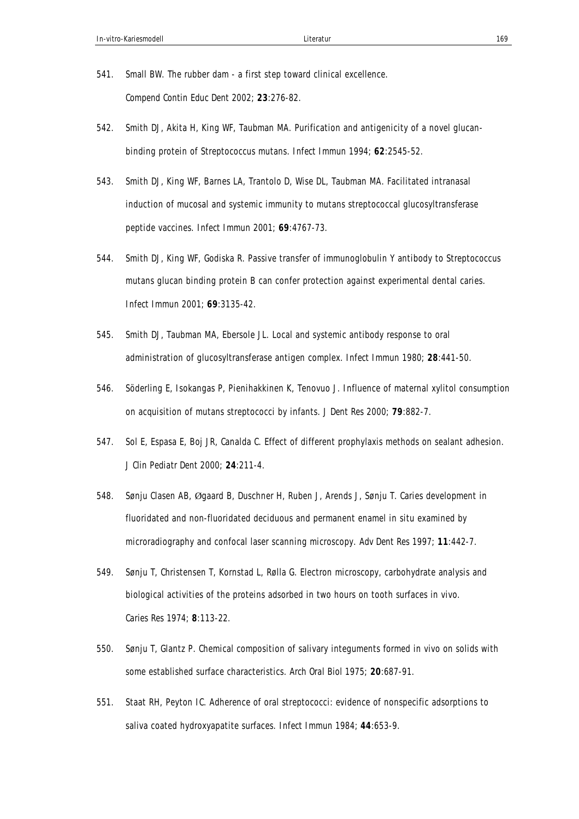- 541. Small BW. The rubber dam a first step toward clinical excellence. *Compend Contin Educ Dent* 2002; **23**:276-82.
- 542. Smith DJ, Akita H, King WF, Taubman MA. Purification and antigenicity of a novel glucanbinding protein of Streptococcus mutans. *Infect Immun* 1994; **62**:2545-52.
- 543. Smith DJ, King WF, Barnes LA, Trantolo D, Wise DL, Taubman MA. Facilitated intranasal induction of mucosal and systemic immunity to mutans streptococcal glucosyltransferase peptide vaccines. *Infect Immun* 2001; **69**:4767-73.
- 544. Smith DJ, King WF, Godiska R. Passive transfer of immunoglobulin Y antibody to Streptococcus mutans glucan binding protein B can confer protection against experimental dental caries. *Infect Immun* 2001; **69**:3135-42.
- 545. Smith DJ, Taubman MA, Ebersole JL. Local and systemic antibody response to oral administration of glucosyltransferase antigen complex. *Infect Immun* 1980; **28**:441-50.
- 546. Söderling E, Isokangas P, Pienihakkinen K, Tenovuo J. Influence of maternal xylitol consumption on acquisition of mutans streptococci by infants. *J Dent Res* 2000; **79**:882-7.
- 547. Sol E, Espasa E, Boj JR, Canalda C. Effect of different prophylaxis methods on sealant adhesion. *J Clin Pediatr Dent* 2000; **24**:211-4.
- 548. Sønju Clasen AB, Øgaard B, Duschner H, Ruben J, Arends J, Sønju T. Caries development in fluoridated and non-fluoridated deciduous and permanent enamel in situ examined by microradiography and confocal laser scanning microscopy. *Adv Dent Res* 1997; **11**:442-7.
- 549. Sønju T, Christensen T, Kornstad L, Rølla G. Electron microscopy, carbohydrate analysis and biological activities of the proteins adsorbed in two hours on tooth surfaces in vivo. *Caries Res* 1974; **8**:113-22.
- 550. Sønju T, Glantz P. Chemical composition of salivary integuments formed in vivo on solids with some established surface characteristics. *Arch Oral Biol* 1975; **20**:687-91.
- 551. Staat RH, Peyton IC. Adherence of oral streptococci: evidence of nonspecific adsorptions to saliva coated hydroxyapatite surfaces. *Infect Immun* 1984; **44**:653-9.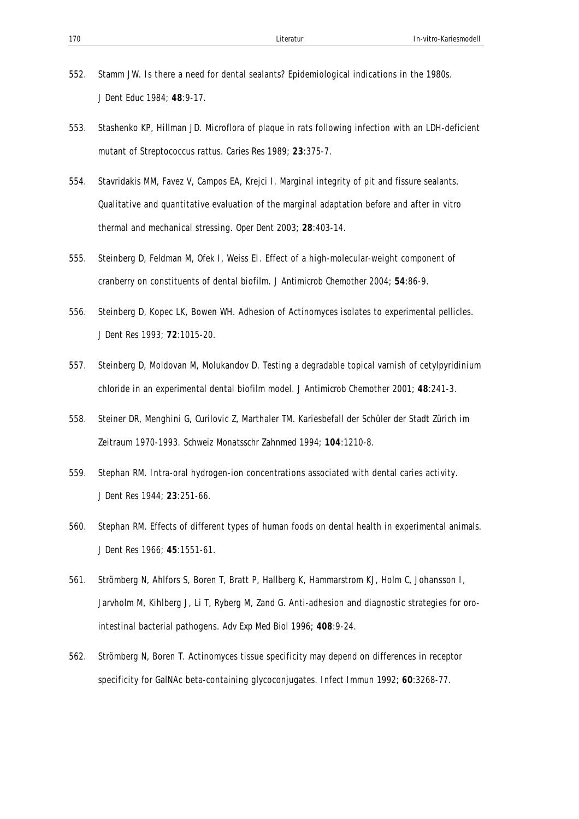- 552. Stamm JW. Is there a need for dental sealants? Epidemiological indications in the 1980s. *J Dent Educ* 1984; **48**:9-17.
- 553. Stashenko KP, Hillman JD. Microflora of plaque in rats following infection with an LDH-deficient mutant of Streptococcus rattus. *Caries Res* 1989; **23**:375-7.
- 554. Stavridakis MM, Favez V, Campos EA, Krejci I. Marginal integrity of pit and fissure sealants. Qualitative and quantitative evaluation of the marginal adaptation before and after in vitro thermal and mechanical stressing. *Oper Dent* 2003; **28**:403-14.
- 555. Steinberg D, Feldman M, Ofek I, Weiss EI. Effect of a high-molecular-weight component of cranberry on constituents of dental biofilm. *J Antimicrob Chemother* 2004; **54**:86-9.
- 556. Steinberg D, Kopec LK, Bowen WH. Adhesion of Actinomyces isolates to experimental pellicles. *J Dent Res* 1993; **72**:1015-20.
- 557. Steinberg D, Moldovan M, Molukandov D. Testing a degradable topical varnish of cetylpyridinium chloride in an experimental dental biofilm model. *J Antimicrob Chemother* 2001; **48**:241-3.
- 558. Steiner DR, Menghini G, Curilovic Z, Marthaler TM. Kariesbefall der Schüler der Stadt Zürich im Zeitraum 1970-1993. *Schweiz Monatsschr Zahnmed* 1994; **104**:1210-8.
- 559. Stephan RM. Intra-oral hydrogen-ion concentrations associated with dental caries activity. *J Dent Res* 1944; **23**:251-66.
- 560. Stephan RM. Effects of different types of human foods on dental health in experimental animals. *J Dent Res* 1966; **45**:1551-61.
- 561. Strömberg N, Ahlfors S, Boren T, Bratt P, Hallberg K, Hammarstrom KJ, Holm C, Johansson I, Jarvholm M, Kihlberg J, Li T, Ryberg M, Zand G. Anti-adhesion and diagnostic strategies for orointestinal bacterial pathogens. *Adv Exp Med Biol* 1996; **408**:9-24.
- 562. Strömberg N, Boren T. Actinomyces tissue specificity may depend on differences in receptor specificity for GalNAc beta-containing glycoconjugates. *Infect Immun* 1992; **60**:3268-77.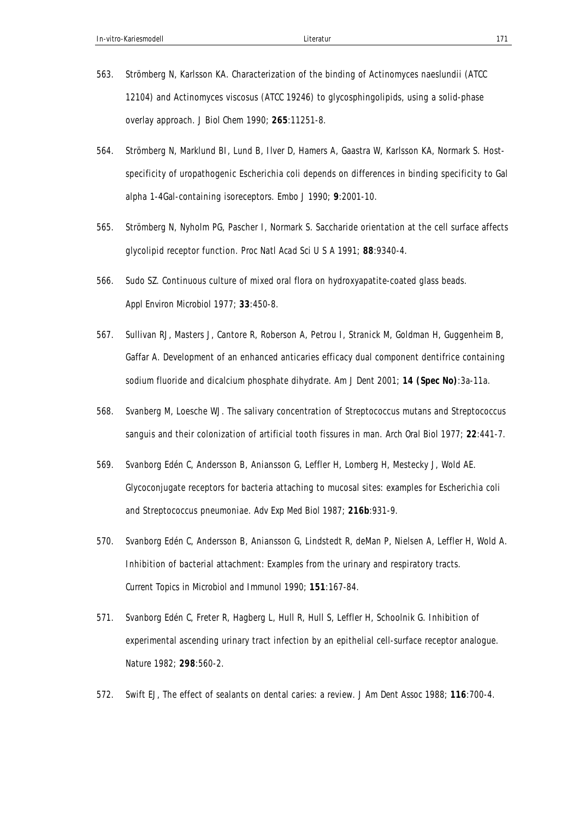- 563. Strömberg N, Karlsson KA. Characterization of the binding of Actinomyces naeslundii (ATCC 12104) and Actinomyces viscosus (ATCC 19246) to glycosphingolipids, using a solid-phase overlay approach. *J Biol Chem* 1990; **265**:11251-8.
- 564. Strömberg N, Marklund BI, Lund B, Ilver D, Hamers A, Gaastra W, Karlsson KA, Normark S. Hostspecificity of uropathogenic Escherichia coli depends on differences in binding specificity to Gal alpha 1-4Gal-containing isoreceptors. *Embo J* 1990; **9**:2001-10.
- 565. Strömberg N, Nyholm PG, Pascher I, Normark S. Saccharide orientation at the cell surface affects glycolipid receptor function. *Proc Natl Acad Sci U S A* 1991; **88**:9340-4.
- 566. Sudo SZ. Continuous culture of mixed oral flora on hydroxyapatite-coated glass beads. *Appl Environ Microbiol* 1977; **33**:450-8.
- 567. Sullivan RJ, Masters J, Cantore R, Roberson A, Petrou I, Stranick M, Goldman H, Guggenheim B, Gaffar A. Development of an enhanced anticaries efficacy dual component dentifrice containing sodium fluoride and dicalcium phosphate dihydrate. *Am J Dent* 2001; **14 (Spec No)**:3a-11a.
- 568. Svanberg M, Loesche WJ. The salivary concentration of Streptococcus mutans and Streptococcus sanguis and their colonization of artificial tooth fissures in man. *Arch Oral Biol* 1977; **22**:441-7.
- 569. Svanborg Edén C, Andersson B, Aniansson G, Leffler H, Lomberg H, Mestecky J, Wold AE. Glycoconjugate receptors for bacteria attaching to mucosal sites: examples for Escherichia coli and Streptococcus pneumoniae. *Adv Exp Med Biol* 1987; **216b**:931-9.
- 570. Svanborg Edén C, Andersson B, Aniansson G, Lindstedt R, deMan P, Nielsen A, Leffler H, Wold A. Inhibition of bacterial attachment: Examples from the urinary and respiratory tracts. *Current Topics in Microbiol and Immunol* 1990; **151**:167-84.
- 571. Svanborg Edén C, Freter R, Hagberg L, Hull R, Hull S, Leffler H, Schoolnik G. Inhibition of experimental ascending urinary tract infection by an epithelial cell-surface receptor analogue. *Nature* 1982; **298**:560-2.
- 572. Swift EJ, The effect of sealants on dental caries: a review. *J Am Dent Assoc* 1988; **116**:700-4.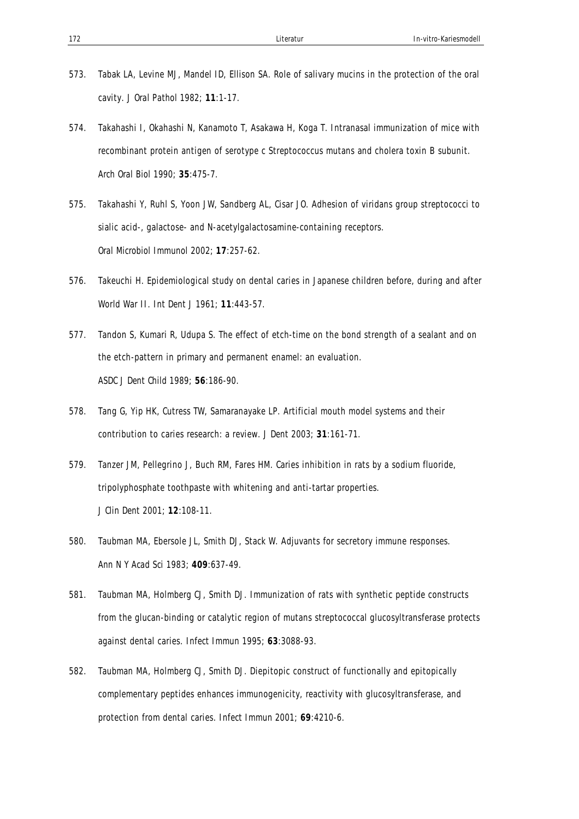- 573. Tabak LA, Levine MJ, Mandel ID, Ellison SA. Role of salivary mucins in the protection of the oral cavity. *J Oral Pathol* 1982; **11**:1-17.
- 574. Takahashi I, Okahashi N, Kanamoto T, Asakawa H, Koga T. Intranasal immunization of mice with recombinant protein antigen of serotype c Streptococcus mutans and cholera toxin B subunit. *Arch Oral Biol* 1990; **35**:475-7.
- 575. Takahashi Y, Ruhl S, Yoon JW, Sandberg AL, Cisar JO. Adhesion of viridans group streptococci to sialic acid-, galactose- and N-acetylgalactosamine-containing receptors. *Oral Microbiol Immunol* 2002; **17**:257-62.
- 576. Takeuchi H. Epidemiological study on dental caries in Japanese children before, during and after World War II. *Int Dent J* 1961; **11**:443-57.
- 577. Tandon S, Kumari R, Udupa S. The effect of etch-time on the bond strength of a sealant and on the etch-pattern in primary and permanent enamel: an evaluation. *ASDC J Dent Child* 1989; **56**:186-90.
- 578. Tang G, Yip HK, Cutress TW, Samaranayake LP. Artificial mouth model systems and their contribution to caries research: a review. *J Dent* 2003; **31**:161-71.
- 579. Tanzer JM, Pellegrino J, Buch RM, Fares HM. Caries inhibition in rats by a sodium fluoride, tripolyphosphate toothpaste with whitening and anti-tartar properties. *J Clin Dent* 2001; **12**:108-11.
- 580. Taubman MA, Ebersole JL, Smith DJ, Stack W. Adjuvants for secretory immune responses. *Ann N Y Acad Sci* 1983; **409**:637-49.
- 581. Taubman MA, Holmberg CJ, Smith DJ. Immunization of rats with synthetic peptide constructs from the glucan-binding or catalytic region of mutans streptococcal glucosyltransferase protects against dental caries. *Infect Immun* 1995; **63**:3088-93.
- 582. Taubman MA, Holmberg CJ, Smith DJ. Diepitopic construct of functionally and epitopically complementary peptides enhances immunogenicity, reactivity with glucosyltransferase, and protection from dental caries. *Infect Immun* 2001; **69**:4210-6.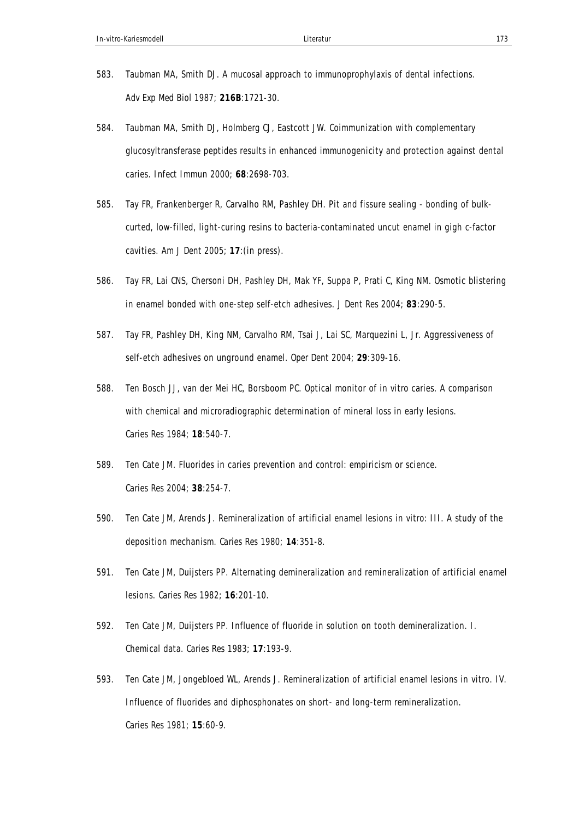- 583. Taubman MA, Smith DJ. A mucosal approach to immunoprophylaxis of dental infections. *Adv Exp Med Biol* 1987; **216B**:1721-30.
- 584. Taubman MA, Smith DJ, Holmberg CJ, Eastcott JW. Coimmunization with complementary glucosyltransferase peptides results in enhanced immunogenicity and protection against dental caries. *Infect Immun* 2000; **68**:2698-703.
- 585. Tay FR, Frankenberger R, Carvalho RM, Pashley DH. Pit and fissure sealing bonding of bulkcurted, low-filled, light-curing resins to bacteria-contaminated uncut enamel in gigh c-factor cavities. *Am J Dent* 2005; **17**:(in press).
- 586. Tay FR, Lai CNS, Chersoni DH, Pashley DH, Mak YF, Suppa P, Prati C, King NM. Osmotic blistering in enamel bonded with one-step self-etch adhesives. *J Dent Res* 2004; **83**:290-5.
- 587. Tay FR, Pashley DH, King NM, Carvalho RM, Tsai J, Lai SC, Marquezini L, Jr. Aggressiveness of self-etch adhesives on unground enamel. *Oper Dent* 2004; **29**:309-16.
- 588. Ten Bosch JJ, van der Mei HC, Borsboom PC. Optical monitor of in vitro caries. A comparison with chemical and microradiographic determination of mineral loss in early lesions. *Caries Res* 1984; **18**:540-7.
- 589. Ten Cate JM. Fluorides in caries prevention and control: empiricism or science. *Caries Res* 2004; **38**:254-7.
- 590. Ten Cate JM, Arends J. Remineralization of artificial enamel lesions in vitro: III. A study of the deposition mechanism. *Caries Res* 1980; **14**:351-8.
- 591. Ten Cate JM, Duijsters PP. Alternating demineralization and remineralization of artificial enamel lesions. *Caries Res* 1982; **16**:201-10.
- 592. Ten Cate JM, Duijsters PP. Influence of fluoride in solution on tooth demineralization. I. Chemical data. *Caries Res* 1983; **17**:193-9.
- 593. Ten Cate JM, Jongebloed WL, Arends J. Remineralization of artificial enamel lesions in vitro. IV. Influence of fluorides and diphosphonates on short- and long-term remineralization. *Caries Res* 1981; **15**:60-9.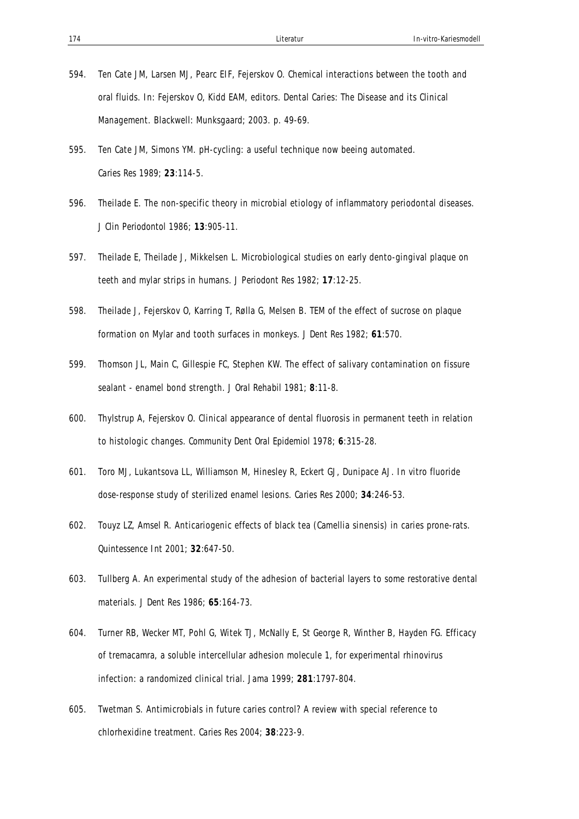- 594. Ten Cate JM, Larsen MJ, Pearc EIF, Fejerskov O. Chemical interactions between the tooth and oral fluids. In: Fejerskov O, Kidd EAM, editors. Dental Caries: The Disease and its Clinical Management. Blackwell: Munksgaard; 2003. p. 49-69.
- 595. Ten Cate JM, Simons YM. pH-cycling: a useful technique now beeing automated. *Caries Res* 1989; **23**:114-5.
- 596. Theilade E. The non-specific theory in microbial etiology of inflammatory periodontal diseases. *J Clin Periodontol* 1986; **13**:905-11.
- 597. Theilade E, Theilade J, Mikkelsen L. Microbiological studies on early dento-gingival plaque on teeth and mylar strips in humans. *J Periodont Res* 1982; **17**:12-25.
- 598. Theilade J, Fejerskov O, Karring T, Rølla G, Melsen B. TEM of the effect of sucrose on plaque formation on Mylar and tooth surfaces in monkeys. *J Dent Res* 1982; **61**:570.
- 599. Thomson JL, Main C, Gillespie FC, Stephen KW. The effect of salivary contamination on fissure sealant - enamel bond strength. *J Oral Rehabil* 1981; **8**:11-8.
- 600. Thylstrup A, Fejerskov O. Clinical appearance of dental fluorosis in permanent teeth in relation to histologic changes. *Community Dent Oral Epidemiol* 1978; **6**:315-28.
- 601. Toro MJ, Lukantsova LL, Williamson M, Hinesley R, Eckert GJ, Dunipace AJ. In vitro fluoride dose-response study of sterilized enamel lesions. *Caries Res* 2000; **34**:246-53.
- 602. Touyz LZ, Amsel R. Anticariogenic effects of black tea (Camellia sinensis) in caries prone-rats. *Quintessence Int* 2001; **32**:647-50.
- 603. Tullberg A. An experimental study of the adhesion of bacterial layers to some restorative dental materials. *J Dent Res* 1986; **65**:164-73.
- 604. Turner RB, Wecker MT, Pohl G, Witek TJ, McNally E, St George R, Winther B, Hayden FG. Efficacy of tremacamra, a soluble intercellular adhesion molecule 1, for experimental rhinovirus infection: a randomized clinical trial. *Jama* 1999; **281**:1797-804.
- 605. Twetman S. Antimicrobials in future caries control? A review with special reference to chlorhexidine treatment. *Caries Res* 2004; **38**:223-9.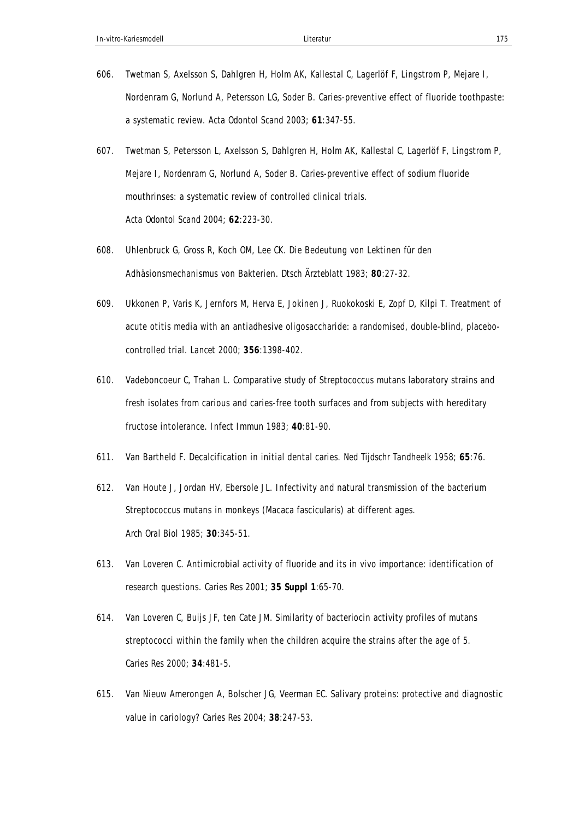- 606. Twetman S, Axelsson S, Dahlgren H, Holm AK, Kallestal C, Lagerlöf F, Lingstrom P, Mejare I, Nordenram G, Norlund A, Petersson LG, Soder B. Caries-preventive effect of fluoride toothpaste: a systematic review. *Acta Odontol Scand* 2003; **61**:347-55.
- 607. Twetman S, Petersson L, Axelsson S, Dahlgren H, Holm AK, Kallestal C, Lagerlöf F, Lingstrom P, Mejare I, Nordenram G, Norlund A, Soder B. Caries-preventive effect of sodium fluoride mouthrinses: a systematic review of controlled clinical trials. *Acta Odontol Scand* 2004; **62**:223-30.
- 608. Uhlenbruck G, Gross R, Koch OM, Lee CK. Die Bedeutung von Lektinen für den Adhäsionsmechanismus von Bakterien. *Dtsch Ärzteblatt* 1983; **80**:27-32.
- 609. Ukkonen P, Varis K, Jernfors M, Herva E, Jokinen J, Ruokokoski E, Zopf D, Kilpi T. Treatment of acute otitis media with an antiadhesive oligosaccharide: a randomised, double-blind, placebocontrolled trial. *Lancet* 2000; **356**:1398-402.
- 610. Vadeboncoeur C, Trahan L. Comparative study of Streptococcus mutans laboratory strains and fresh isolates from carious and caries-free tooth surfaces and from subjects with hereditary fructose intolerance. *Infect Immun* 1983; **40**:81-90.
- 611. Van Bartheld F. Decalcification in initial dental caries. *Ned Tijdschr Tandheelk* 1958; **65**:76.
- 612. Van Houte J, Jordan HV, Ebersole JL. Infectivity and natural transmission of the bacterium Streptococcus mutans in monkeys (Macaca fascicularis) at different ages. *Arch Oral Biol* 1985; **30**:345-51.
- 613. Van Loveren C. Antimicrobial activity of fluoride and its in vivo importance: identification of research questions. *Caries Res* 2001; **35 Suppl 1**:65-70.
- 614. Van Loveren C, Buijs JF, ten Cate JM. Similarity of bacteriocin activity profiles of mutans streptococci within the family when the children acquire the strains after the age of 5. *Caries Res* 2000; **34**:481-5.
- 615. Van Nieuw Amerongen A, Bolscher JG, Veerman EC. Salivary proteins: protective and diagnostic value in cariology? *Caries Res* 2004; **38**:247-53.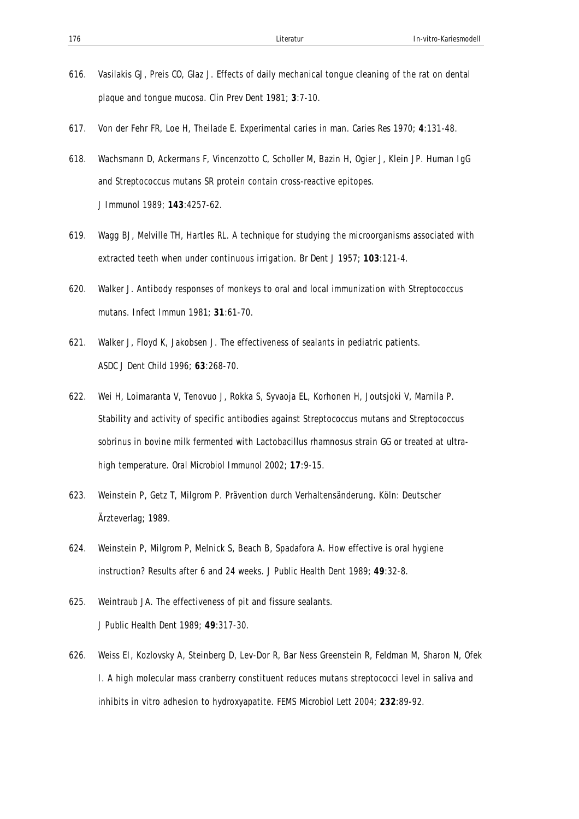- 616. Vasilakis GJ, Preis CO, Glaz J. Effects of daily mechanical tongue cleaning of the rat on dental plaque and tongue mucosa. *Clin Prev Dent* 1981; **3**:7-10.
- 617. Von der Fehr FR, Loe H, Theilade E. Experimental caries in man. *Caries Res* 1970; **4**:131-48.
- 618. Wachsmann D, Ackermans F, Vincenzotto C, Scholler M, Bazin H, Ogier J, Klein JP. Human IgG and Streptococcus mutans SR protein contain cross-reactive epitopes. *J Immunol* 1989; **143**:4257-62.
- 619. Wagg BJ, Melville TH, Hartles RL. A technique for studying the microorganisms associated with extracted teeth when under continuous irrigation. *Br Dent J* 1957; **103**:121-4.
- 620. Walker J. Antibody responses of monkeys to oral and local immunization with Streptococcus mutans. *Infect Immun* 1981; **31**:61-70.
- 621. Walker J, Floyd K, Jakobsen J. The effectiveness of sealants in pediatric patients. *ASDC J Dent Child* 1996; **63**:268-70.
- 622. Wei H, Loimaranta V, Tenovuo J, Rokka S, Syvaoja EL, Korhonen H, Joutsjoki V, Marnila P. Stability and activity of specific antibodies against Streptococcus mutans and Streptococcus sobrinus in bovine milk fermented with Lactobacillus rhamnosus strain GG or treated at ultrahigh temperature. *Oral Microbiol Immunol* 2002; **17**:9-15.
- 623. Weinstein P, Getz T, Milgrom P. Prävention durch Verhaltensänderung. Köln: Deutscher Ärzteverlag; 1989.
- 624. Weinstein P, Milgrom P, Melnick S, Beach B, Spadafora A. How effective is oral hygiene instruction? Results after 6 and 24 weeks. *J Public Health Dent* 1989; **49**:32-8.
- 625. Weintraub JA. The effectiveness of pit and fissure sealants. *J Public Health Dent* 1989; **49**:317-30.
- 626. Weiss EI, Kozlovsky A, Steinberg D, Lev-Dor R, Bar Ness Greenstein R, Feldman M, Sharon N, Ofek I. A high molecular mass cranberry constituent reduces mutans streptococci level in saliva and inhibits in vitro adhesion to hydroxyapatite. *FEMS Microbiol Lett* 2004; **232**:89-92.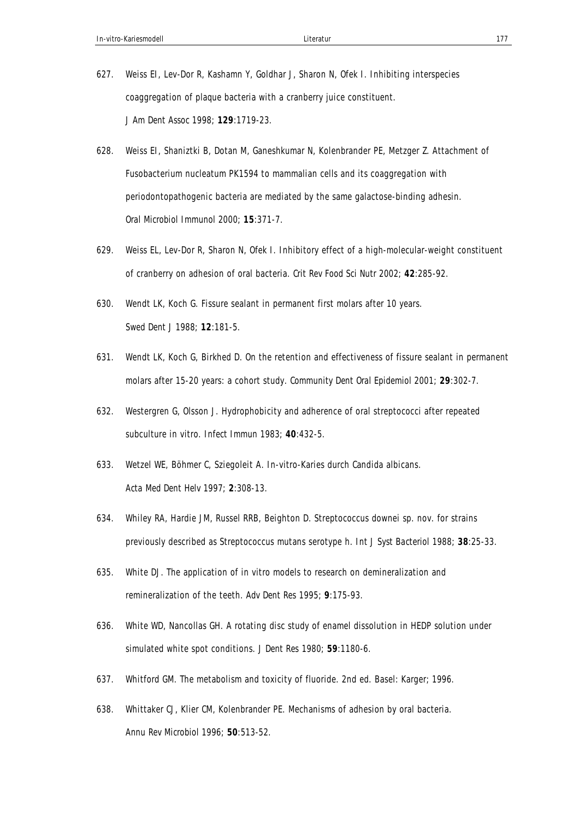- 627. Weiss EI, Lev-Dor R, Kashamn Y, Goldhar J, Sharon N, Ofek I. Inhibiting interspecies coaggregation of plaque bacteria with a cranberry juice constituent. *J Am Dent Assoc* 1998; **129**:1719-23.
- 628. Weiss EI, Shaniztki B, Dotan M, Ganeshkumar N, Kolenbrander PE, Metzger Z. Attachment of Fusobacterium nucleatum PK1594 to mammalian cells and its coaggregation with periodontopathogenic bacteria are mediated by the same galactose-binding adhesin. *Oral Microbiol Immunol* 2000; **15**:371-7.
- 629. Weiss EL, Lev-Dor R, Sharon N, Ofek I. Inhibitory effect of a high-molecular-weight constituent of cranberry on adhesion of oral bacteria. *Crit Rev Food Sci Nutr* 2002; **42**:285-92.
- 630. Wendt LK, Koch G. Fissure sealant in permanent first molars after 10 years. *Swed Dent J* 1988; **12**:181-5.
- 631. Wendt LK, Koch G, Birkhed D. On the retention and effectiveness of fissure sealant in permanent molars after 15-20 years: a cohort study. *Community Dent Oral Epidemiol* 2001; **29**:302-7.
- 632. Westergren G, Olsson J. Hydrophobicity and adherence of oral streptococci after repeated subculture in vitro. *Infect Immun* 1983; **40**:432-5.
- 633. Wetzel WE, Böhmer C, Sziegoleit A. In-vitro-Karies durch Candida albicans. *Acta Med Dent Helv* 1997; **2**:308-13.
- 634. Whiley RA, Hardie JM, Russel RRB, Beighton D. Streptococcus downei sp. nov. for strains previously described as Streptococcus mutans serotype h. *Int J Syst Bacteriol* 1988; **38**:25-33.
- 635. White DJ. The application of in vitro models to research on demineralization and remineralization of the teeth. *Adv Dent Res* 1995; **9**:175-93.
- 636. White WD, Nancollas GH. A rotating disc study of enamel dissolution in HEDP solution under simulated white spot conditions. *J Dent Res* 1980; **59**:1180-6.
- 637. Whitford GM. The metabolism and toxicity of fluoride. 2nd ed. Basel: Karger; 1996.
- 638. Whittaker CJ, Klier CM, Kolenbrander PE. Mechanisms of adhesion by oral bacteria. *Annu Rev Microbiol* 1996; **50**:513-52.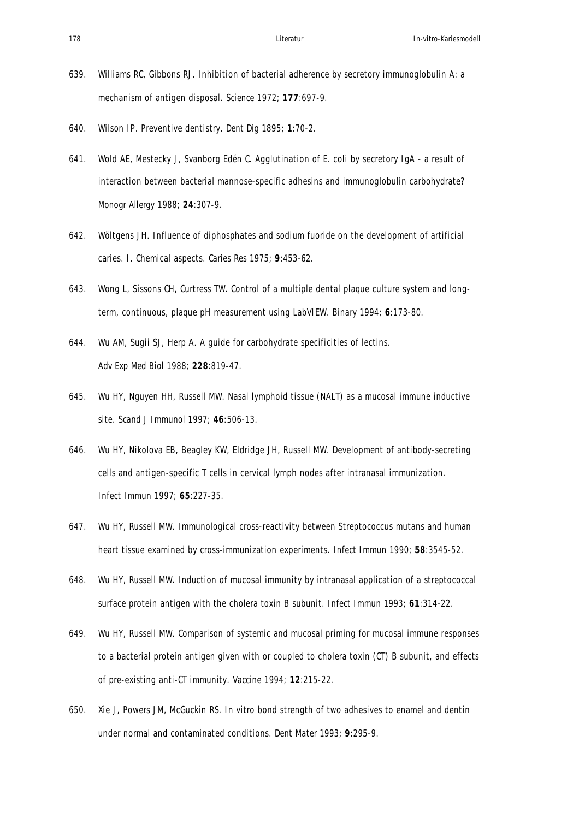- 639. Williams RC, Gibbons RJ. Inhibition of bacterial adherence by secretory immunoglobulin A: a mechanism of antigen disposal. *Science* 1972; **177**:697-9.
- 640. Wilson IP. Preventive dentistry. *Dent Dig* 1895; **1**:70-2.
- 641. Wold AE, Mestecky J, Svanborg Edén C. Agglutination of E. coli by secretory IgA a result of interaction between bacterial mannose-specific adhesins and immunoglobulin carbohydrate? *Monogr Allergy* 1988; **24**:307-9.
- 642. Wöltgens JH. Influence of diphosphates and sodium fuoride on the development of artificial caries. I. Chemical aspects. *Caries Res* 1975; **9**:453-62.
- 643. Wong L, Sissons CH, Curtress TW. Control of a multiple dental plaque culture system and longterm, continuous, plaque pH measurement using LabVIEW. *Binary* 1994; **6**:173-80.
- 644. Wu AM, Sugii SJ, Herp A. A guide for carbohydrate specificities of lectins. *Adv Exp Med Biol* 1988; **228**:819-47.
- 645. Wu HY, Nguyen HH, Russell MW. Nasal lymphoid tissue (NALT) as a mucosal immune inductive site. *Scand J Immunol* 1997; **46**:506-13.
- 646. Wu HY, Nikolova EB, Beagley KW, Eldridge JH, Russell MW. Development of antibody-secreting cells and antigen-specific T cells in cervical lymph nodes after intranasal immunization. *Infect Immun* 1997; **65**:227-35.
- 647. Wu HY, Russell MW. Immunological cross-reactivity between Streptococcus mutans and human heart tissue examined by cross-immunization experiments. *Infect Immun* 1990; **58**:3545-52.
- 648. Wu HY, Russell MW. Induction of mucosal immunity by intranasal application of a streptococcal surface protein antigen with the cholera toxin B subunit. *Infect Immun* 1993; **61**:314-22.
- 649. Wu HY, Russell MW. Comparison of systemic and mucosal priming for mucosal immune responses to a bacterial protein antigen given with or coupled to cholera toxin (CT) B subunit, and effects of pre-existing anti-CT immunity. *Vaccine* 1994; **12**:215-22.
- 650. Xie J, Powers JM, McGuckin RS. In vitro bond strength of two adhesives to enamel and dentin under normal and contaminated conditions. *Dent Mater* 1993; **9**:295-9.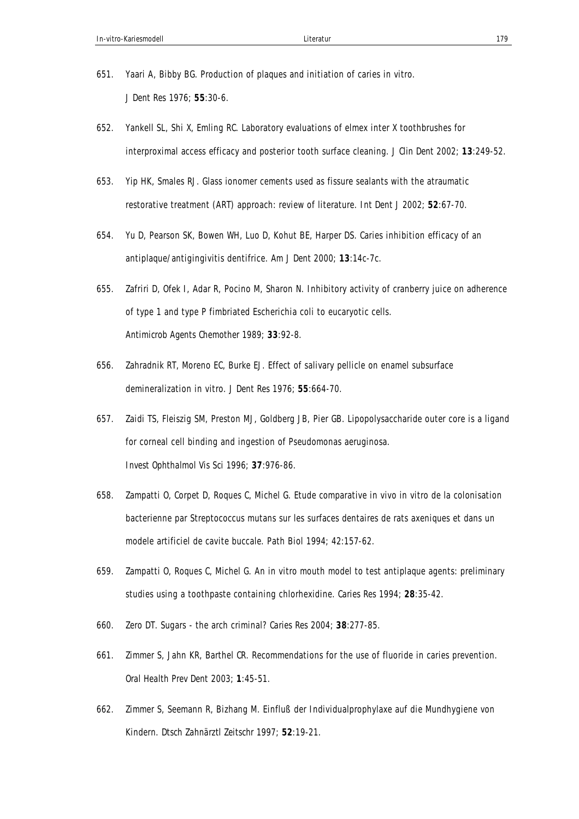- 651. Yaari A, Bibby BG. Production of plaques and initiation of caries in vitro. *J Dent Res* 1976; **55**:30-6.
- 652. Yankell SL, Shi X, Emling RC. Laboratory evaluations of elmex inter X toothbrushes for interproximal access efficacy and posterior tooth surface cleaning. *J Clin Dent* 2002; **13**:249-52.
- 653. Yip HK, Smales RJ. Glass ionomer cements used as fissure sealants with the atraumatic restorative treatment (ART) approach: review of literature. *Int Dent J* 2002; **52**:67-70.
- 654. Yu D, Pearson SK, Bowen WH, Luo D, Kohut BE, Harper DS. Caries inhibition efficacy of an antiplaque/antigingivitis dentifrice. *Am J Dent* 2000; **13**:14c-7c.
- 655. Zafriri D, Ofek I, Adar R, Pocino M, Sharon N. Inhibitory activity of cranberry juice on adherence of type 1 and type P fimbriated Escherichia coli to eucaryotic cells. *Antimicrob Agents Chemother* 1989; **33**:92-8.
- 656. Zahradnik RT, Moreno EC, Burke EJ. Effect of salivary pellicle on enamel subsurface demineralization in vitro. *J Dent Res* 1976; **55**:664-70.
- 657. Zaidi TS, Fleiszig SM, Preston MJ, Goldberg JB, Pier GB. Lipopolysaccharide outer core is a ligand for corneal cell binding and ingestion of Pseudomonas aeruginosa. *Invest Ophthalmol Vis Sci* 1996; **37**:976-86.
- 658. Zampatti O, Corpet D, Roques C, Michel G. Etude comparative in vivo in vitro de la colonisation bacterienne par Streptococcus mutans sur les surfaces dentaires de rats axeniques et dans un modele artificiel de cavite buccale. Path Biol 1994; 42:157-62.
- 659. Zampatti O, Roques C, Michel G. An in vitro mouth model to test antiplaque agents: preliminary studies using a toothpaste containing chlorhexidine. *Caries Res* 1994; **28**:35-42.
- 660. Zero DT. Sugars the arch criminal? *Caries Res* 2004; **38**:277-85.
- 661. Zimmer S, Jahn KR, Barthel CR. Recommendations for the use of fluoride in caries prevention. *Oral Health Prev Dent* 2003; **1**:45-51.
- 662. Zimmer S, Seemann R, Bizhang M. Einfluß der Individualprophylaxe auf die Mundhygiene von Kindern. *Dtsch Zahnärztl Zeitschr* 1997; **52**:19-21.